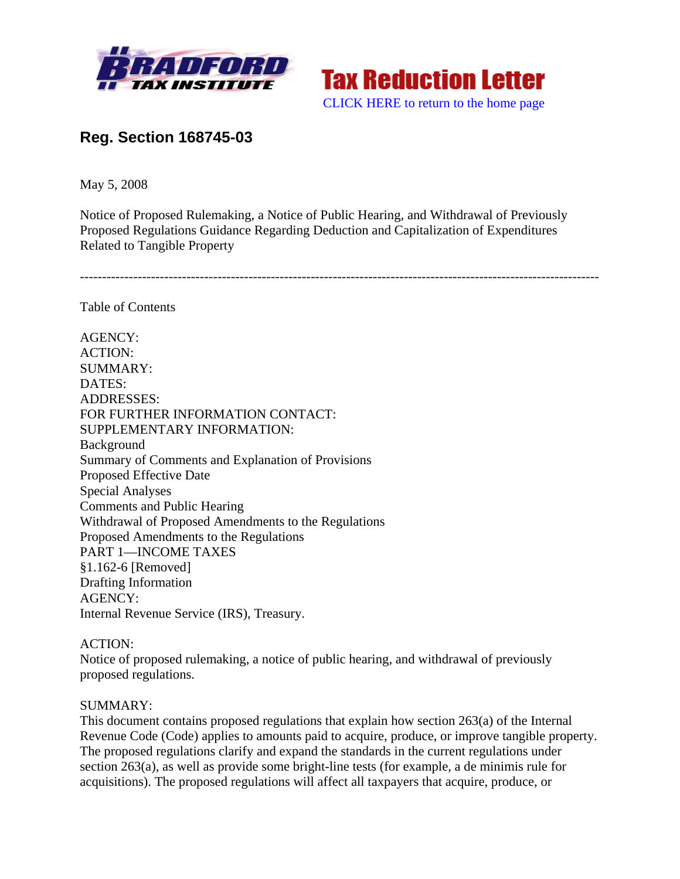



# **Reg. Section 168745-03**

May 5, 2008

Notice of Proposed Rulemaking, a Notice of Public Hearing, and Withdrawal of Previously Proposed Regulations Guidance Regarding Deduction and Capitalization of Expenditures Related to Tangible Property

---------------------------------------------------------------------------------------------------------------------

Table of Contents

AGENCY: ACTION: SUMMARY: DATES: ADDRESSES: FOR FURTHER INFORMATION CONTACT: SUPPLEMENTARY INFORMATION: Background Summary of Comments and Explanation of Provisions Proposed Effective Date Special Analyses Comments and Public Hearing Withdrawal of Proposed Amendments to the Regulations Proposed Amendments to the Regulations PART 1—INCOME TAXES §1.162-6 [Removed] Drafting Information AGENCY: Internal Revenue Service (IRS), Treasury.

### ACTION:

Notice of proposed rulemaking, a notice of public hearing, and withdrawal of previously proposed regulations.

### SUMMARY:

This document contains proposed regulations that explain how section 263(a) of the Internal Revenue Code (Code) applies to amounts paid to acquire, produce, or improve tangible property. The proposed regulations clarify and expand the standards in the current regulations under section 263(a), as well as provide some bright-line tests (for example, a de minimis rule for acquisitions). The proposed regulations will affect all taxpayers that acquire, produce, or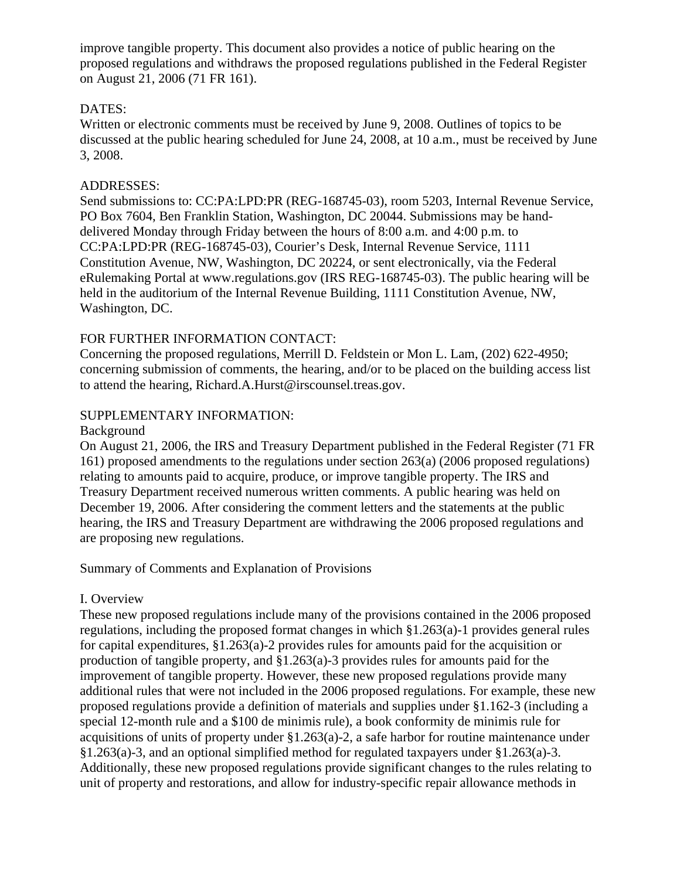improve tangible property. This document also provides a notice of public hearing on the proposed regulations and withdraws the proposed regulations published in the Federal Register on August 21, 2006 (71 FR 161).

# DATES:

Written or electronic comments must be received by June 9, 2008. Outlines of topics to be discussed at the public hearing scheduled for June 24, 2008, at 10 a.m., must be received by June 3, 2008.

# ADDRESSES:

Send submissions to: CC:PA:LPD:PR (REG-168745-03), room 5203, Internal Revenue Service, PO Box 7604, Ben Franklin Station, Washington, DC 20044. Submissions may be handdelivered Monday through Friday between the hours of 8:00 a.m. and 4:00 p.m. to CC:PA:LPD:PR (REG-168745-03), Courier's Desk, Internal Revenue Service, 1111 Constitution Avenue, NW, Washington, DC 20224, or sent electronically, via the Federal eRulemaking Portal at www.regulations.gov (IRS REG-168745-03). The public hearing will be held in the auditorium of the Internal Revenue Building, 1111 Constitution Avenue, NW, Washington, DC.

# FOR FURTHER INFORMATION CONTACT:

Concerning the proposed regulations, Merrill D. Feldstein or Mon L. Lam, (202) 622-4950; concerning submission of comments, the hearing, and/or to be placed on the building access list to attend the hearing, Richard.A.Hurst@irscounsel.treas.gov.

# SUPPLEMENTARY INFORMATION:

#### Background

On August 21, 2006, the IRS and Treasury Department published in the Federal Register (71 FR 161) proposed amendments to the regulations under section 263(a) (2006 proposed regulations) relating to amounts paid to acquire, produce, or improve tangible property. The IRS and Treasury Department received numerous written comments. A public hearing was held on December 19, 2006. After considering the comment letters and the statements at the public hearing, the IRS and Treasury Department are withdrawing the 2006 proposed regulations and are proposing new regulations.

### Summary of Comments and Explanation of Provisions

### I. Overview

These new proposed regulations include many of the provisions contained in the 2006 proposed regulations, including the proposed format changes in which §1.263(a)-1 provides general rules for capital expenditures, §1.263(a)-2 provides rules for amounts paid for the acquisition or production of tangible property, and §1.263(a)-3 provides rules for amounts paid for the improvement of tangible property. However, these new proposed regulations provide many additional rules that were not included in the 2006 proposed regulations. For example, these new proposed regulations provide a definition of materials and supplies under §1.162-3 (including a special 12-month rule and a \$100 de minimis rule), a book conformity de minimis rule for acquisitions of units of property under §1.263(a)-2, a safe harbor for routine maintenance under §1.263(a)-3, and an optional simplified method for regulated taxpayers under §1.263(a)-3. Additionally, these new proposed regulations provide significant changes to the rules relating to unit of property and restorations, and allow for industry-specific repair allowance methods in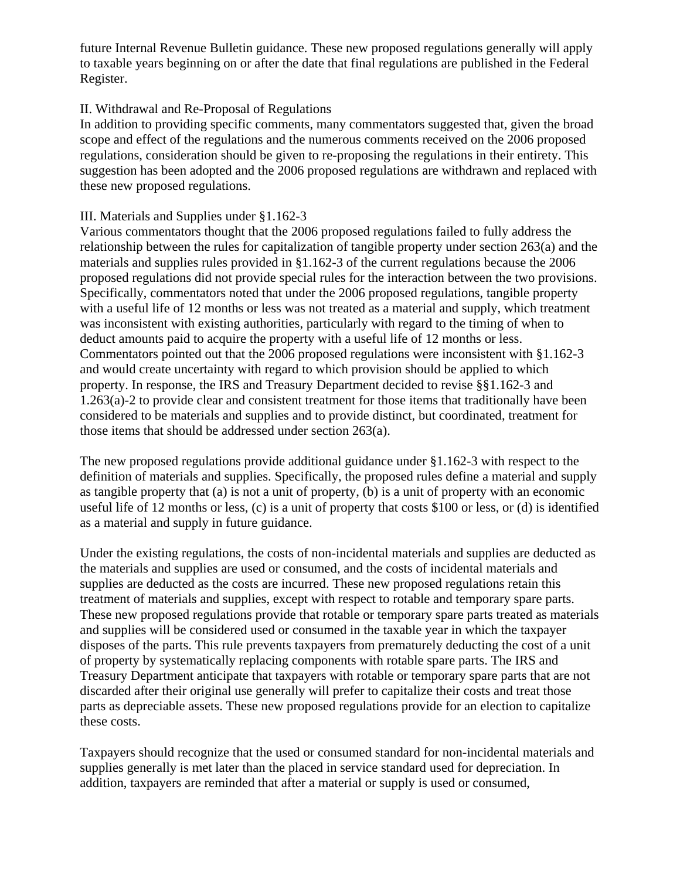future Internal Revenue Bulletin guidance. These new proposed regulations generally will apply to taxable years beginning on or after the date that final regulations are published in the Federal Register.

# II. Withdrawal and Re-Proposal of Regulations

In addition to providing specific comments, many commentators suggested that, given the broad scope and effect of the regulations and the numerous comments received on the 2006 proposed regulations, consideration should be given to re-proposing the regulations in their entirety. This suggestion has been adopted and the 2006 proposed regulations are withdrawn and replaced with these new proposed regulations.

### III. Materials and Supplies under §1.162-3

Various commentators thought that the 2006 proposed regulations failed to fully address the relationship between the rules for capitalization of tangible property under section 263(a) and the materials and supplies rules provided in §1.162-3 of the current regulations because the 2006 proposed regulations did not provide special rules for the interaction between the two provisions. Specifically, commentators noted that under the 2006 proposed regulations, tangible property with a useful life of 12 months or less was not treated as a material and supply, which treatment was inconsistent with existing authorities, particularly with regard to the timing of when to deduct amounts paid to acquire the property with a useful life of 12 months or less. Commentators pointed out that the 2006 proposed regulations were inconsistent with §1.162-3 and would create uncertainty with regard to which provision should be applied to which property. In response, the IRS and Treasury Department decided to revise §§1.162-3 and 1.263(a)-2 to provide clear and consistent treatment for those items that traditionally have been considered to be materials and supplies and to provide distinct, but coordinated, treatment for those items that should be addressed under section 263(a).

The new proposed regulations provide additional guidance under §1.162-3 with respect to the definition of materials and supplies. Specifically, the proposed rules define a material and supply as tangible property that (a) is not a unit of property, (b) is a unit of property with an economic useful life of 12 months or less, (c) is a unit of property that costs \$100 or less, or (d) is identified as a material and supply in future guidance.

Under the existing regulations, the costs of non-incidental materials and supplies are deducted as the materials and supplies are used or consumed, and the costs of incidental materials and supplies are deducted as the costs are incurred. These new proposed regulations retain this treatment of materials and supplies, except with respect to rotable and temporary spare parts. These new proposed regulations provide that rotable or temporary spare parts treated as materials and supplies will be considered used or consumed in the taxable year in which the taxpayer disposes of the parts. This rule prevents taxpayers from prematurely deducting the cost of a unit of property by systematically replacing components with rotable spare parts. The IRS and Treasury Department anticipate that taxpayers with rotable or temporary spare parts that are not discarded after their original use generally will prefer to capitalize their costs and treat those parts as depreciable assets. These new proposed regulations provide for an election to capitalize these costs.

Taxpayers should recognize that the used or consumed standard for non-incidental materials and supplies generally is met later than the placed in service standard used for depreciation. In addition, taxpayers are reminded that after a material or supply is used or consumed,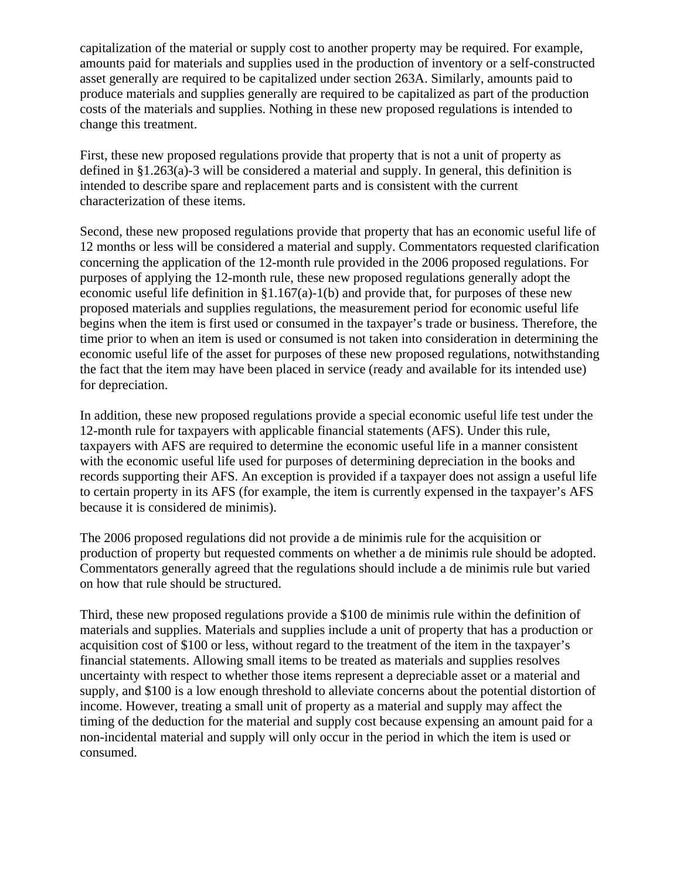capitalization of the material or supply cost to another property may be required. For example, amounts paid for materials and supplies used in the production of inventory or a self-constructed asset generally are required to be capitalized under section 263A. Similarly, amounts paid to produce materials and supplies generally are required to be capitalized as part of the production costs of the materials and supplies. Nothing in these new proposed regulations is intended to change this treatment.

First, these new proposed regulations provide that property that is not a unit of property as defined in  $\S1.263(a)$ -3 will be considered a material and supply. In general, this definition is intended to describe spare and replacement parts and is consistent with the current characterization of these items.

Second, these new proposed regulations provide that property that has an economic useful life of 12 months or less will be considered a material and supply. Commentators requested clarification concerning the application of the 12-month rule provided in the 2006 proposed regulations. For purposes of applying the 12-month rule, these new proposed regulations generally adopt the economic useful life definition in §1.167(a)-1(b) and provide that, for purposes of these new proposed materials and supplies regulations, the measurement period for economic useful life begins when the item is first used or consumed in the taxpayer's trade or business. Therefore, the time prior to when an item is used or consumed is not taken into consideration in determining the economic useful life of the asset for purposes of these new proposed regulations, notwithstanding the fact that the item may have been placed in service (ready and available for its intended use) for depreciation.

In addition, these new proposed regulations provide a special economic useful life test under the 12-month rule for taxpayers with applicable financial statements (AFS). Under this rule, taxpayers with AFS are required to determine the economic useful life in a manner consistent with the economic useful life used for purposes of determining depreciation in the books and records supporting their AFS. An exception is provided if a taxpayer does not assign a useful life to certain property in its AFS (for example, the item is currently expensed in the taxpayer's AFS because it is considered de minimis).

The 2006 proposed regulations did not provide a de minimis rule for the acquisition or production of property but requested comments on whether a de minimis rule should be adopted. Commentators generally agreed that the regulations should include a de minimis rule but varied on how that rule should be structured.

Third, these new proposed regulations provide a \$100 de minimis rule within the definition of materials and supplies. Materials and supplies include a unit of property that has a production or acquisition cost of \$100 or less, without regard to the treatment of the item in the taxpayer's financial statements. Allowing small items to be treated as materials and supplies resolves uncertainty with respect to whether those items represent a depreciable asset or a material and supply, and \$100 is a low enough threshold to alleviate concerns about the potential distortion of income. However, treating a small unit of property as a material and supply may affect the timing of the deduction for the material and supply cost because expensing an amount paid for a non-incidental material and supply will only occur in the period in which the item is used or consumed.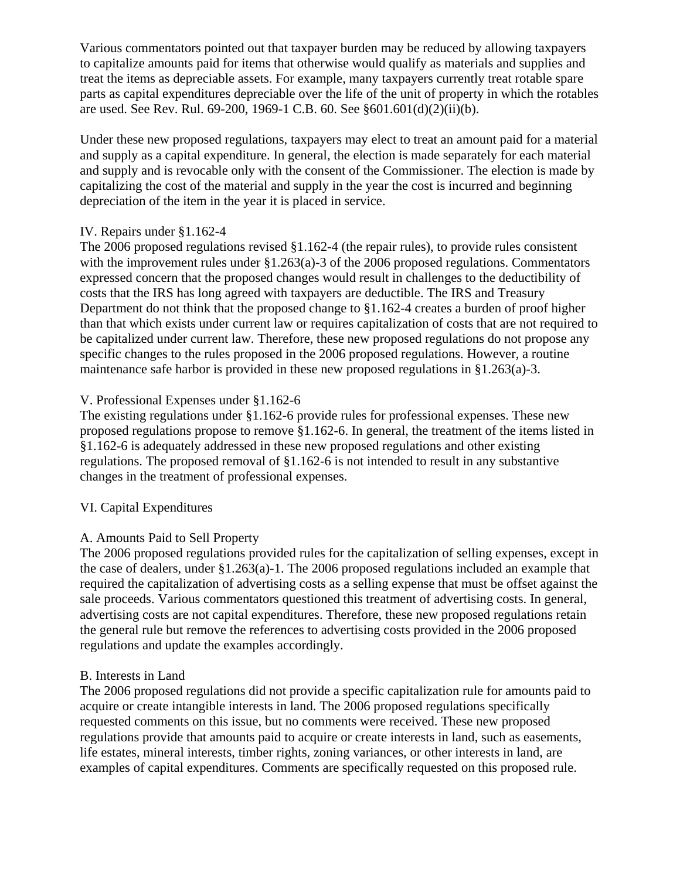Various commentators pointed out that taxpayer burden may be reduced by allowing taxpayers to capitalize amounts paid for items that otherwise would qualify as materials and supplies and treat the items as depreciable assets. For example, many taxpayers currently treat rotable spare parts as capital expenditures depreciable over the life of the unit of property in which the rotables are used. See Rev. Rul. 69-200, 1969-1 C.B. 60. See §601.601(d)(2)(ii)(b).

Under these new proposed regulations, taxpayers may elect to treat an amount paid for a material and supply as a capital expenditure. In general, the election is made separately for each material and supply and is revocable only with the consent of the Commissioner. The election is made by capitalizing the cost of the material and supply in the year the cost is incurred and beginning depreciation of the item in the year it is placed in service.

# IV. Repairs under §1.162-4

The 2006 proposed regulations revised §1.162-4 (the repair rules), to provide rules consistent with the improvement rules under §1.263(a)-3 of the 2006 proposed regulations. Commentators expressed concern that the proposed changes would result in challenges to the deductibility of costs that the IRS has long agreed with taxpayers are deductible. The IRS and Treasury Department do not think that the proposed change to §1.162-4 creates a burden of proof higher than that which exists under current law or requires capitalization of costs that are not required to be capitalized under current law. Therefore, these new proposed regulations do not propose any specific changes to the rules proposed in the 2006 proposed regulations. However, a routine maintenance safe harbor is provided in these new proposed regulations in §1.263(a)-3.

# V. Professional Expenses under §1.162-6

The existing regulations under §1.162-6 provide rules for professional expenses. These new proposed regulations propose to remove §1.162-6. In general, the treatment of the items listed in §1.162-6 is adequately addressed in these new proposed regulations and other existing regulations. The proposed removal of §1.162-6 is not intended to result in any substantive changes in the treatment of professional expenses.

# VI. Capital Expenditures

# A. Amounts Paid to Sell Property

The 2006 proposed regulations provided rules for the capitalization of selling expenses, except in the case of dealers, under §1.263(a)-1. The 2006 proposed regulations included an example that required the capitalization of advertising costs as a selling expense that must be offset against the sale proceeds. Various commentators questioned this treatment of advertising costs. In general, advertising costs are not capital expenditures. Therefore, these new proposed regulations retain the general rule but remove the references to advertising costs provided in the 2006 proposed regulations and update the examples accordingly.

### B. Interests in Land

The 2006 proposed regulations did not provide a specific capitalization rule for amounts paid to acquire or create intangible interests in land. The 2006 proposed regulations specifically requested comments on this issue, but no comments were received. These new proposed regulations provide that amounts paid to acquire or create interests in land, such as easements, life estates, mineral interests, timber rights, zoning variances, or other interests in land, are examples of capital expenditures. Comments are specifically requested on this proposed rule.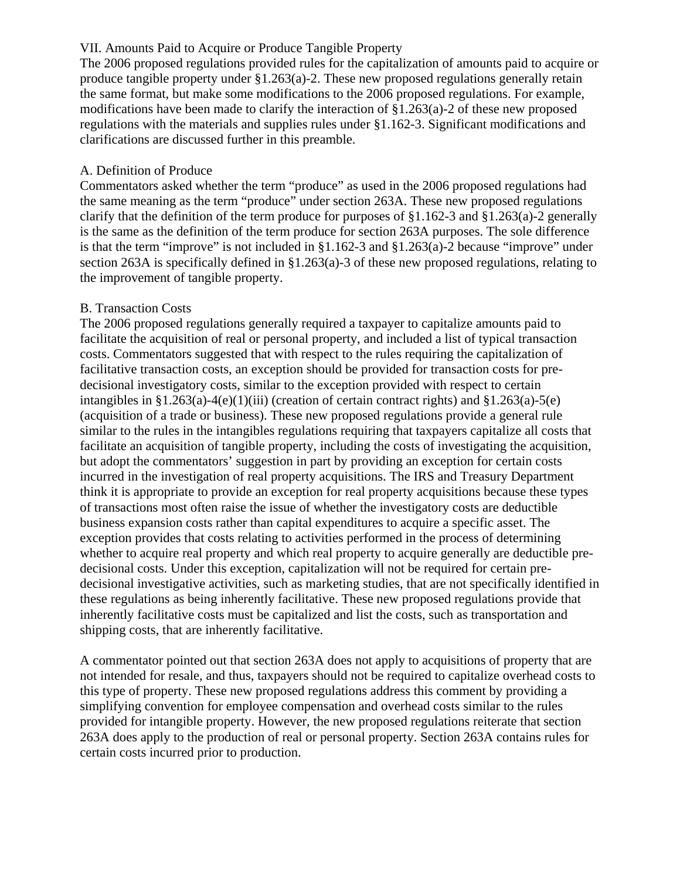# VII. Amounts Paid to Acquire or Produce Tangible Property

The 2006 proposed regulations provided rules for the capitalization of amounts paid to acquire or produce tangible property under §1.263(a)-2. These new proposed regulations generally retain the same format, but make some modifications to the 2006 proposed regulations. For example, modifications have been made to clarify the interaction of §1.263(a)-2 of these new proposed regulations with the materials and supplies rules under §1.162-3. Significant modifications and clarifications are discussed further in this preamble.

# A. Definition of Produce

Commentators asked whether the term "produce" as used in the 2006 proposed regulations had the same meaning as the term "produce" under section 263A. These new proposed regulations clarify that the definition of the term produce for purposes of §1.162-3 and §1.263(a)-2 generally is the same as the definition of the term produce for section 263A purposes. The sole difference is that the term "improve" is not included in  $\S1.162-3$  and  $\S1.263(a)-2$  because "improve" under section 263A is specifically defined in §1.263(a)-3 of these new proposed regulations, relating to the improvement of tangible property.

# B. Transaction Costs

The 2006 proposed regulations generally required a taxpayer to capitalize amounts paid to facilitate the acquisition of real or personal property, and included a list of typical transaction costs. Commentators suggested that with respect to the rules requiring the capitalization of facilitative transaction costs, an exception should be provided for transaction costs for predecisional investigatory costs, similar to the exception provided with respect to certain intangibles in  $\S1.263(a) - 4(e)(1)(iii)$  (creation of certain contract rights) and  $\S1.263(a) - 5(e)$ (acquisition of a trade or business). These new proposed regulations provide a general rule similar to the rules in the intangibles regulations requiring that taxpayers capitalize all costs that facilitate an acquisition of tangible property, including the costs of investigating the acquisition, but adopt the commentators' suggestion in part by providing an exception for certain costs incurred in the investigation of real property acquisitions. The IRS and Treasury Department think it is appropriate to provide an exception for real property acquisitions because these types of transactions most often raise the issue of whether the investigatory costs are deductible business expansion costs rather than capital expenditures to acquire a specific asset. The exception provides that costs relating to activities performed in the process of determining whether to acquire real property and which real property to acquire generally are deductible predecisional costs. Under this exception, capitalization will not be required for certain predecisional investigative activities, such as marketing studies, that are not specifically identified in these regulations as being inherently facilitative. These new proposed regulations provide that inherently facilitative costs must be capitalized and list the costs, such as transportation and shipping costs, that are inherently facilitative.

A commentator pointed out that section 263A does not apply to acquisitions of property that are not intended for resale, and thus, taxpayers should not be required to capitalize overhead costs to this type of property. These new proposed regulations address this comment by providing a simplifying convention for employee compensation and overhead costs similar to the rules provided for intangible property. However, the new proposed regulations reiterate that section 263A does apply to the production of real or personal property. Section 263A contains rules for certain costs incurred prior to production.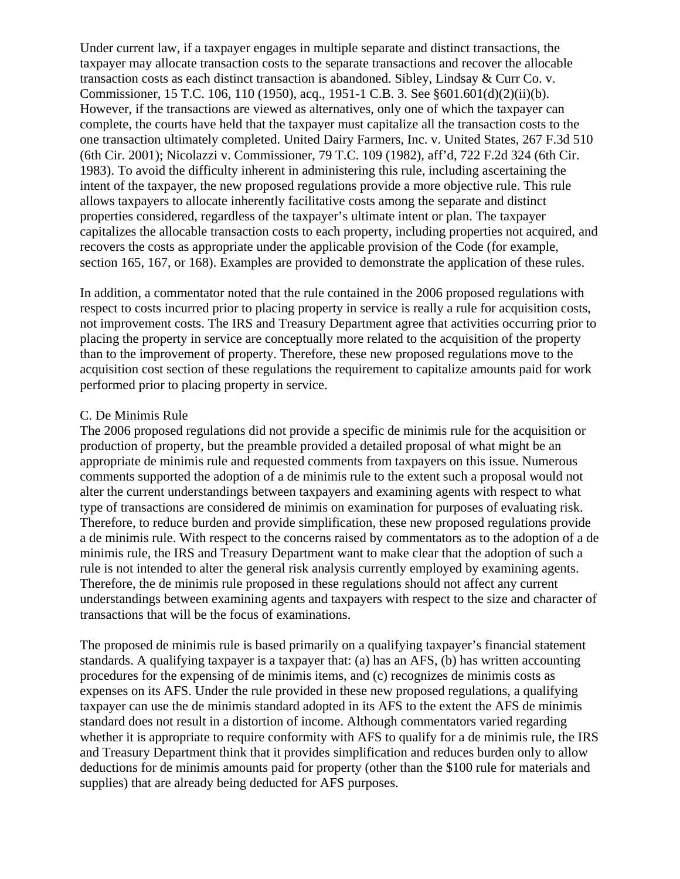Under current law, if a taxpayer engages in multiple separate and distinct transactions, the taxpayer may allocate transaction costs to the separate transactions and recover the allocable transaction costs as each distinct transaction is abandoned. Sibley, Lindsay & Curr Co. v. Commissioner, 15 T.C. 106, 110 (1950), acq., 1951-1 C.B. 3. See §601.601(d)(2)(ii)(b). However, if the transactions are viewed as alternatives, only one of which the taxpayer can complete, the courts have held that the taxpayer must capitalize all the transaction costs to the one transaction ultimately completed. United Dairy Farmers, Inc. v. United States, 267 F.3d 510 (6th Cir. 2001); Nicolazzi v. Commissioner, 79 T.C. 109 (1982), aff'd, 722 F.2d 324 (6th Cir. 1983). To avoid the difficulty inherent in administering this rule, including ascertaining the intent of the taxpayer, the new proposed regulations provide a more objective rule. This rule allows taxpayers to allocate inherently facilitative costs among the separate and distinct properties considered, regardless of the taxpayer's ultimate intent or plan. The taxpayer capitalizes the allocable transaction costs to each property, including properties not acquired, and recovers the costs as appropriate under the applicable provision of the Code (for example, section 165, 167, or 168). Examples are provided to demonstrate the application of these rules.

In addition, a commentator noted that the rule contained in the 2006 proposed regulations with respect to costs incurred prior to placing property in service is really a rule for acquisition costs, not improvement costs. The IRS and Treasury Department agree that activities occurring prior to placing the property in service are conceptually more related to the acquisition of the property than to the improvement of property. Therefore, these new proposed regulations move to the acquisition cost section of these regulations the requirement to capitalize amounts paid for work performed prior to placing property in service.

### C. De Minimis Rule

The 2006 proposed regulations did not provide a specific de minimis rule for the acquisition or production of property, but the preamble provided a detailed proposal of what might be an appropriate de minimis rule and requested comments from taxpayers on this issue. Numerous comments supported the adoption of a de minimis rule to the extent such a proposal would not alter the current understandings between taxpayers and examining agents with respect to what type of transactions are considered de minimis on examination for purposes of evaluating risk. Therefore, to reduce burden and provide simplification, these new proposed regulations provide a de minimis rule. With respect to the concerns raised by commentators as to the adoption of a de minimis rule, the IRS and Treasury Department want to make clear that the adoption of such a rule is not intended to alter the general risk analysis currently employed by examining agents. Therefore, the de minimis rule proposed in these regulations should not affect any current understandings between examining agents and taxpayers with respect to the size and character of transactions that will be the focus of examinations.

The proposed de minimis rule is based primarily on a qualifying taxpayer's financial statement standards. A qualifying taxpayer is a taxpayer that: (a) has an AFS, (b) has written accounting procedures for the expensing of de minimis items, and (c) recognizes de minimis costs as expenses on its AFS. Under the rule provided in these new proposed regulations, a qualifying taxpayer can use the de minimis standard adopted in its AFS to the extent the AFS de minimis standard does not result in a distortion of income. Although commentators varied regarding whether it is appropriate to require conformity with AFS to qualify for a de minimis rule, the IRS and Treasury Department think that it provides simplification and reduces burden only to allow deductions for de minimis amounts paid for property (other than the \$100 rule for materials and supplies) that are already being deducted for AFS purposes.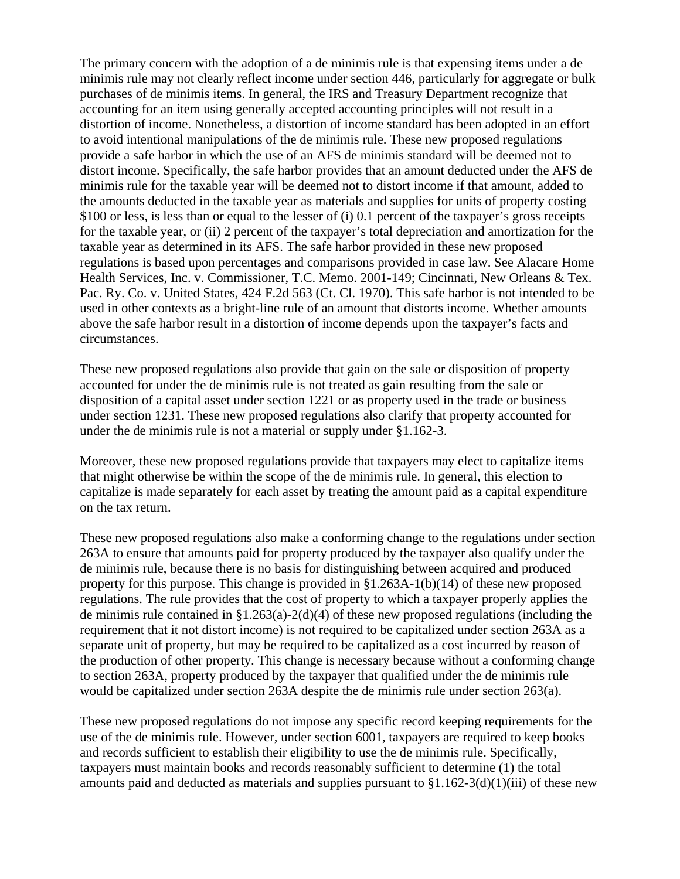The primary concern with the adoption of a de minimis rule is that expensing items under a de minimis rule may not clearly reflect income under section 446, particularly for aggregate or bulk purchases of de minimis items. In general, the IRS and Treasury Department recognize that accounting for an item using generally accepted accounting principles will not result in a distortion of income. Nonetheless, a distortion of income standard has been adopted in an effort to avoid intentional manipulations of the de minimis rule. These new proposed regulations provide a safe harbor in which the use of an AFS de minimis standard will be deemed not to distort income. Specifically, the safe harbor provides that an amount deducted under the AFS de minimis rule for the taxable year will be deemed not to distort income if that amount, added to the amounts deducted in the taxable year as materials and supplies for units of property costing \$100 or less, is less than or equal to the lesser of (i) 0.1 percent of the taxpayer's gross receipts for the taxable year, or (ii) 2 percent of the taxpayer's total depreciation and amortization for the taxable year as determined in its AFS. The safe harbor provided in these new proposed regulations is based upon percentages and comparisons provided in case law. See Alacare Home Health Services, Inc. v. Commissioner, T.C. Memo. 2001-149; Cincinnati, New Orleans & Tex. Pac. Ry. Co. v. United States, 424 F.2d 563 (Ct. Cl. 1970). This safe harbor is not intended to be used in other contexts as a bright-line rule of an amount that distorts income. Whether amounts above the safe harbor result in a distortion of income depends upon the taxpayer's facts and circumstances.

These new proposed regulations also provide that gain on the sale or disposition of property accounted for under the de minimis rule is not treated as gain resulting from the sale or disposition of a capital asset under section 1221 or as property used in the trade or business under section 1231. These new proposed regulations also clarify that property accounted for under the de minimis rule is not a material or supply under §1.162-3.

Moreover, these new proposed regulations provide that taxpayers may elect to capitalize items that might otherwise be within the scope of the de minimis rule. In general, this election to capitalize is made separately for each asset by treating the amount paid as a capital expenditure on the tax return.

These new proposed regulations also make a conforming change to the regulations under section 263A to ensure that amounts paid for property produced by the taxpayer also qualify under the de minimis rule, because there is no basis for distinguishing between acquired and produced property for this purpose. This change is provided in  $\S1.263A-1(b)(14)$  of these new proposed regulations. The rule provides that the cost of property to which a taxpayer properly applies the de minimis rule contained in  $\S1.263(a)-2(d)(4)$  of these new proposed regulations (including the requirement that it not distort income) is not required to be capitalized under section 263A as a separate unit of property, but may be required to be capitalized as a cost incurred by reason of the production of other property. This change is necessary because without a conforming change to section 263A, property produced by the taxpayer that qualified under the de minimis rule would be capitalized under section 263A despite the de minimis rule under section 263(a).

These new proposed regulations do not impose any specific record keeping requirements for the use of the de minimis rule. However, under section 6001, taxpayers are required to keep books and records sufficient to establish their eligibility to use the de minimis rule. Specifically, taxpayers must maintain books and records reasonably sufficient to determine (1) the total amounts paid and deducted as materials and supplies pursuant to  $\S1.162-3(d)(1)(iii)$  of these new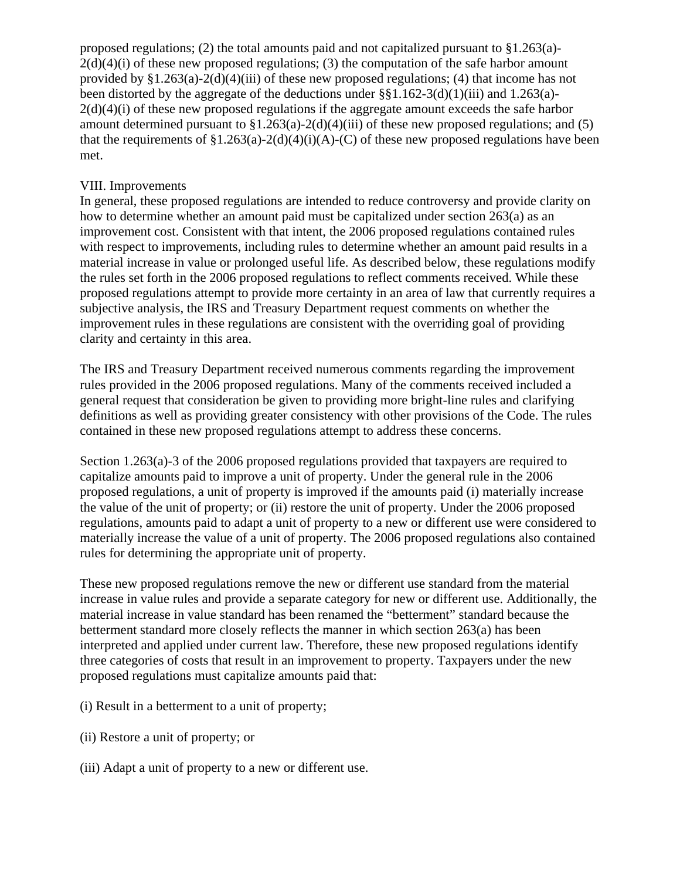proposed regulations; (2) the total amounts paid and not capitalized pursuant to §1.263(a)-  $2(d)(4)(i)$  of these new proposed regulations; (3) the computation of the safe harbor amount provided by  $\S1.263(a)-2(d)(4)(iii)$  of these new proposed regulations; (4) that income has not been distorted by the aggregate of the deductions under  $\S$ §1.162-3(d)(1)(iii) and 1.263(a)- $2(d)(4)(i)$  of these new proposed regulations if the aggregate amount exceeds the safe harbor amount determined pursuant to  $\S1.263(a)-2(d)(4)(iii)$  of these new proposed regulations; and (5) that the requirements of  $\S1.263(a)-2(d)(4)(i)(A)-(C)$  of these new proposed regulations have been met.

# VIII. Improvements

In general, these proposed regulations are intended to reduce controversy and provide clarity on how to determine whether an amount paid must be capitalized under section 263(a) as an improvement cost. Consistent with that intent, the 2006 proposed regulations contained rules with respect to improvements, including rules to determine whether an amount paid results in a material increase in value or prolonged useful life. As described below, these regulations modify the rules set forth in the 2006 proposed regulations to reflect comments received. While these proposed regulations attempt to provide more certainty in an area of law that currently requires a subjective analysis, the IRS and Treasury Department request comments on whether the improvement rules in these regulations are consistent with the overriding goal of providing clarity and certainty in this area.

The IRS and Treasury Department received numerous comments regarding the improvement rules provided in the 2006 proposed regulations. Many of the comments received included a general request that consideration be given to providing more bright-line rules and clarifying definitions as well as providing greater consistency with other provisions of the Code. The rules contained in these new proposed regulations attempt to address these concerns.

Section 1.263(a)-3 of the 2006 proposed regulations provided that taxpayers are required to capitalize amounts paid to improve a unit of property. Under the general rule in the 2006 proposed regulations, a unit of property is improved if the amounts paid (i) materially increase the value of the unit of property; or (ii) restore the unit of property. Under the 2006 proposed regulations, amounts paid to adapt a unit of property to a new or different use were considered to materially increase the value of a unit of property. The 2006 proposed regulations also contained rules for determining the appropriate unit of property.

These new proposed regulations remove the new or different use standard from the material increase in value rules and provide a separate category for new or different use. Additionally, the material increase in value standard has been renamed the "betterment" standard because the betterment standard more closely reflects the manner in which section 263(a) has been interpreted and applied under current law. Therefore, these new proposed regulations identify three categories of costs that result in an improvement to property. Taxpayers under the new proposed regulations must capitalize amounts paid that:

- (i) Result in a betterment to a unit of property;
- (ii) Restore a unit of property; or
- (iii) Adapt a unit of property to a new or different use.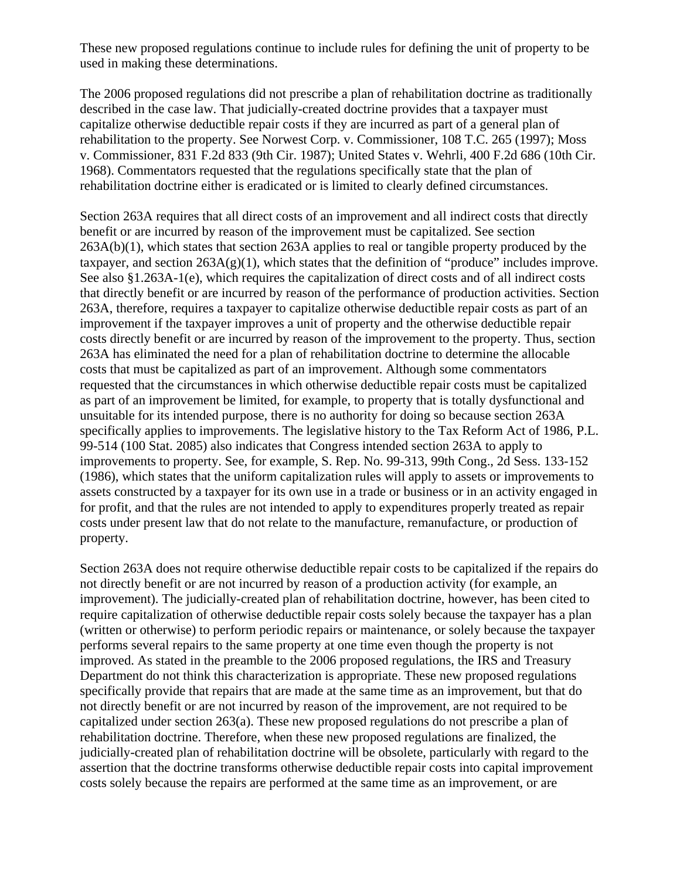These new proposed regulations continue to include rules for defining the unit of property to be used in making these determinations.

The 2006 proposed regulations did not prescribe a plan of rehabilitation doctrine as traditionally described in the case law. That judicially-created doctrine provides that a taxpayer must capitalize otherwise deductible repair costs if they are incurred as part of a general plan of rehabilitation to the property. See Norwest Corp. v. Commissioner, 108 T.C. 265 (1997); Moss v. Commissioner, 831 F.2d 833 (9th Cir. 1987); United States v. Wehrli, 400 F.2d 686 (10th Cir. 1968). Commentators requested that the regulations specifically state that the plan of rehabilitation doctrine either is eradicated or is limited to clearly defined circumstances.

Section 263A requires that all direct costs of an improvement and all indirect costs that directly benefit or are incurred by reason of the improvement must be capitalized. See section  $263A(b)(1)$ , which states that section  $263A$  applies to real or tangible property produced by the taxpayer, and section  $263A(g)(1)$ , which states that the definition of "produce" includes improve. See also §1.263A-1(e), which requires the capitalization of direct costs and of all indirect costs that directly benefit or are incurred by reason of the performance of production activities. Section 263A, therefore, requires a taxpayer to capitalize otherwise deductible repair costs as part of an improvement if the taxpayer improves a unit of property and the otherwise deductible repair costs directly benefit or are incurred by reason of the improvement to the property. Thus, section 263A has eliminated the need for a plan of rehabilitation doctrine to determine the allocable costs that must be capitalized as part of an improvement. Although some commentators requested that the circumstances in which otherwise deductible repair costs must be capitalized as part of an improvement be limited, for example, to property that is totally dysfunctional and unsuitable for its intended purpose, there is no authority for doing so because section 263A specifically applies to improvements. The legislative history to the Tax Reform Act of 1986, P.L. 99-514 (100 Stat. 2085) also indicates that Congress intended section 263A to apply to improvements to property. See, for example, S. Rep. No. 99-313, 99th Cong., 2d Sess. 133-152 (1986), which states that the uniform capitalization rules will apply to assets or improvements to assets constructed by a taxpayer for its own use in a trade or business or in an activity engaged in for profit, and that the rules are not intended to apply to expenditures properly treated as repair costs under present law that do not relate to the manufacture, remanufacture, or production of property.

Section 263A does not require otherwise deductible repair costs to be capitalized if the repairs do not directly benefit or are not incurred by reason of a production activity (for example, an improvement). The judicially-created plan of rehabilitation doctrine, however, has been cited to require capitalization of otherwise deductible repair costs solely because the taxpayer has a plan (written or otherwise) to perform periodic repairs or maintenance, or solely because the taxpayer performs several repairs to the same property at one time even though the property is not improved. As stated in the preamble to the 2006 proposed regulations, the IRS and Treasury Department do not think this characterization is appropriate. These new proposed regulations specifically provide that repairs that are made at the same time as an improvement, but that do not directly benefit or are not incurred by reason of the improvement, are not required to be capitalized under section 263(a). These new proposed regulations do not prescribe a plan of rehabilitation doctrine. Therefore, when these new proposed regulations are finalized, the judicially-created plan of rehabilitation doctrine will be obsolete, particularly with regard to the assertion that the doctrine transforms otherwise deductible repair costs into capital improvement costs solely because the repairs are performed at the same time as an improvement, or are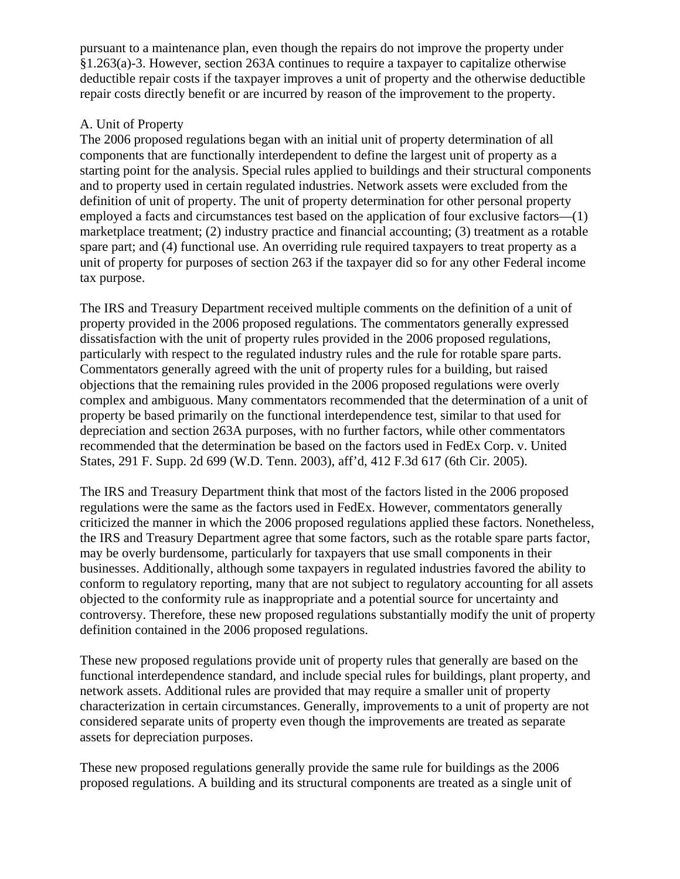pursuant to a maintenance plan, even though the repairs do not improve the property under §1.263(a)-3. However, section 263A continues to require a taxpayer to capitalize otherwise deductible repair costs if the taxpayer improves a unit of property and the otherwise deductible repair costs directly benefit or are incurred by reason of the improvement to the property.

# A. Unit of Property

The 2006 proposed regulations began with an initial unit of property determination of all components that are functionally interdependent to define the largest unit of property as a starting point for the analysis. Special rules applied to buildings and their structural components and to property used in certain regulated industries. Network assets were excluded from the definition of unit of property. The unit of property determination for other personal property employed a facts and circumstances test based on the application of four exclusive factors—(1) marketplace treatment; (2) industry practice and financial accounting; (3) treatment as a rotable spare part; and (4) functional use. An overriding rule required taxpayers to treat property as a unit of property for purposes of section 263 if the taxpayer did so for any other Federal income tax purpose.

The IRS and Treasury Department received multiple comments on the definition of a unit of property provided in the 2006 proposed regulations. The commentators generally expressed dissatisfaction with the unit of property rules provided in the 2006 proposed regulations, particularly with respect to the regulated industry rules and the rule for rotable spare parts. Commentators generally agreed with the unit of property rules for a building, but raised objections that the remaining rules provided in the 2006 proposed regulations were overly complex and ambiguous. Many commentators recommended that the determination of a unit of property be based primarily on the functional interdependence test, similar to that used for depreciation and section 263A purposes, with no further factors, while other commentators recommended that the determination be based on the factors used in FedEx Corp. v. United States, 291 F. Supp. 2d 699 (W.D. Tenn. 2003), aff'd, 412 F.3d 617 (6th Cir. 2005).

The IRS and Treasury Department think that most of the factors listed in the 2006 proposed regulations were the same as the factors used in FedEx. However, commentators generally criticized the manner in which the 2006 proposed regulations applied these factors. Nonetheless, the IRS and Treasury Department agree that some factors, such as the rotable spare parts factor, may be overly burdensome, particularly for taxpayers that use small components in their businesses. Additionally, although some taxpayers in regulated industries favored the ability to conform to regulatory reporting, many that are not subject to regulatory accounting for all assets objected to the conformity rule as inappropriate and a potential source for uncertainty and controversy. Therefore, these new proposed regulations substantially modify the unit of property definition contained in the 2006 proposed regulations.

These new proposed regulations provide unit of property rules that generally are based on the functional interdependence standard, and include special rules for buildings, plant property, and network assets. Additional rules are provided that may require a smaller unit of property characterization in certain circumstances. Generally, improvements to a unit of property are not considered separate units of property even though the improvements are treated as separate assets for depreciation purposes.

These new proposed regulations generally provide the same rule for buildings as the 2006 proposed regulations. A building and its structural components are treated as a single unit of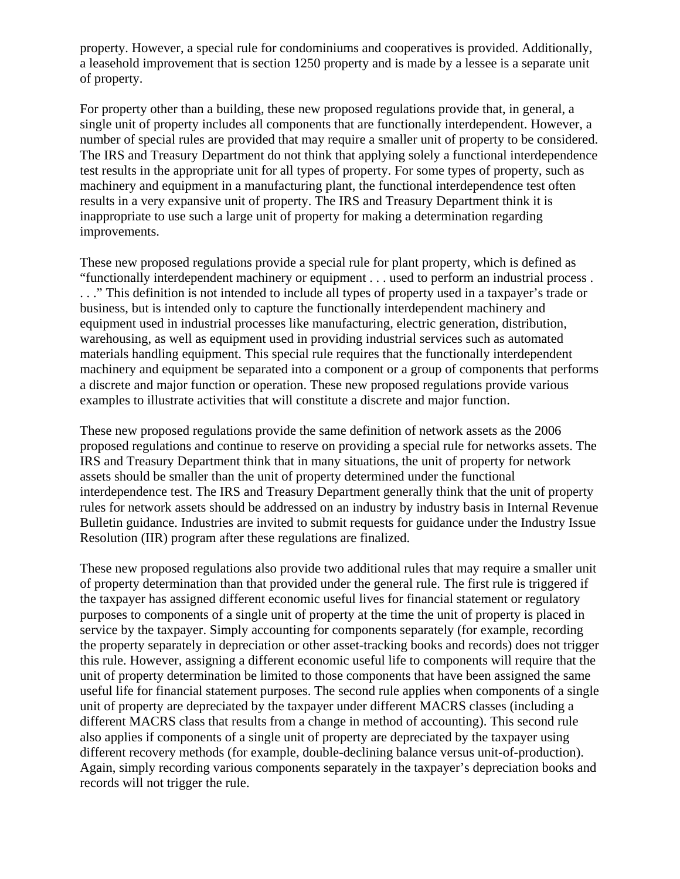property. However, a special rule for condominiums and cooperatives is provided. Additionally, a leasehold improvement that is section 1250 property and is made by a lessee is a separate unit of property.

For property other than a building, these new proposed regulations provide that, in general, a single unit of property includes all components that are functionally interdependent. However, a number of special rules are provided that may require a smaller unit of property to be considered. The IRS and Treasury Department do not think that applying solely a functional interdependence test results in the appropriate unit for all types of property. For some types of property, such as machinery and equipment in a manufacturing plant, the functional interdependence test often results in a very expansive unit of property. The IRS and Treasury Department think it is inappropriate to use such a large unit of property for making a determination regarding improvements.

These new proposed regulations provide a special rule for plant property, which is defined as "functionally interdependent machinery or equipment . . . used to perform an industrial process . . . ." This definition is not intended to include all types of property used in a taxpayer's trade or business, but is intended only to capture the functionally interdependent machinery and equipment used in industrial processes like manufacturing, electric generation, distribution, warehousing, as well as equipment used in providing industrial services such as automated materials handling equipment. This special rule requires that the functionally interdependent machinery and equipment be separated into a component or a group of components that performs a discrete and major function or operation. These new proposed regulations provide various examples to illustrate activities that will constitute a discrete and major function.

These new proposed regulations provide the same definition of network assets as the 2006 proposed regulations and continue to reserve on providing a special rule for networks assets. The IRS and Treasury Department think that in many situations, the unit of property for network assets should be smaller than the unit of property determined under the functional interdependence test. The IRS and Treasury Department generally think that the unit of property rules for network assets should be addressed on an industry by industry basis in Internal Revenue Bulletin guidance. Industries are invited to submit requests for guidance under the Industry Issue Resolution (IIR) program after these regulations are finalized.

These new proposed regulations also provide two additional rules that may require a smaller unit of property determination than that provided under the general rule. The first rule is triggered if the taxpayer has assigned different economic useful lives for financial statement or regulatory purposes to components of a single unit of property at the time the unit of property is placed in service by the taxpayer. Simply accounting for components separately (for example, recording the property separately in depreciation or other asset-tracking books and records) does not trigger this rule. However, assigning a different economic useful life to components will require that the unit of property determination be limited to those components that have been assigned the same useful life for financial statement purposes. The second rule applies when components of a single unit of property are depreciated by the taxpayer under different MACRS classes (including a different MACRS class that results from a change in method of accounting). This second rule also applies if components of a single unit of property are depreciated by the taxpayer using different recovery methods (for example, double-declining balance versus unit-of-production). Again, simply recording various components separately in the taxpayer's depreciation books and records will not trigger the rule.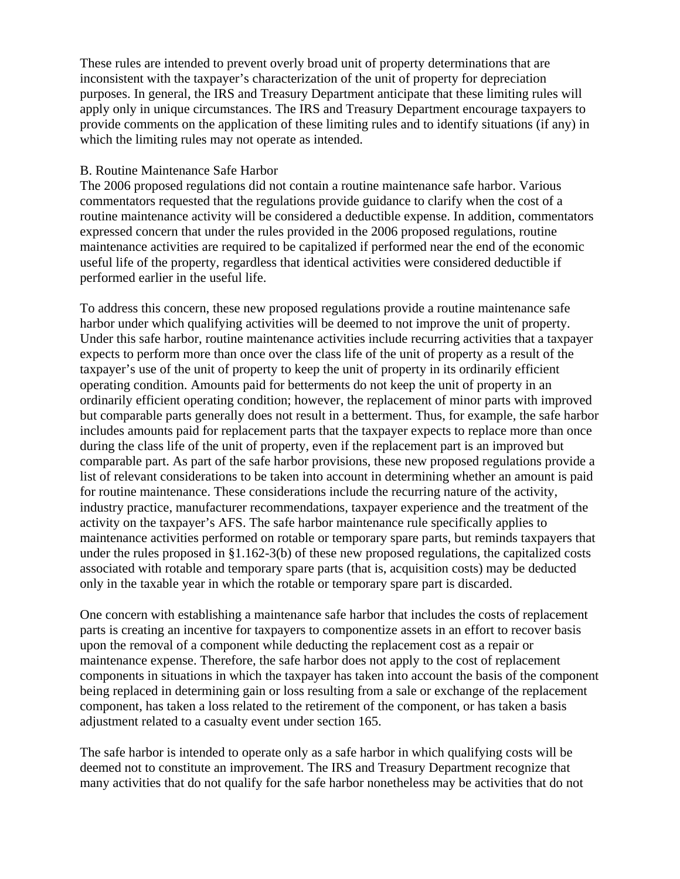These rules are intended to prevent overly broad unit of property determinations that are inconsistent with the taxpayer's characterization of the unit of property for depreciation purposes. In general, the IRS and Treasury Department anticipate that these limiting rules will apply only in unique circumstances. The IRS and Treasury Department encourage taxpayers to provide comments on the application of these limiting rules and to identify situations (if any) in which the limiting rules may not operate as intended.

#### B. Routine Maintenance Safe Harbor

The 2006 proposed regulations did not contain a routine maintenance safe harbor. Various commentators requested that the regulations provide guidance to clarify when the cost of a routine maintenance activity will be considered a deductible expense. In addition, commentators expressed concern that under the rules provided in the 2006 proposed regulations, routine maintenance activities are required to be capitalized if performed near the end of the economic useful life of the property, regardless that identical activities were considered deductible if performed earlier in the useful life.

To address this concern, these new proposed regulations provide a routine maintenance safe harbor under which qualifying activities will be deemed to not improve the unit of property. Under this safe harbor, routine maintenance activities include recurring activities that a taxpayer expects to perform more than once over the class life of the unit of property as a result of the taxpayer's use of the unit of property to keep the unit of property in its ordinarily efficient operating condition. Amounts paid for betterments do not keep the unit of property in an ordinarily efficient operating condition; however, the replacement of minor parts with improved but comparable parts generally does not result in a betterment. Thus, for example, the safe harbor includes amounts paid for replacement parts that the taxpayer expects to replace more than once during the class life of the unit of property, even if the replacement part is an improved but comparable part. As part of the safe harbor provisions, these new proposed regulations provide a list of relevant considerations to be taken into account in determining whether an amount is paid for routine maintenance. These considerations include the recurring nature of the activity, industry practice, manufacturer recommendations, taxpayer experience and the treatment of the activity on the taxpayer's AFS. The safe harbor maintenance rule specifically applies to maintenance activities performed on rotable or temporary spare parts, but reminds taxpayers that under the rules proposed in §1.162-3(b) of these new proposed regulations, the capitalized costs associated with rotable and temporary spare parts (that is, acquisition costs) may be deducted only in the taxable year in which the rotable or temporary spare part is discarded.

One concern with establishing a maintenance safe harbor that includes the costs of replacement parts is creating an incentive for taxpayers to componentize assets in an effort to recover basis upon the removal of a component while deducting the replacement cost as a repair or maintenance expense. Therefore, the safe harbor does not apply to the cost of replacement components in situations in which the taxpayer has taken into account the basis of the component being replaced in determining gain or loss resulting from a sale or exchange of the replacement component, has taken a loss related to the retirement of the component, or has taken a basis adjustment related to a casualty event under section 165.

The safe harbor is intended to operate only as a safe harbor in which qualifying costs will be deemed not to constitute an improvement. The IRS and Treasury Department recognize that many activities that do not qualify for the safe harbor nonetheless may be activities that do not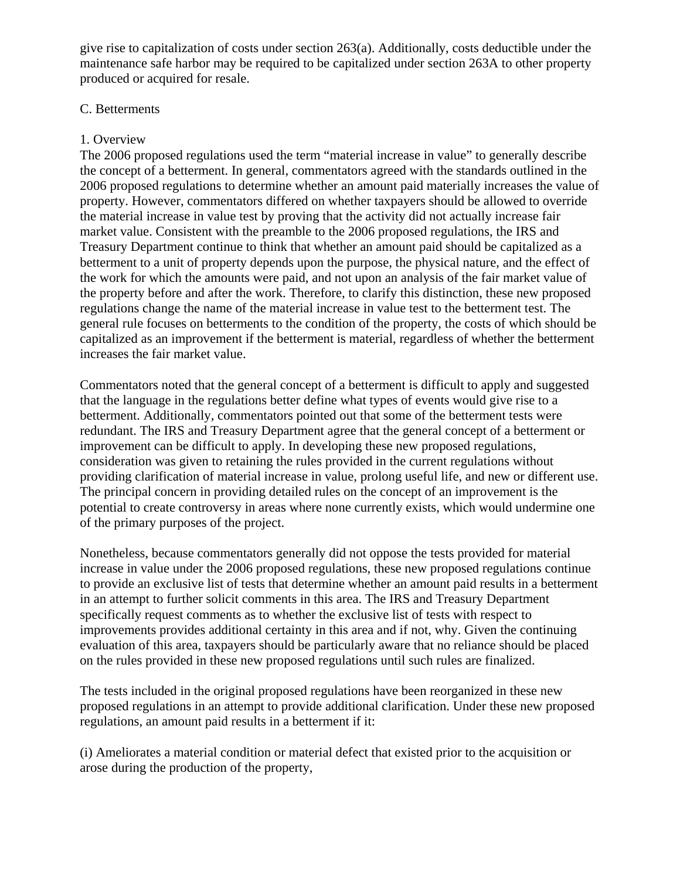give rise to capitalization of costs under section  $263(a)$ . Additionally, costs deductible under the maintenance safe harbor may be required to be capitalized under section 263A to other property produced or acquired for resale.

### C. Betterments

# 1. Overview

The 2006 proposed regulations used the term "material increase in value" to generally describe the concept of a betterment. In general, commentators agreed with the standards outlined in the 2006 proposed regulations to determine whether an amount paid materially increases the value of property. However, commentators differed on whether taxpayers should be allowed to override the material increase in value test by proving that the activity did not actually increase fair market value. Consistent with the preamble to the 2006 proposed regulations, the IRS and Treasury Department continue to think that whether an amount paid should be capitalized as a betterment to a unit of property depends upon the purpose, the physical nature, and the effect of the work for which the amounts were paid, and not upon an analysis of the fair market value of the property before and after the work. Therefore, to clarify this distinction, these new proposed regulations change the name of the material increase in value test to the betterment test. The general rule focuses on betterments to the condition of the property, the costs of which should be capitalized as an improvement if the betterment is material, regardless of whether the betterment increases the fair market value.

Commentators noted that the general concept of a betterment is difficult to apply and suggested that the language in the regulations better define what types of events would give rise to a betterment. Additionally, commentators pointed out that some of the betterment tests were redundant. The IRS and Treasury Department agree that the general concept of a betterment or improvement can be difficult to apply. In developing these new proposed regulations, consideration was given to retaining the rules provided in the current regulations without providing clarification of material increase in value, prolong useful life, and new or different use. The principal concern in providing detailed rules on the concept of an improvement is the potential to create controversy in areas where none currently exists, which would undermine one of the primary purposes of the project.

Nonetheless, because commentators generally did not oppose the tests provided for material increase in value under the 2006 proposed regulations, these new proposed regulations continue to provide an exclusive list of tests that determine whether an amount paid results in a betterment in an attempt to further solicit comments in this area. The IRS and Treasury Department specifically request comments as to whether the exclusive list of tests with respect to improvements provides additional certainty in this area and if not, why. Given the continuing evaluation of this area, taxpayers should be particularly aware that no reliance should be placed on the rules provided in these new proposed regulations until such rules are finalized.

The tests included in the original proposed regulations have been reorganized in these new proposed regulations in an attempt to provide additional clarification. Under these new proposed regulations, an amount paid results in a betterment if it:

(i) Ameliorates a material condition or material defect that existed prior to the acquisition or arose during the production of the property,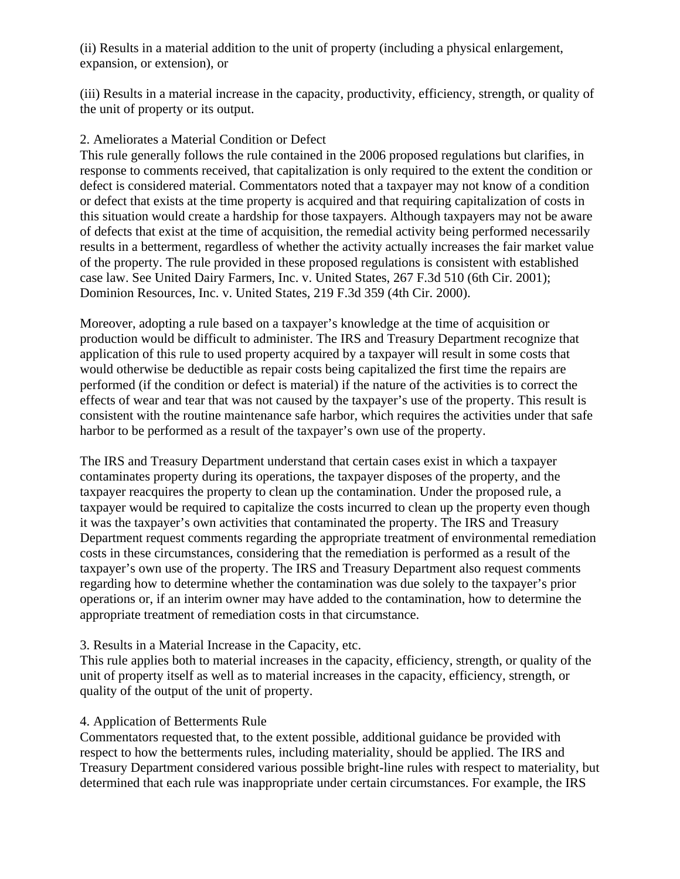(ii) Results in a material addition to the unit of property (including a physical enlargement, expansion, or extension), or

(iii) Results in a material increase in the capacity, productivity, efficiency, strength, or quality of the unit of property or its output.

# 2. Ameliorates a Material Condition or Defect

This rule generally follows the rule contained in the 2006 proposed regulations but clarifies, in response to comments received, that capitalization is only required to the extent the condition or defect is considered material. Commentators noted that a taxpayer may not know of a condition or defect that exists at the time property is acquired and that requiring capitalization of costs in this situation would create a hardship for those taxpayers. Although taxpayers may not be aware of defects that exist at the time of acquisition, the remedial activity being performed necessarily results in a betterment, regardless of whether the activity actually increases the fair market value of the property. The rule provided in these proposed regulations is consistent with established case law. See United Dairy Farmers, Inc. v. United States, 267 F.3d 510 (6th Cir. 2001); Dominion Resources, Inc. v. United States, 219 F.3d 359 (4th Cir. 2000).

Moreover, adopting a rule based on a taxpayer's knowledge at the time of acquisition or production would be difficult to administer. The IRS and Treasury Department recognize that application of this rule to used property acquired by a taxpayer will result in some costs that would otherwise be deductible as repair costs being capitalized the first time the repairs are performed (if the condition or defect is material) if the nature of the activities is to correct the effects of wear and tear that was not caused by the taxpayer's use of the property. This result is consistent with the routine maintenance safe harbor, which requires the activities under that safe harbor to be performed as a result of the taxpayer's own use of the property.

The IRS and Treasury Department understand that certain cases exist in which a taxpayer contaminates property during its operations, the taxpayer disposes of the property, and the taxpayer reacquires the property to clean up the contamination. Under the proposed rule, a taxpayer would be required to capitalize the costs incurred to clean up the property even though it was the taxpayer's own activities that contaminated the property. The IRS and Treasury Department request comments regarding the appropriate treatment of environmental remediation costs in these circumstances, considering that the remediation is performed as a result of the taxpayer's own use of the property. The IRS and Treasury Department also request comments regarding how to determine whether the contamination was due solely to the taxpayer's prior operations or, if an interim owner may have added to the contamination, how to determine the appropriate treatment of remediation costs in that circumstance.

### 3. Results in a Material Increase in the Capacity, etc.

This rule applies both to material increases in the capacity, efficiency, strength, or quality of the unit of property itself as well as to material increases in the capacity, efficiency, strength, or quality of the output of the unit of property.

# 4. Application of Betterments Rule

Commentators requested that, to the extent possible, additional guidance be provided with respect to how the betterments rules, including materiality, should be applied. The IRS and Treasury Department considered various possible bright-line rules with respect to materiality, but determined that each rule was inappropriate under certain circumstances. For example, the IRS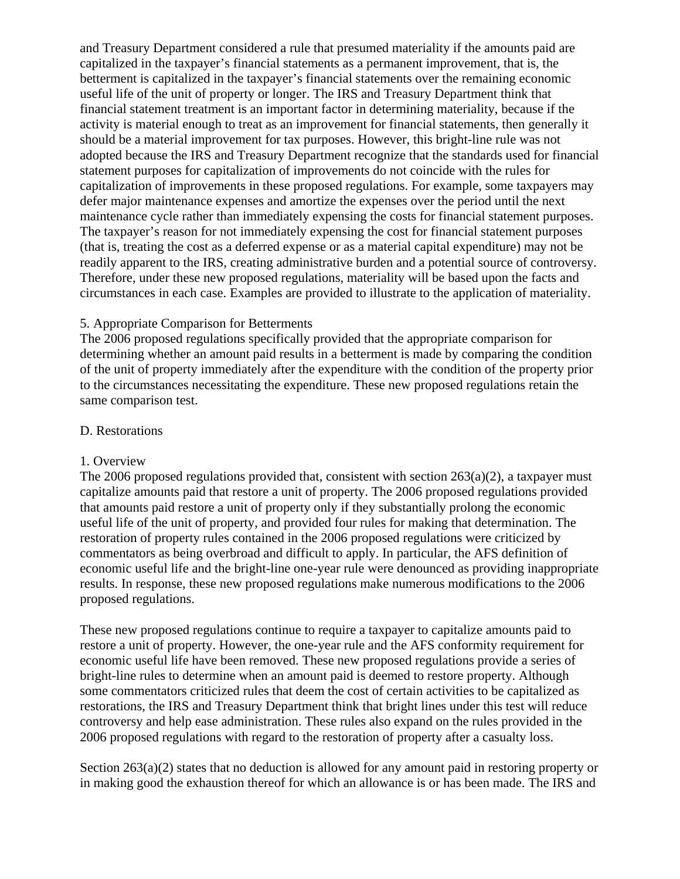and Treasury Department considered a rule that presumed materiality if the amounts paid are capitalized in the taxpayer's financial statements as a permanent improvement, that is, the betterment is capitalized in the taxpayer's financial statements over the remaining economic useful life of the unit of property or longer. The IRS and Treasury Department think that financial statement treatment is an important factor in determining materiality, because if the activity is material enough to treat as an improvement for financial statements, then generally it should be a material improvement for tax purposes. However, this bright-line rule was not adopted because the IRS and Treasury Department recognize that the standards used for financial statement purposes for capitalization of improvements do not coincide with the rules for capitalization of improvements in these proposed regulations. For example, some taxpayers may defer major maintenance expenses and amortize the expenses over the period until the next maintenance cycle rather than immediately expensing the costs for financial statement purposes. The taxpayer's reason for not immediately expensing the cost for financial statement purposes (that is, treating the cost as a deferred expense or as a material capital expenditure) may not be readily apparent to the IRS, creating administrative burden and a potential source of controversy. Therefore, under these new proposed regulations, materiality will be based upon the facts and circumstances in each case. Examples are provided to illustrate to the application of materiality.

# 5. Appropriate Comparison for Betterments

The 2006 proposed regulations specifically provided that the appropriate comparison for determining whether an amount paid results in a betterment is made by comparing the condition of the unit of property immediately after the expenditure with the condition of the property prior to the circumstances necessitating the expenditure. These new proposed regulations retain the same comparison test.

### D. Restorations

### 1. Overview

The 2006 proposed regulations provided that, consistent with section 263(a)(2), a taxpayer must capitalize amounts paid that restore a unit of property. The 2006 proposed regulations provided that amounts paid restore a unit of property only if they substantially prolong the economic useful life of the unit of property, and provided four rules for making that determination. The restoration of property rules contained in the 2006 proposed regulations were criticized by commentators as being overbroad and difficult to apply. In particular, the AFS definition of economic useful life and the bright-line one-year rule were denounced as providing inappropriate results. In response, these new proposed regulations make numerous modifications to the 2006 proposed regulations.

These new proposed regulations continue to require a taxpayer to capitalize amounts paid to restore a unit of property. However, the one-year rule and the AFS conformity requirement for economic useful life have been removed. These new proposed regulations provide a series of bright-line rules to determine when an amount paid is deemed to restore property. Although some commentators criticized rules that deem the cost of certain activities to be capitalized as restorations, the IRS and Treasury Department think that bright lines under this test will reduce controversy and help ease administration. These rules also expand on the rules provided in the 2006 proposed regulations with regard to the restoration of property after a casualty loss.

Section 263(a)(2) states that no deduction is allowed for any amount paid in restoring property or in making good the exhaustion thereof for which an allowance is or has been made. The IRS and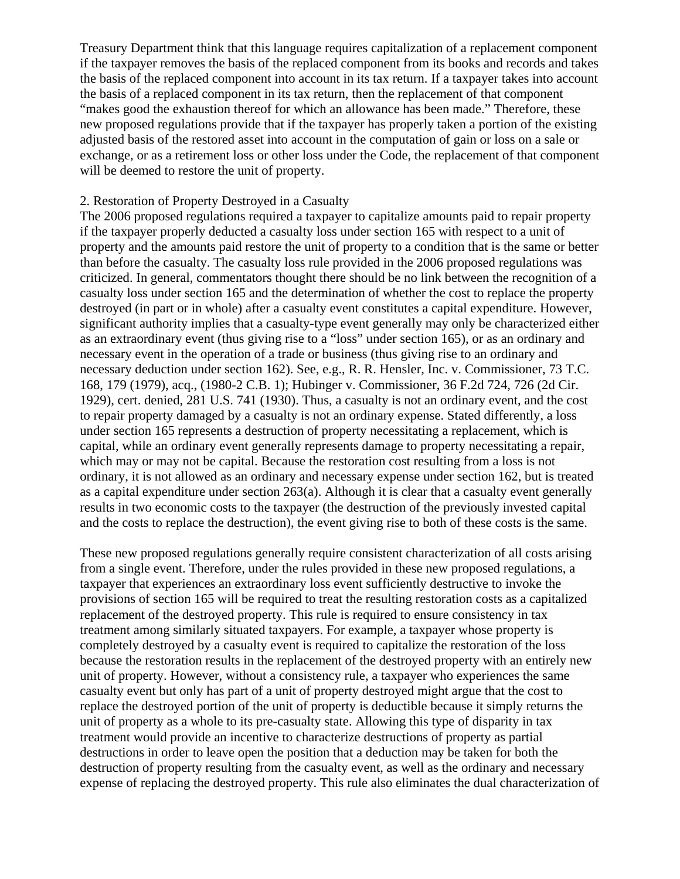Treasury Department think that this language requires capitalization of a replacement component if the taxpayer removes the basis of the replaced component from its books and records and takes the basis of the replaced component into account in its tax return. If a taxpayer takes into account the basis of a replaced component in its tax return, then the replacement of that component "makes good the exhaustion thereof for which an allowance has been made." Therefore, these new proposed regulations provide that if the taxpayer has properly taken a portion of the existing adjusted basis of the restored asset into account in the computation of gain or loss on a sale or exchange, or as a retirement loss or other loss under the Code, the replacement of that component will be deemed to restore the unit of property.

### 2. Restoration of Property Destroyed in a Casualty

The 2006 proposed regulations required a taxpayer to capitalize amounts paid to repair property if the taxpayer properly deducted a casualty loss under section 165 with respect to a unit of property and the amounts paid restore the unit of property to a condition that is the same or better than before the casualty. The casualty loss rule provided in the 2006 proposed regulations was criticized. In general, commentators thought there should be no link between the recognition of a casualty loss under section 165 and the determination of whether the cost to replace the property destroyed (in part or in whole) after a casualty event constitutes a capital expenditure. However, significant authority implies that a casualty-type event generally may only be characterized either as an extraordinary event (thus giving rise to a "loss" under section 165), or as an ordinary and necessary event in the operation of a trade or business (thus giving rise to an ordinary and necessary deduction under section 162). See, e.g., R. R. Hensler, Inc. v. Commissioner, 73 T.C. 168, 179 (1979), acq., (1980-2 C.B. 1); Hubinger v. Commissioner, 36 F.2d 724, 726 (2d Cir. 1929), cert. denied, 281 U.S. 741 (1930). Thus, a casualty is not an ordinary event, and the cost to repair property damaged by a casualty is not an ordinary expense. Stated differently, a loss under section 165 represents a destruction of property necessitating a replacement, which is capital, while an ordinary event generally represents damage to property necessitating a repair, which may or may not be capital. Because the restoration cost resulting from a loss is not ordinary, it is not allowed as an ordinary and necessary expense under section 162, but is treated as a capital expenditure under section 263(a). Although it is clear that a casualty event generally results in two economic costs to the taxpayer (the destruction of the previously invested capital and the costs to replace the destruction), the event giving rise to both of these costs is the same.

These new proposed regulations generally require consistent characterization of all costs arising from a single event. Therefore, under the rules provided in these new proposed regulations, a taxpayer that experiences an extraordinary loss event sufficiently destructive to invoke the provisions of section 165 will be required to treat the resulting restoration costs as a capitalized replacement of the destroyed property. This rule is required to ensure consistency in tax treatment among similarly situated taxpayers. For example, a taxpayer whose property is completely destroyed by a casualty event is required to capitalize the restoration of the loss because the restoration results in the replacement of the destroyed property with an entirely new unit of property. However, without a consistency rule, a taxpayer who experiences the same casualty event but only has part of a unit of property destroyed might argue that the cost to replace the destroyed portion of the unit of property is deductible because it simply returns the unit of property as a whole to its pre-casualty state. Allowing this type of disparity in tax treatment would provide an incentive to characterize destructions of property as partial destructions in order to leave open the position that a deduction may be taken for both the destruction of property resulting from the casualty event, as well as the ordinary and necessary expense of replacing the destroyed property. This rule also eliminates the dual characterization of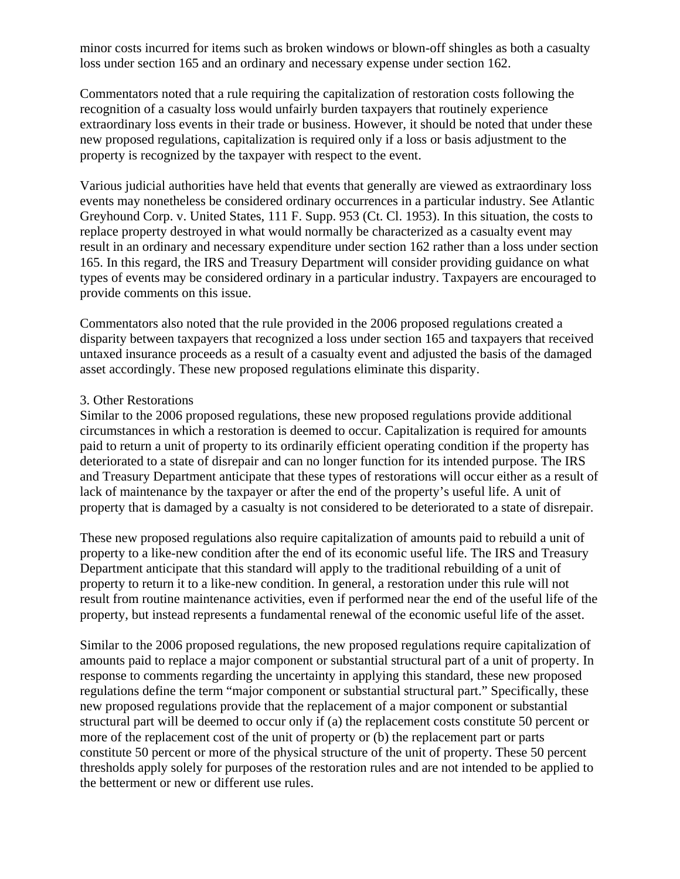minor costs incurred for items such as broken windows or blown-off shingles as both a casualty loss under section 165 and an ordinary and necessary expense under section 162.

Commentators noted that a rule requiring the capitalization of restoration costs following the recognition of a casualty loss would unfairly burden taxpayers that routinely experience extraordinary loss events in their trade or business. However, it should be noted that under these new proposed regulations, capitalization is required only if a loss or basis adjustment to the property is recognized by the taxpayer with respect to the event.

Various judicial authorities have held that events that generally are viewed as extraordinary loss events may nonetheless be considered ordinary occurrences in a particular industry. See Atlantic Greyhound Corp. v. United States, 111 F. Supp. 953 (Ct. Cl. 1953). In this situation, the costs to replace property destroyed in what would normally be characterized as a casualty event may result in an ordinary and necessary expenditure under section 162 rather than a loss under section 165. In this regard, the IRS and Treasury Department will consider providing guidance on what types of events may be considered ordinary in a particular industry. Taxpayers are encouraged to provide comments on this issue.

Commentators also noted that the rule provided in the 2006 proposed regulations created a disparity between taxpayers that recognized a loss under section 165 and taxpayers that received untaxed insurance proceeds as a result of a casualty event and adjusted the basis of the damaged asset accordingly. These new proposed regulations eliminate this disparity.

#### 3. Other Restorations

Similar to the 2006 proposed regulations, these new proposed regulations provide additional circumstances in which a restoration is deemed to occur. Capitalization is required for amounts paid to return a unit of property to its ordinarily efficient operating condition if the property has deteriorated to a state of disrepair and can no longer function for its intended purpose. The IRS and Treasury Department anticipate that these types of restorations will occur either as a result of lack of maintenance by the taxpayer or after the end of the property's useful life. A unit of property that is damaged by a casualty is not considered to be deteriorated to a state of disrepair.

These new proposed regulations also require capitalization of amounts paid to rebuild a unit of property to a like-new condition after the end of its economic useful life. The IRS and Treasury Department anticipate that this standard will apply to the traditional rebuilding of a unit of property to return it to a like-new condition. In general, a restoration under this rule will not result from routine maintenance activities, even if performed near the end of the useful life of the property, but instead represents a fundamental renewal of the economic useful life of the asset.

Similar to the 2006 proposed regulations, the new proposed regulations require capitalization of amounts paid to replace a major component or substantial structural part of a unit of property. In response to comments regarding the uncertainty in applying this standard, these new proposed regulations define the term "major component or substantial structural part." Specifically, these new proposed regulations provide that the replacement of a major component or substantial structural part will be deemed to occur only if (a) the replacement costs constitute 50 percent or more of the replacement cost of the unit of property or (b) the replacement part or parts constitute 50 percent or more of the physical structure of the unit of property. These 50 percent thresholds apply solely for purposes of the restoration rules and are not intended to be applied to the betterment or new or different use rules.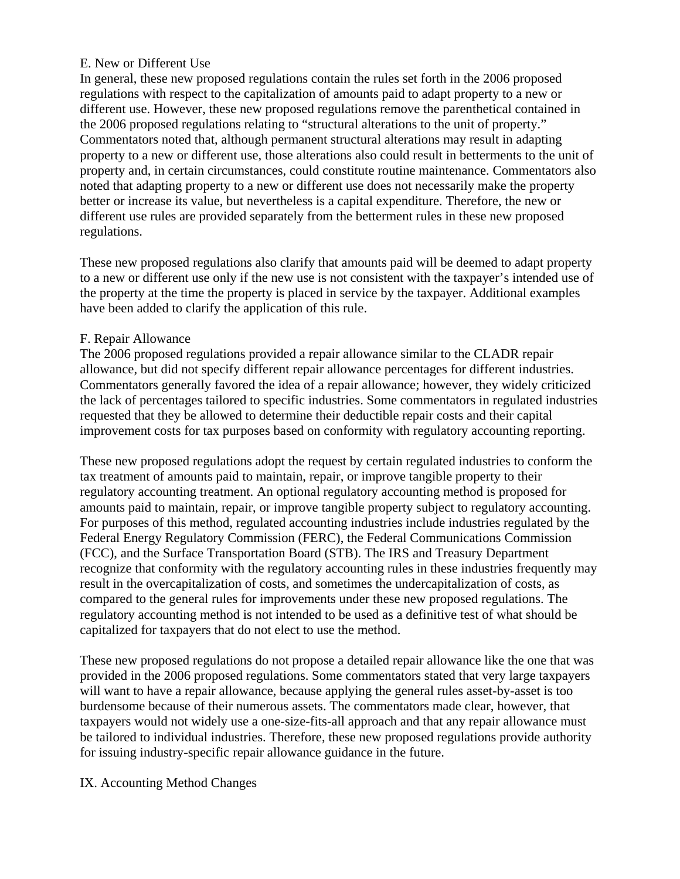### E. New or Different Use

In general, these new proposed regulations contain the rules set forth in the 2006 proposed regulations with respect to the capitalization of amounts paid to adapt property to a new or different use. However, these new proposed regulations remove the parenthetical contained in the 2006 proposed regulations relating to "structural alterations to the unit of property." Commentators noted that, although permanent structural alterations may result in adapting property to a new or different use, those alterations also could result in betterments to the unit of property and, in certain circumstances, could constitute routine maintenance. Commentators also noted that adapting property to a new or different use does not necessarily make the property better or increase its value, but nevertheless is a capital expenditure. Therefore, the new or different use rules are provided separately from the betterment rules in these new proposed regulations.

These new proposed regulations also clarify that amounts paid will be deemed to adapt property to a new or different use only if the new use is not consistent with the taxpayer's intended use of the property at the time the property is placed in service by the taxpayer. Additional examples have been added to clarify the application of this rule.

# F. Repair Allowance

The 2006 proposed regulations provided a repair allowance similar to the CLADR repair allowance, but did not specify different repair allowance percentages for different industries. Commentators generally favored the idea of a repair allowance; however, they widely criticized the lack of percentages tailored to specific industries. Some commentators in regulated industries requested that they be allowed to determine their deductible repair costs and their capital improvement costs for tax purposes based on conformity with regulatory accounting reporting.

These new proposed regulations adopt the request by certain regulated industries to conform the tax treatment of amounts paid to maintain, repair, or improve tangible property to their regulatory accounting treatment. An optional regulatory accounting method is proposed for amounts paid to maintain, repair, or improve tangible property subject to regulatory accounting. For purposes of this method, regulated accounting industries include industries regulated by the Federal Energy Regulatory Commission (FERC), the Federal Communications Commission (FCC), and the Surface Transportation Board (STB). The IRS and Treasury Department recognize that conformity with the regulatory accounting rules in these industries frequently may result in the overcapitalization of costs, and sometimes the undercapitalization of costs, as compared to the general rules for improvements under these new proposed regulations. The regulatory accounting method is not intended to be used as a definitive test of what should be capitalized for taxpayers that do not elect to use the method.

These new proposed regulations do not propose a detailed repair allowance like the one that was provided in the 2006 proposed regulations. Some commentators stated that very large taxpayers will want to have a repair allowance, because applying the general rules asset-by-asset is too burdensome because of their numerous assets. The commentators made clear, however, that taxpayers would not widely use a one-size-fits-all approach and that any repair allowance must be tailored to individual industries. Therefore, these new proposed regulations provide authority for issuing industry-specific repair allowance guidance in the future.

### IX. Accounting Method Changes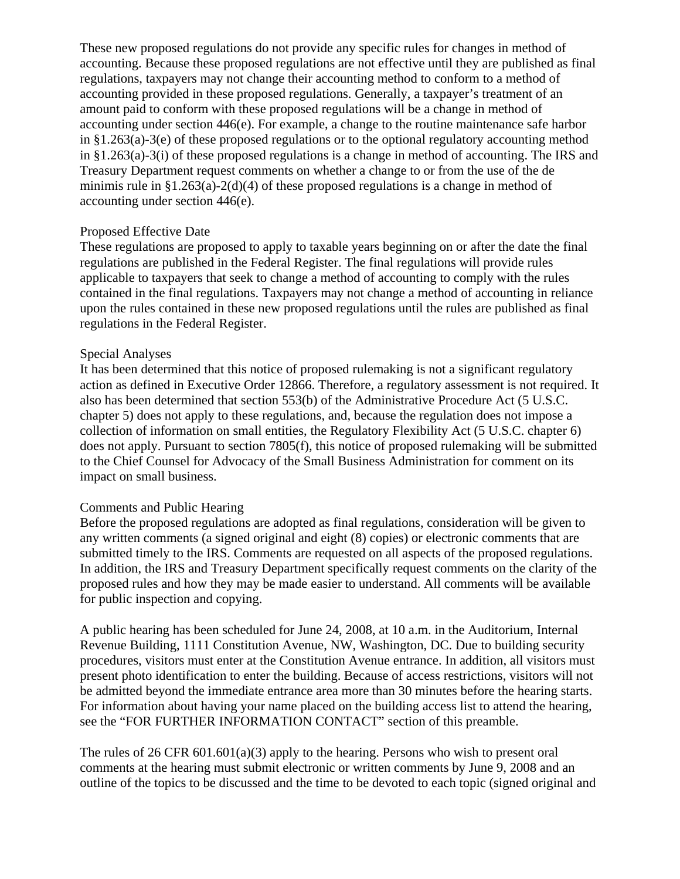These new proposed regulations do not provide any specific rules for changes in method of accounting. Because these proposed regulations are not effective until they are published as final regulations, taxpayers may not change their accounting method to conform to a method of accounting provided in these proposed regulations. Generally, a taxpayer's treatment of an amount paid to conform with these proposed regulations will be a change in method of accounting under section 446(e). For example, a change to the routine maintenance safe harbor in §1.263(a)-3(e) of these proposed regulations or to the optional regulatory accounting method in §1.263(a)-3(i) of these proposed regulations is a change in method of accounting. The IRS and Treasury Department request comments on whether a change to or from the use of the de minimis rule in §1.263(a)-2(d)(4) of these proposed regulations is a change in method of accounting under section 446(e).

### Proposed Effective Date

These regulations are proposed to apply to taxable years beginning on or after the date the final regulations are published in the Federal Register. The final regulations will provide rules applicable to taxpayers that seek to change a method of accounting to comply with the rules contained in the final regulations. Taxpayers may not change a method of accounting in reliance upon the rules contained in these new proposed regulations until the rules are published as final regulations in the Federal Register.

#### Special Analyses

It has been determined that this notice of proposed rulemaking is not a significant regulatory action as defined in Executive Order 12866. Therefore, a regulatory assessment is not required. It also has been determined that section 553(b) of the Administrative Procedure Act (5 U.S.C. chapter 5) does not apply to these regulations, and, because the regulation does not impose a collection of information on small entities, the Regulatory Flexibility Act (5 U.S.C. chapter 6) does not apply. Pursuant to section 7805(f), this notice of proposed rulemaking will be submitted to the Chief Counsel for Advocacy of the Small Business Administration for comment on its impact on small business.

### Comments and Public Hearing

Before the proposed regulations are adopted as final regulations, consideration will be given to any written comments (a signed original and eight (8) copies) or electronic comments that are submitted timely to the IRS. Comments are requested on all aspects of the proposed regulations. In addition, the IRS and Treasury Department specifically request comments on the clarity of the proposed rules and how they may be made easier to understand. All comments will be available for public inspection and copying.

A public hearing has been scheduled for June 24, 2008, at 10 a.m. in the Auditorium, Internal Revenue Building, 1111 Constitution Avenue, NW, Washington, DC. Due to building security procedures, visitors must enter at the Constitution Avenue entrance. In addition, all visitors must present photo identification to enter the building. Because of access restrictions, visitors will not be admitted beyond the immediate entrance area more than 30 minutes before the hearing starts. For information about having your name placed on the building access list to attend the hearing, see the "FOR FURTHER INFORMATION CONTACT" section of this preamble.

The rules of 26 CFR 601.601(a)(3) apply to the hearing. Persons who wish to present oral comments at the hearing must submit electronic or written comments by June 9, 2008 and an outline of the topics to be discussed and the time to be devoted to each topic (signed original and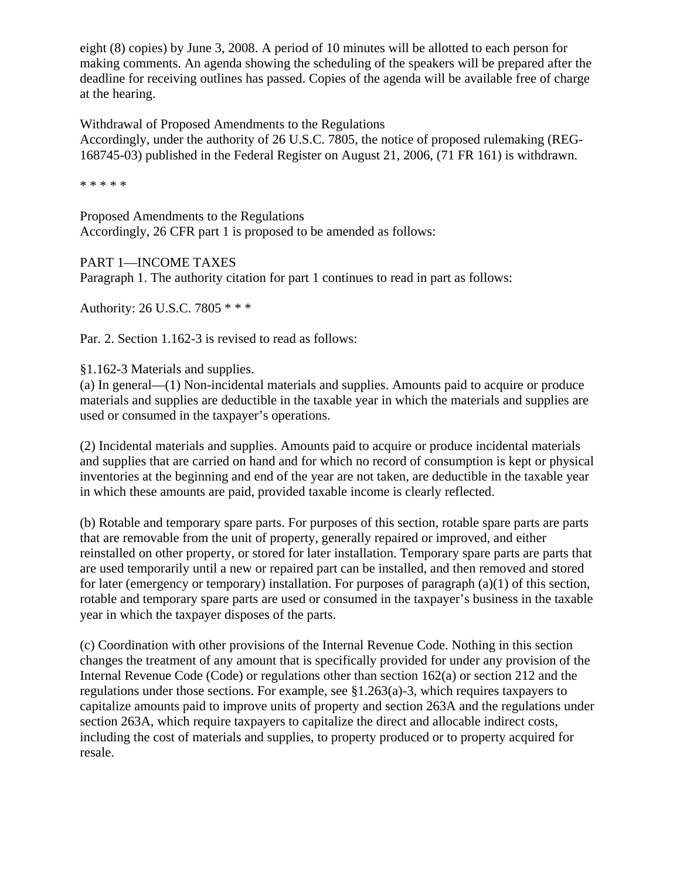eight (8) copies) by June 3, 2008. A period of 10 minutes will be allotted to each person for making comments. An agenda showing the scheduling of the speakers will be prepared after the deadline for receiving outlines has passed. Copies of the agenda will be available free of charge at the hearing.

Withdrawal of Proposed Amendments to the Regulations Accordingly, under the authority of 26 U.S.C. 7805, the notice of proposed rulemaking (REG-168745-03) published in the Federal Register on August 21, 2006, (71 FR 161) is withdrawn.

\* \* \* \* \*

Proposed Amendments to the Regulations Accordingly, 26 CFR part 1 is proposed to be amended as follows:

PART 1—INCOME TAXES Paragraph 1. The authority citation for part 1 continues to read in part as follows:

Authority: 26 U.S.C. 7805 \* \* \*

Par. 2. Section 1.162-3 is revised to read as follows:

§1.162-3 Materials and supplies.

(a) In general—(1) Non-incidental materials and supplies. Amounts paid to acquire or produce materials and supplies are deductible in the taxable year in which the materials and supplies are used or consumed in the taxpayer's operations.

(2) Incidental materials and supplies. Amounts paid to acquire or produce incidental materials and supplies that are carried on hand and for which no record of consumption is kept or physical inventories at the beginning and end of the year are not taken, are deductible in the taxable year in which these amounts are paid, provided taxable income is clearly reflected.

(b) Rotable and temporary spare parts. For purposes of this section, rotable spare parts are parts that are removable from the unit of property, generally repaired or improved, and either reinstalled on other property, or stored for later installation. Temporary spare parts are parts that are used temporarily until a new or repaired part can be installed, and then removed and stored for later (emergency or temporary) installation. For purposes of paragraph (a)(1) of this section, rotable and temporary spare parts are used or consumed in the taxpayer's business in the taxable year in which the taxpayer disposes of the parts.

(c) Coordination with other provisions of the Internal Revenue Code. Nothing in this section changes the treatment of any amount that is specifically provided for under any provision of the Internal Revenue Code (Code) or regulations other than section 162(a) or section 212 and the regulations under those sections. For example, see §1.263(a)-3, which requires taxpayers to capitalize amounts paid to improve units of property and section 263A and the regulations under section 263A, which require taxpayers to capitalize the direct and allocable indirect costs, including the cost of materials and supplies, to property produced or to property acquired for resale.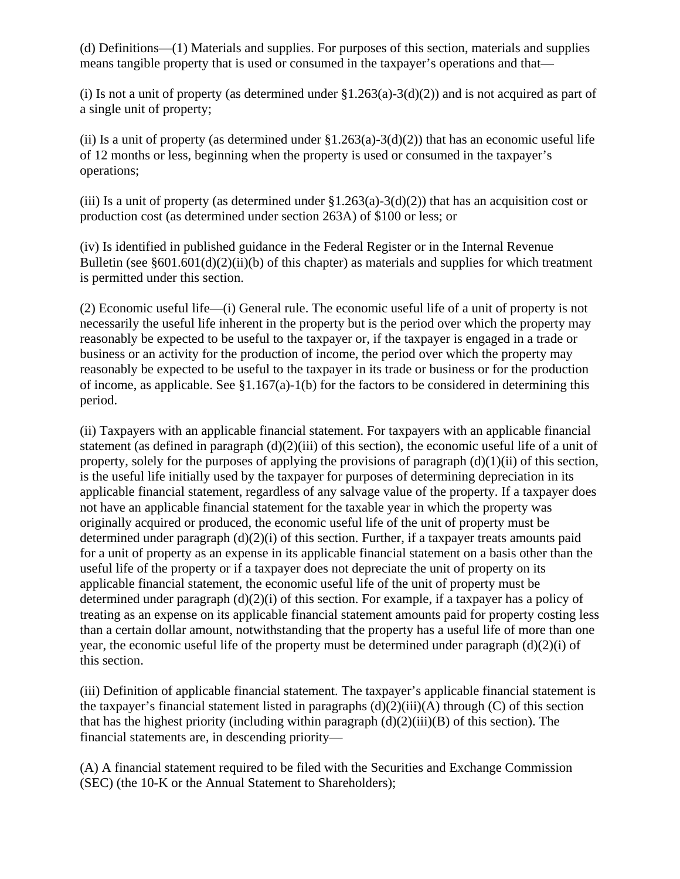(d) Definitions—(1) Materials and supplies. For purposes of this section, materials and supplies means tangible property that is used or consumed in the taxpayer's operations and that—

(i) Is not a unit of property (as determined under  $\S1.263(a)-3(d)(2)$ ) and is not acquired as part of a single unit of property;

(ii) Is a unit of property (as determined under  $\S1.263(a)-3(d)(2)$ ) that has an economic useful life of 12 months or less, beginning when the property is used or consumed in the taxpayer's operations;

(iii) Is a unit of property (as determined under  $$1.263(a)-3(d)(2)$ ) that has an acquisition cost or production cost (as determined under section 263A) of \$100 or less; or

(iv) Is identified in published guidance in the Federal Register or in the Internal Revenue Bulletin (see  $\S601.601(d)(2)(ii)(b)$  of this chapter) as materials and supplies for which treatment is permitted under this section.

(2) Economic useful life—(i) General rule. The economic useful life of a unit of property is not necessarily the useful life inherent in the property but is the period over which the property may reasonably be expected to be useful to the taxpayer or, if the taxpayer is engaged in a trade or business or an activity for the production of income, the period over which the property may reasonably be expected to be useful to the taxpayer in its trade or business or for the production of income, as applicable. See §1.167(a)-1(b) for the factors to be considered in determining this period.

(ii) Taxpayers with an applicable financial statement. For taxpayers with an applicable financial statement (as defined in paragraph  $(d)(2)(iii)$  of this section), the economic useful life of a unit of property, solely for the purposes of applying the provisions of paragraph  $(d)(1)(ii)$  of this section, is the useful life initially used by the taxpayer for purposes of determining depreciation in its applicable financial statement, regardless of any salvage value of the property. If a taxpayer does not have an applicable financial statement for the taxable year in which the property was originally acquired or produced, the economic useful life of the unit of property must be determined under paragraph (d)(2)(i) of this section. Further, if a taxpayer treats amounts paid for a unit of property as an expense in its applicable financial statement on a basis other than the useful life of the property or if a taxpayer does not depreciate the unit of property on its applicable financial statement, the economic useful life of the unit of property must be determined under paragraph (d)(2)(i) of this section. For example, if a taxpayer has a policy of treating as an expense on its applicable financial statement amounts paid for property costing less than a certain dollar amount, notwithstanding that the property has a useful life of more than one year, the economic useful life of the property must be determined under paragraph (d)(2)(i) of this section.

(iii) Definition of applicable financial statement. The taxpayer's applicable financial statement is the taxpayer's financial statement listed in paragraphs  $(d)(2)(iii)(A)$  through  $(C)$  of this section that has the highest priority (including within paragraph  $(d)(2)(iii)(B)$  of this section). The financial statements are, in descending priority—

(A) A financial statement required to be filed with the Securities and Exchange Commission (SEC) (the 10-K or the Annual Statement to Shareholders);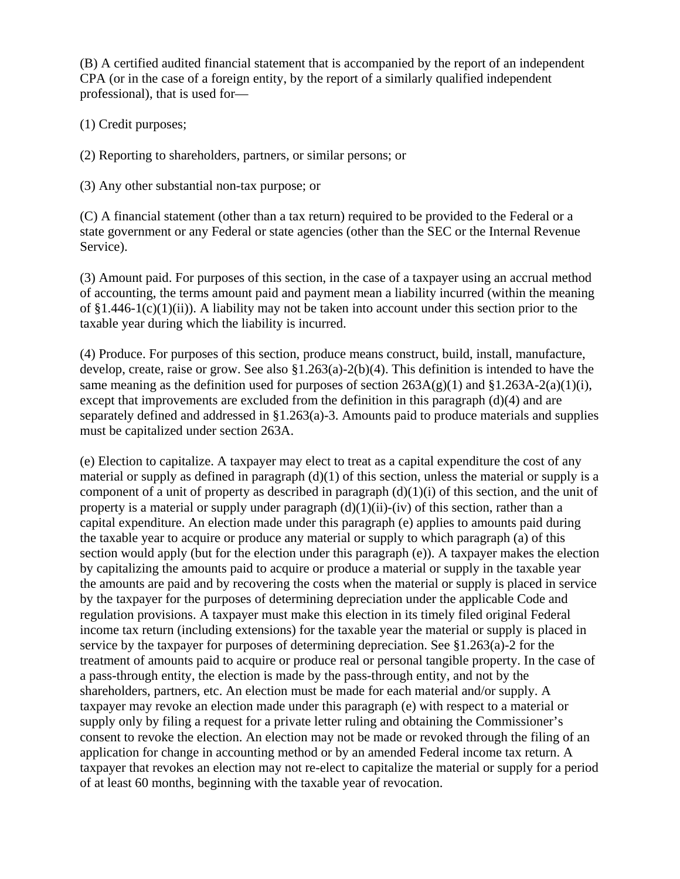(B) A certified audited financial statement that is accompanied by the report of an independent CPA (or in the case of a foreign entity, by the report of a similarly qualified independent professional), that is used for—

# (1) Credit purposes;

(2) Reporting to shareholders, partners, or similar persons; or

(3) Any other substantial non-tax purpose; or

(C) A financial statement (other than a tax return) required to be provided to the Federal or a state government or any Federal or state agencies (other than the SEC or the Internal Revenue Service).

(3) Amount paid. For purposes of this section, in the case of a taxpayer using an accrual method of accounting, the terms amount paid and payment mean a liability incurred (within the meaning of  $$1.446-1(c)(1)(ii)$ . A liability may not be taken into account under this section prior to the taxable year during which the liability is incurred.

(4) Produce. For purposes of this section, produce means construct, build, install, manufacture, develop, create, raise or grow. See also §1.263(a)-2(b)(4). This definition is intended to have the same meaning as the definition used for purposes of section  $263A(g)(1)$  and  $\S1.263A-2(a)(1)(i)$ , except that improvements are excluded from the definition in this paragraph  $(d)(4)$  and are separately defined and addressed in §1.263(a)-3. Amounts paid to produce materials and supplies must be capitalized under section 263A.

(e) Election to capitalize. A taxpayer may elect to treat as a capital expenditure the cost of any material or supply as defined in paragraph  $(d)(1)$  of this section, unless the material or supply is a component of a unit of property as described in paragraph  $(d)(1)(i)$  of this section, and the unit of property is a material or supply under paragraph  $(d)(1)(ii)$ -(iv) of this section, rather than a capital expenditure. An election made under this paragraph (e) applies to amounts paid during the taxable year to acquire or produce any material or supply to which paragraph (a) of this section would apply (but for the election under this paragraph (e)). A taxpayer makes the election by capitalizing the amounts paid to acquire or produce a material or supply in the taxable year the amounts are paid and by recovering the costs when the material or supply is placed in service by the taxpayer for the purposes of determining depreciation under the applicable Code and regulation provisions. A taxpayer must make this election in its timely filed original Federal income tax return (including extensions) for the taxable year the material or supply is placed in service by the taxpayer for purposes of determining depreciation. See §1.263(a)-2 for the treatment of amounts paid to acquire or produce real or personal tangible property. In the case of a pass-through entity, the election is made by the pass-through entity, and not by the shareholders, partners, etc. An election must be made for each material and/or supply. A taxpayer may revoke an election made under this paragraph (e) with respect to a material or supply only by filing a request for a private letter ruling and obtaining the Commissioner's consent to revoke the election. An election may not be made or revoked through the filing of an application for change in accounting method or by an amended Federal income tax return. A taxpayer that revokes an election may not re-elect to capitalize the material or supply for a period of at least 60 months, beginning with the taxable year of revocation.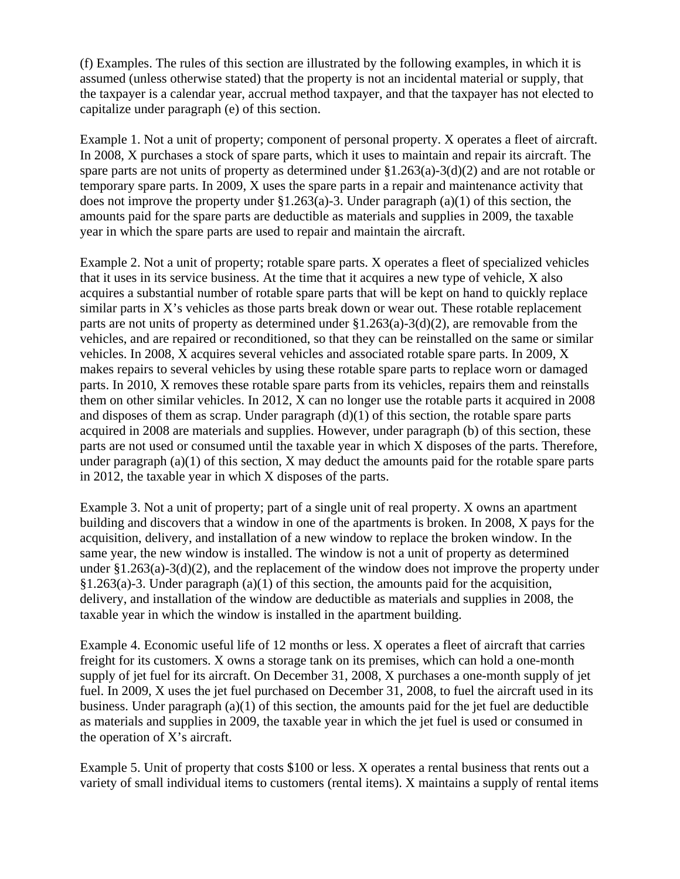(f) Examples. The rules of this section are illustrated by the following examples, in which it is assumed (unless otherwise stated) that the property is not an incidental material or supply, that the taxpayer is a calendar year, accrual method taxpayer, and that the taxpayer has not elected to capitalize under paragraph (e) of this section.

Example 1. Not a unit of property; component of personal property. X operates a fleet of aircraft. In 2008, X purchases a stock of spare parts, which it uses to maintain and repair its aircraft. The spare parts are not units of property as determined under §1.263(a)-3(d)(2) and are not rotable or temporary spare parts. In 2009, X uses the spare parts in a repair and maintenance activity that does not improve the property under  $$1.263(a)-3$ . Under paragraph  $(a)(1)$  of this section, the amounts paid for the spare parts are deductible as materials and supplies in 2009, the taxable year in which the spare parts are used to repair and maintain the aircraft.

Example 2. Not a unit of property; rotable spare parts. X operates a fleet of specialized vehicles that it uses in its service business. At the time that it acquires a new type of vehicle, X also acquires a substantial number of rotable spare parts that will be kept on hand to quickly replace similar parts in X's vehicles as those parts break down or wear out. These rotable replacement parts are not units of property as determined under §1.263(a)-3(d)(2), are removable from the vehicles, and are repaired or reconditioned, so that they can be reinstalled on the same or similar vehicles. In 2008, X acquires several vehicles and associated rotable spare parts. In 2009, X makes repairs to several vehicles by using these rotable spare parts to replace worn or damaged parts. In 2010, X removes these rotable spare parts from its vehicles, repairs them and reinstalls them on other similar vehicles. In 2012, X can no longer use the rotable parts it acquired in 2008 and disposes of them as scrap. Under paragraph  $(d)(1)$  of this section, the rotable spare parts acquired in 2008 are materials and supplies. However, under paragraph (b) of this section, these parts are not used or consumed until the taxable year in which X disposes of the parts. Therefore, under paragraph  $(a)(1)$  of this section, X may deduct the amounts paid for the rotable spare parts in 2012, the taxable year in which X disposes of the parts.

Example 3. Not a unit of property; part of a single unit of real property. X owns an apartment building and discovers that a window in one of the apartments is broken. In 2008, X pays for the acquisition, delivery, and installation of a new window to replace the broken window. In the same year, the new window is installed. The window is not a unit of property as determined under §1.263(a)-3(d)(2), and the replacement of the window does not improve the property under  $§1.263(a)-3.$  Under paragraph (a)(1) of this section, the amounts paid for the acquisition, delivery, and installation of the window are deductible as materials and supplies in 2008, the taxable year in which the window is installed in the apartment building.

Example 4. Economic useful life of 12 months or less. X operates a fleet of aircraft that carries freight for its customers. X owns a storage tank on its premises, which can hold a one-month supply of jet fuel for its aircraft. On December 31, 2008, X purchases a one-month supply of jet fuel. In 2009, X uses the jet fuel purchased on December 31, 2008, to fuel the aircraft used in its business. Under paragraph  $(a)(1)$  of this section, the amounts paid for the jet fuel are deductible as materials and supplies in 2009, the taxable year in which the jet fuel is used or consumed in the operation of X's aircraft.

Example 5. Unit of property that costs \$100 or less. X operates a rental business that rents out a variety of small individual items to customers (rental items). X maintains a supply of rental items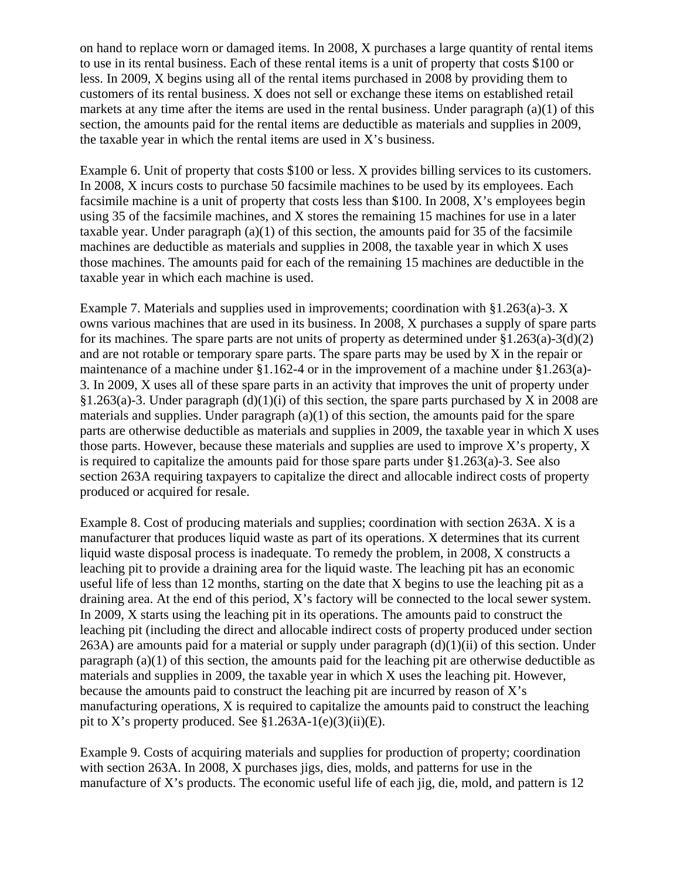on hand to replace worn or damaged items. In 2008, X purchases a large quantity of rental items to use in its rental business. Each of these rental items is a unit of property that costs \$100 or less. In 2009, X begins using all of the rental items purchased in 2008 by providing them to customers of its rental business. X does not sell or exchange these items on established retail markets at any time after the items are used in the rental business. Under paragraph (a)(1) of this section, the amounts paid for the rental items are deductible as materials and supplies in 2009, the taxable year in which the rental items are used in  $X$ 's business.

Example 6. Unit of property that costs \$100 or less. X provides billing services to its customers. In 2008, X incurs costs to purchase 50 facsimile machines to be used by its employees. Each facsimile machine is a unit of property that costs less than \$100. In 2008, X's employees begin using 35 of the facsimile machines, and X stores the remaining 15 machines for use in a later taxable year. Under paragraph  $(a)(1)$  of this section, the amounts paid for 35 of the facsimile machines are deductible as materials and supplies in 2008, the taxable year in which X uses those machines. The amounts paid for each of the remaining 15 machines are deductible in the taxable year in which each machine is used.

Example 7. Materials and supplies used in improvements; coordination with §1.263(a)-3. X owns various machines that are used in its business. In 2008, X purchases a supply of spare parts for its machines. The spare parts are not units of property as determined under  $\S1.263(a)-3(d)(2)$ and are not rotable or temporary spare parts. The spare parts may be used by X in the repair or maintenance of a machine under §1.162-4 or in the improvement of a machine under §1.263(a)- 3. In 2009, X uses all of these spare parts in an activity that improves the unit of property under  $\S1.263(a)$ -3. Under paragraph (d)(1)(i) of this section, the spare parts purchased by X in 2008 are materials and supplies. Under paragraph (a)(1) of this section, the amounts paid for the spare parts are otherwise deductible as materials and supplies in 2009, the taxable year in which X uses those parts. However, because these materials and supplies are used to improve X's property, X is required to capitalize the amounts paid for those spare parts under §1.263(a)-3. See also section 263A requiring taxpayers to capitalize the direct and allocable indirect costs of property produced or acquired for resale.

Example 8. Cost of producing materials and supplies; coordination with section 263A. X is a manufacturer that produces liquid waste as part of its operations. X determines that its current liquid waste disposal process is inadequate. To remedy the problem, in 2008, X constructs a leaching pit to provide a draining area for the liquid waste. The leaching pit has an economic useful life of less than 12 months, starting on the date that X begins to use the leaching pit as a draining area. At the end of this period, X's factory will be connected to the local sewer system. In 2009, X starts using the leaching pit in its operations. The amounts paid to construct the leaching pit (including the direct and allocable indirect costs of property produced under section  $263A$ ) are amounts paid for a material or supply under paragraph  $(d)(1)(ii)$  of this section. Under paragraph (a)(1) of this section, the amounts paid for the leaching pit are otherwise deductible as materials and supplies in 2009, the taxable year in which X uses the leaching pit. However, because the amounts paid to construct the leaching pit are incurred by reason of X's manufacturing operations, X is required to capitalize the amounts paid to construct the leaching pit to X's property produced. See  $$1.263A-1(e)(3)(ii)(E)$ .

Example 9. Costs of acquiring materials and supplies for production of property; coordination with section 263A. In 2008, X purchases jigs, dies, molds, and patterns for use in the manufacture of X's products. The economic useful life of each jig, die, mold, and pattern is 12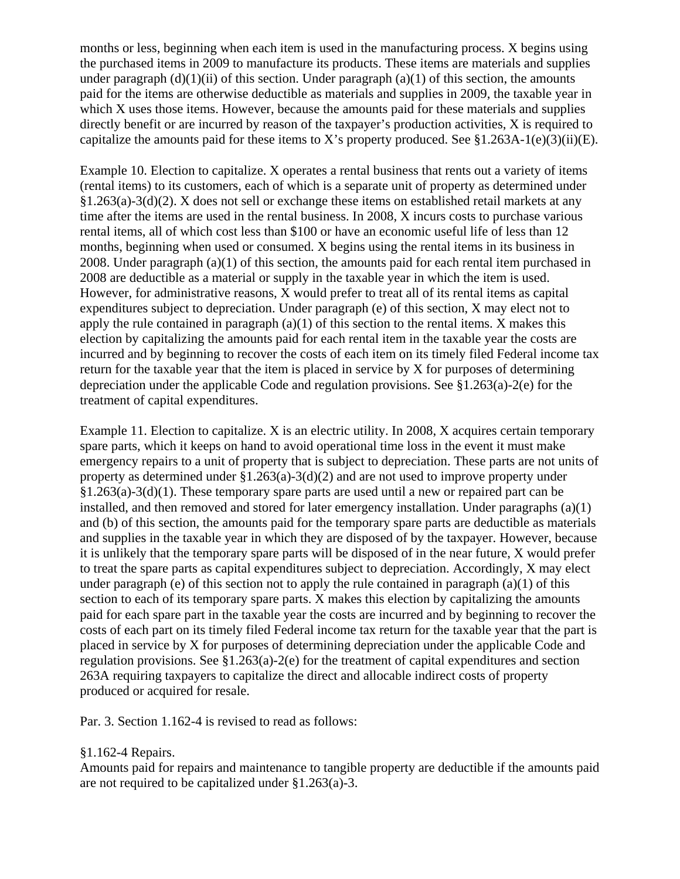months or less, beginning when each item is used in the manufacturing process. X begins using the purchased items in 2009 to manufacture its products. These items are materials and supplies under paragraph  $(d)(1)(ii)$  of this section. Under paragraph  $(a)(1)$  of this section, the amounts paid for the items are otherwise deductible as materials and supplies in 2009, the taxable year in which X uses those items. However, because the amounts paid for these materials and supplies directly benefit or are incurred by reason of the taxpayer's production activities, X is required to capitalize the amounts paid for these items to X's property produced. See  $§1.263A-1(e)(3)(ii)(E)$ .

Example 10. Election to capitalize. X operates a rental business that rents out a variety of items (rental items) to its customers, each of which is a separate unit of property as determined under §1.263(a)-3(d)(2). X does not sell or exchange these items on established retail markets at any time after the items are used in the rental business. In 2008, X incurs costs to purchase various rental items, all of which cost less than \$100 or have an economic useful life of less than 12 months, beginning when used or consumed. X begins using the rental items in its business in 2008. Under paragraph (a)(1) of this section, the amounts paid for each rental item purchased in 2008 are deductible as a material or supply in the taxable year in which the item is used. However, for administrative reasons, X would prefer to treat all of its rental items as capital expenditures subject to depreciation. Under paragraph (e) of this section, X may elect not to apply the rule contained in paragraph  $(a)(1)$  of this section to the rental items. X makes this election by capitalizing the amounts paid for each rental item in the taxable year the costs are incurred and by beginning to recover the costs of each item on its timely filed Federal income tax return for the taxable year that the item is placed in service by X for purposes of determining depreciation under the applicable Code and regulation provisions. See §1.263(a)-2(e) for the treatment of capital expenditures.

Example 11. Election to capitalize. X is an electric utility. In 2008, X acquires certain temporary spare parts, which it keeps on hand to avoid operational time loss in the event it must make emergency repairs to a unit of property that is subject to depreciation. These parts are not units of property as determined under  $\S1.263(a)-3(d)(2)$  and are not used to improve property under §1.263(a)-3(d)(1). These temporary spare parts are used until a new or repaired part can be installed, and then removed and stored for later emergency installation. Under paragraphs (a)(1) and (b) of this section, the amounts paid for the temporary spare parts are deductible as materials and supplies in the taxable year in which they are disposed of by the taxpayer. However, because it is unlikely that the temporary spare parts will be disposed of in the near future, X would prefer to treat the spare parts as capital expenditures subject to depreciation. Accordingly, X may elect under paragraph (e) of this section not to apply the rule contained in paragraph  $(a)(1)$  of this section to each of its temporary spare parts. X makes this election by capitalizing the amounts paid for each spare part in the taxable year the costs are incurred and by beginning to recover the costs of each part on its timely filed Federal income tax return for the taxable year that the part is placed in service by X for purposes of determining depreciation under the applicable Code and regulation provisions. See §1.263(a)-2(e) for the treatment of capital expenditures and section 263A requiring taxpayers to capitalize the direct and allocable indirect costs of property produced or acquired for resale.

Par. 3. Section 1.162-4 is revised to read as follows:

### §1.162-4 Repairs.

Amounts paid for repairs and maintenance to tangible property are deductible if the amounts paid are not required to be capitalized under §1.263(a)-3.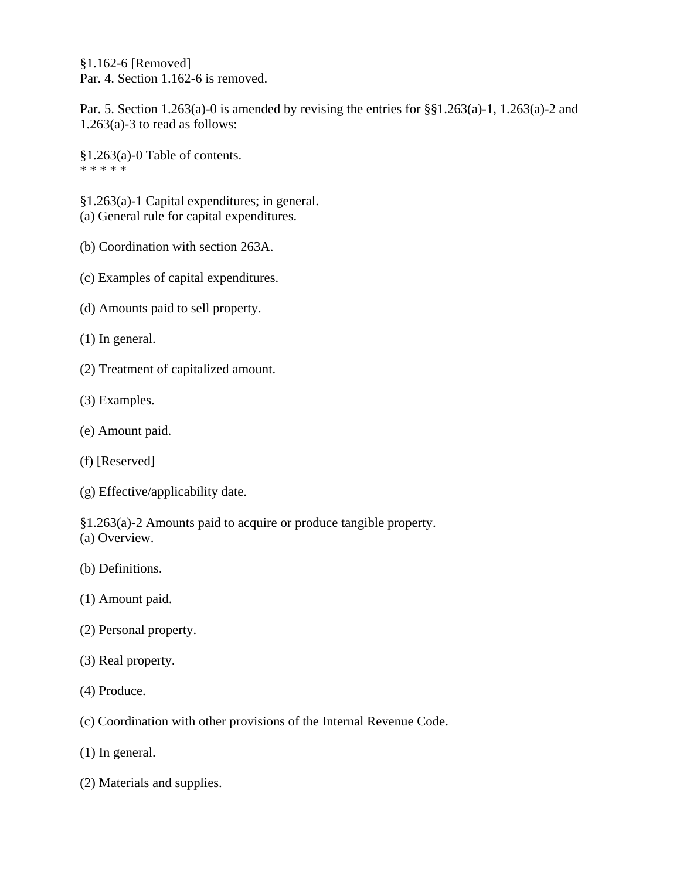§1.162-6 [Removed] Par. 4. Section 1.162-6 is removed.

Par. 5. Section 1.263(a)-0 is amended by revising the entries for  $\S$  $I.263(a)$ -1, 1.263(a)-2 and 1.263(a)-3 to read as follows:

§1.263(a)-0 Table of contents. \* \* \* \* \*

§1.263(a)-1 Capital expenditures; in general. (a) General rule for capital expenditures.

- (b) Coordination with section 263A.
- (c) Examples of capital expenditures.
- (d) Amounts paid to sell property.
- (1) In general.
- (2) Treatment of capitalized amount.
- (3) Examples.
- (e) Amount paid.
- (f) [Reserved]
- (g) Effective/applicability date.

§1.263(a)-2 Amounts paid to acquire or produce tangible property. (a) Overview.

- (b) Definitions.
- (1) Amount paid.
- (2) Personal property.
- (3) Real property.
- (4) Produce.
- (c) Coordination with other provisions of the Internal Revenue Code.
- (1) In general.
- (2) Materials and supplies.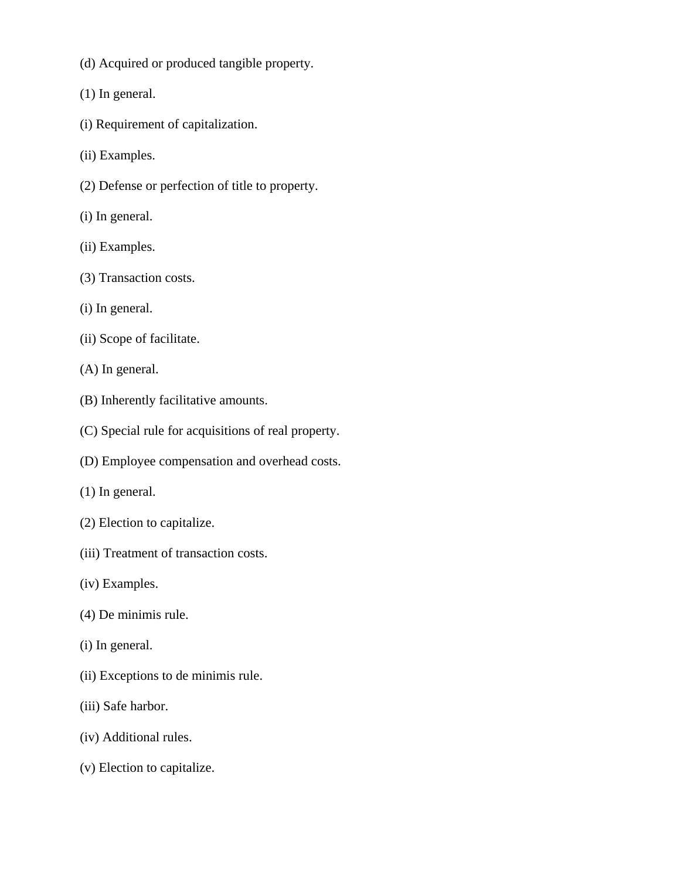- (d) Acquired or produced tangible property.
- (1) In general.
- (i) Requirement of capitalization.
- (ii) Examples.
- (2) Defense or perfection of title to property.
- (i) In general.
- (ii) Examples.
- (3) Transaction costs.
- (i) In general.
- (ii) Scope of facilitate.
- (A) In general.
- (B) Inherently facilitative amounts.
- (C) Special rule for acquisitions of real property.
- (D) Employee compensation and overhead costs.
- (1) In general.
- (2) Election to capitalize.
- (iii) Treatment of transaction costs.
- (iv) Examples.
- (4) De minimis rule.
- (i) In general.
- (ii) Exceptions to de minimis rule.
- (iii) Safe harbor.
- (iv) Additional rules.
- (v) Election to capitalize.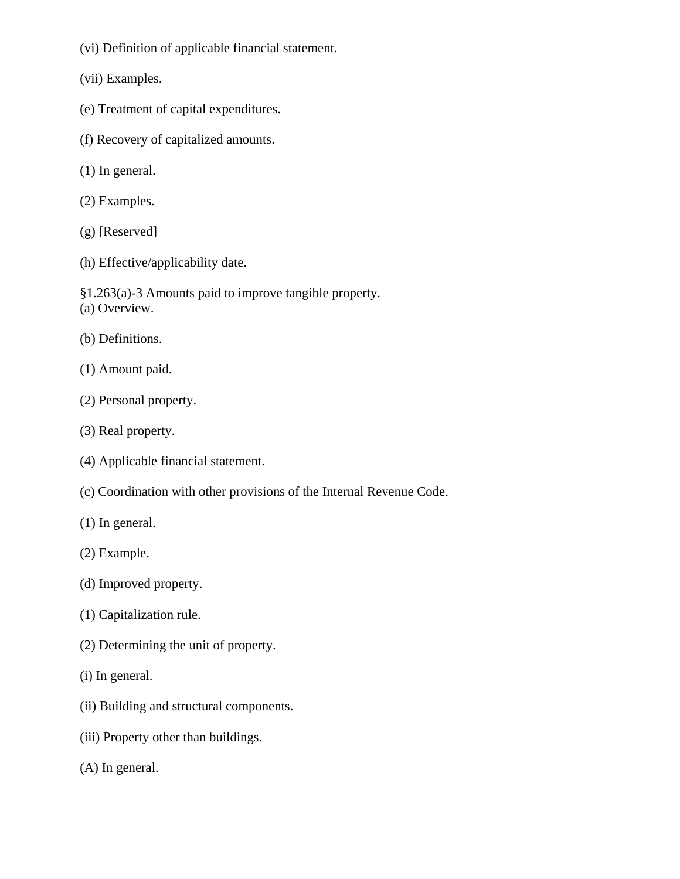- (vi) Definition of applicable financial statement.
- (vii) Examples.
- (e) Treatment of capital expenditures.
- (f) Recovery of capitalized amounts.
- (1) In general.
- (2) Examples.
- (g) [Reserved]
- (h) Effective/applicability date.
- §1.263(a)-3 Amounts paid to improve tangible property. (a) Overview.
- (b) Definitions.
- (1) Amount paid.
- (2) Personal property.
- (3) Real property.
- (4) Applicable financial statement.
- (c) Coordination with other provisions of the Internal Revenue Code.
- (1) In general.
- (2) Example.
- (d) Improved property.
- (1) Capitalization rule.
- (2) Determining the unit of property.
- (i) In general.
- (ii) Building and structural components.
- (iii) Property other than buildings.
- (A) In general.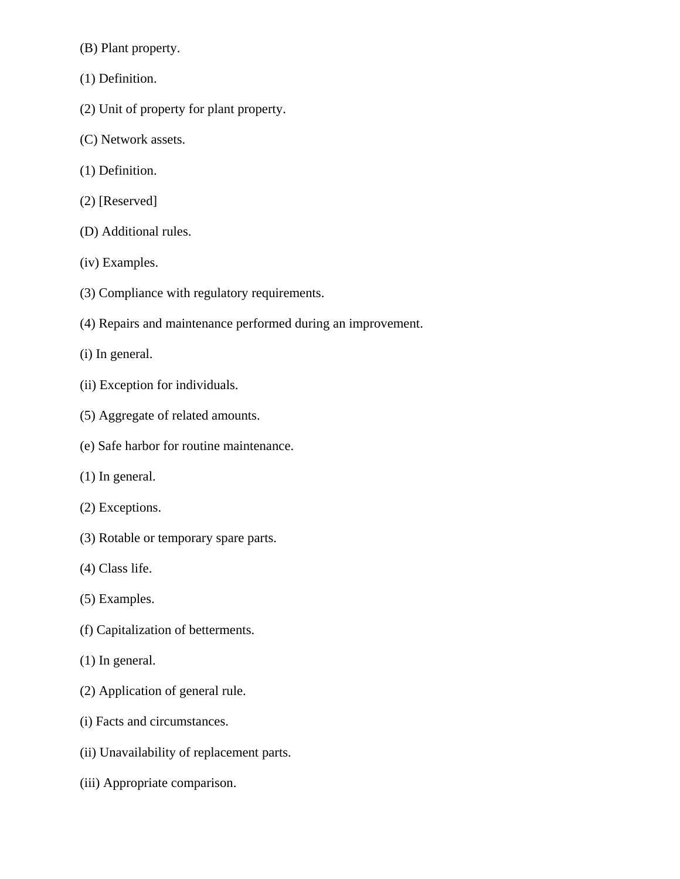(B) Plant property.

- (1) Definition.
- (2) Unit of property for plant property.
- (C) Network assets.
- (1) Definition.
- (2) [Reserved]
- (D) Additional rules.
- (iv) Examples.
- (3) Compliance with regulatory requirements.
- (4) Repairs and maintenance performed during an improvement.
- (i) In general.
- (ii) Exception for individuals.
- (5) Aggregate of related amounts.
- (e) Safe harbor for routine maintenance.
- (1) In general.
- (2) Exceptions.
- (3) Rotable or temporary spare parts.
- (4) Class life.
- (5) Examples.
- (f) Capitalization of betterments.
- (1) In general.
- (2) Application of general rule.
- (i) Facts and circumstances.
- (ii) Unavailability of replacement parts.
- (iii) Appropriate comparison.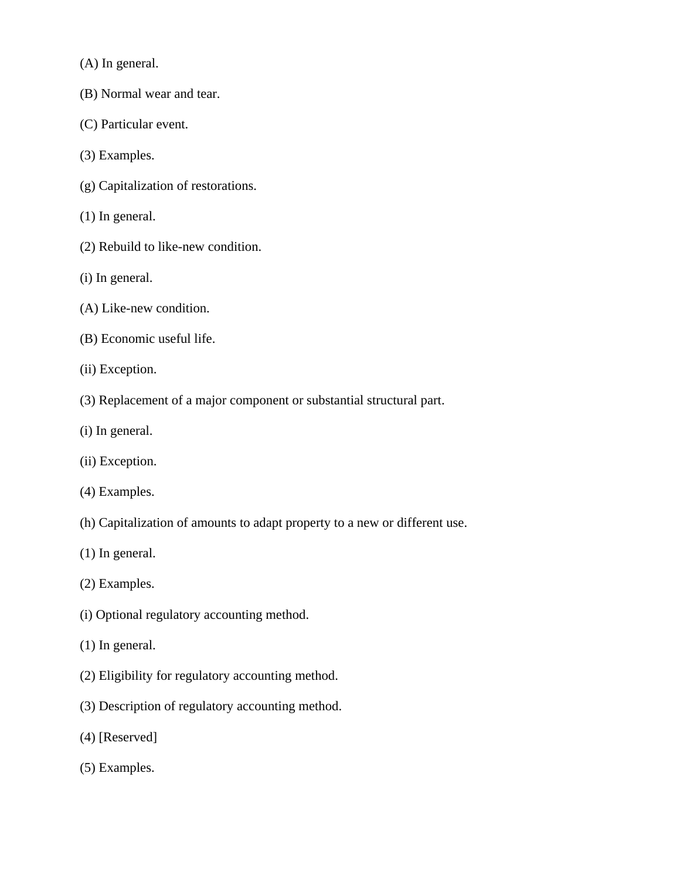(A) In general.

- (B) Normal wear and tear.
- (C) Particular event.
- (3) Examples.
- (g) Capitalization of restorations.
- (1) In general.
- (2) Rebuild to like-new condition.
- (i) In general.
- (A) Like-new condition.
- (B) Economic useful life.
- (ii) Exception.
- (3) Replacement of a major component or substantial structural part.
- (i) In general.
- (ii) Exception.
- (4) Examples.
- (h) Capitalization of amounts to adapt property to a new or different use.
- (1) In general.
- (2) Examples.
- (i) Optional regulatory accounting method.
- (1) In general.
- (2) Eligibility for regulatory accounting method.
- (3) Description of regulatory accounting method.
- (4) [Reserved]
- (5) Examples.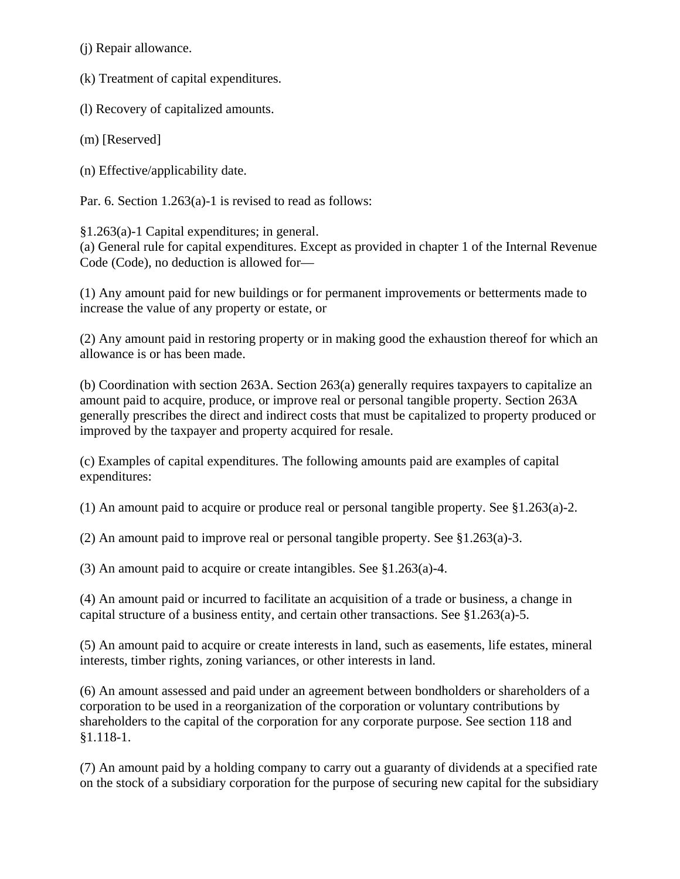(j) Repair allowance.

(k) Treatment of capital expenditures.

(l) Recovery of capitalized amounts.

(m) [Reserved]

(n) Effective/applicability date.

Par. 6. Section 1.263(a)-1 is revised to read as follows:

§1.263(a)-1 Capital expenditures; in general. (a) General rule for capital expenditures. Except as provided in chapter 1 of the Internal Revenue Code (Code), no deduction is allowed for—

(1) Any amount paid for new buildings or for permanent improvements or betterments made to increase the value of any property or estate, or

(2) Any amount paid in restoring property or in making good the exhaustion thereof for which an allowance is or has been made.

(b) Coordination with section 263A. Section 263(a) generally requires taxpayers to capitalize an amount paid to acquire, produce, or improve real or personal tangible property. Section 263A generally prescribes the direct and indirect costs that must be capitalized to property produced or improved by the taxpayer and property acquired for resale.

(c) Examples of capital expenditures. The following amounts paid are examples of capital expenditures:

(1) An amount paid to acquire or produce real or personal tangible property. See §1.263(a)-2.

(2) An amount paid to improve real or personal tangible property. See §1.263(a)-3.

(3) An amount paid to acquire or create intangibles. See §1.263(a)-4.

(4) An amount paid or incurred to facilitate an acquisition of a trade or business, a change in capital structure of a business entity, and certain other transactions. See §1.263(a)-5.

(5) An amount paid to acquire or create interests in land, such as easements, life estates, mineral interests, timber rights, zoning variances, or other interests in land.

(6) An amount assessed and paid under an agreement between bondholders or shareholders of a corporation to be used in a reorganization of the corporation or voluntary contributions by shareholders to the capital of the corporation for any corporate purpose. See section 118 and §1.118-1.

(7) An amount paid by a holding company to carry out a guaranty of dividends at a specified rate on the stock of a subsidiary corporation for the purpose of securing new capital for the subsidiary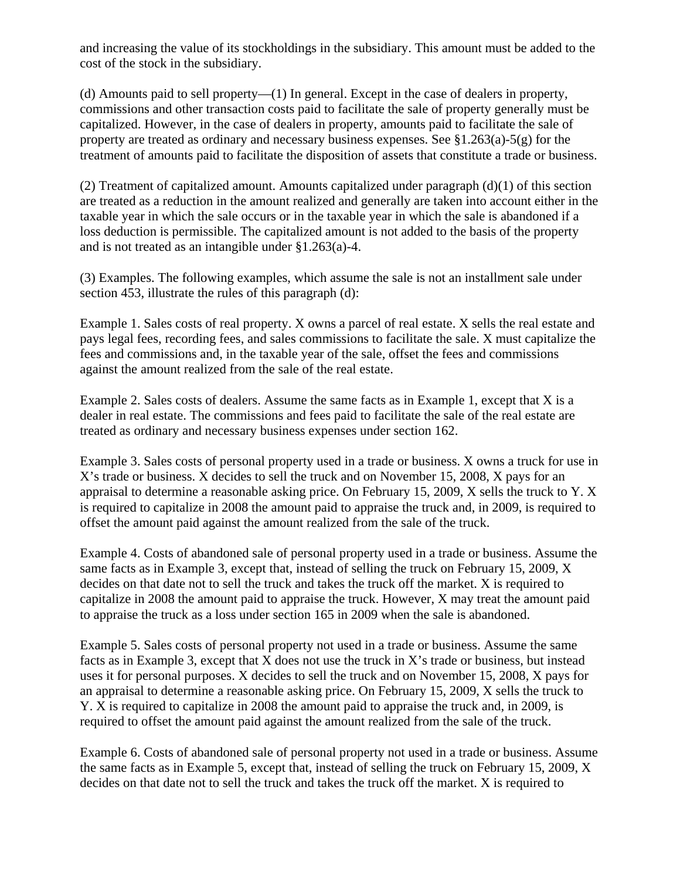and increasing the value of its stockholdings in the subsidiary. This amount must be added to the cost of the stock in the subsidiary.

(d) Amounts paid to sell property—(1) In general. Except in the case of dealers in property, commissions and other transaction costs paid to facilitate the sale of property generally must be capitalized. However, in the case of dealers in property, amounts paid to facilitate the sale of property are treated as ordinary and necessary business expenses. See §1.263(a)-5(g) for the treatment of amounts paid to facilitate the disposition of assets that constitute a trade or business.

(2) Treatment of capitalized amount. Amounts capitalized under paragraph (d)(1) of this section are treated as a reduction in the amount realized and generally are taken into account either in the taxable year in which the sale occurs or in the taxable year in which the sale is abandoned if a loss deduction is permissible. The capitalized amount is not added to the basis of the property and is not treated as an intangible under §1.263(a)-4.

(3) Examples. The following examples, which assume the sale is not an installment sale under section 453, illustrate the rules of this paragraph (d):

Example 1. Sales costs of real property. X owns a parcel of real estate. X sells the real estate and pays legal fees, recording fees, and sales commissions to facilitate the sale. X must capitalize the fees and commissions and, in the taxable year of the sale, offset the fees and commissions against the amount realized from the sale of the real estate.

Example 2. Sales costs of dealers. Assume the same facts as in Example 1, except that X is a dealer in real estate. The commissions and fees paid to facilitate the sale of the real estate are treated as ordinary and necessary business expenses under section 162.

Example 3. Sales costs of personal property used in a trade or business. X owns a truck for use in X's trade or business. X decides to sell the truck and on November 15, 2008, X pays for an appraisal to determine a reasonable asking price. On February 15, 2009, X sells the truck to Y. X is required to capitalize in 2008 the amount paid to appraise the truck and, in 2009, is required to offset the amount paid against the amount realized from the sale of the truck.

Example 4. Costs of abandoned sale of personal property used in a trade or business. Assume the same facts as in Example 3, except that, instead of selling the truck on February 15, 2009, X decides on that date not to sell the truck and takes the truck off the market. X is required to capitalize in 2008 the amount paid to appraise the truck. However, X may treat the amount paid to appraise the truck as a loss under section 165 in 2009 when the sale is abandoned.

Example 5. Sales costs of personal property not used in a trade or business. Assume the same facts as in Example 3, except that X does not use the truck in X's trade or business, but instead uses it for personal purposes. X decides to sell the truck and on November 15, 2008, X pays for an appraisal to determine a reasonable asking price. On February 15, 2009, X sells the truck to Y. X is required to capitalize in 2008 the amount paid to appraise the truck and, in 2009, is required to offset the amount paid against the amount realized from the sale of the truck.

Example 6. Costs of abandoned sale of personal property not used in a trade or business. Assume the same facts as in Example 5, except that, instead of selling the truck on February 15, 2009, X decides on that date not to sell the truck and takes the truck off the market. X is required to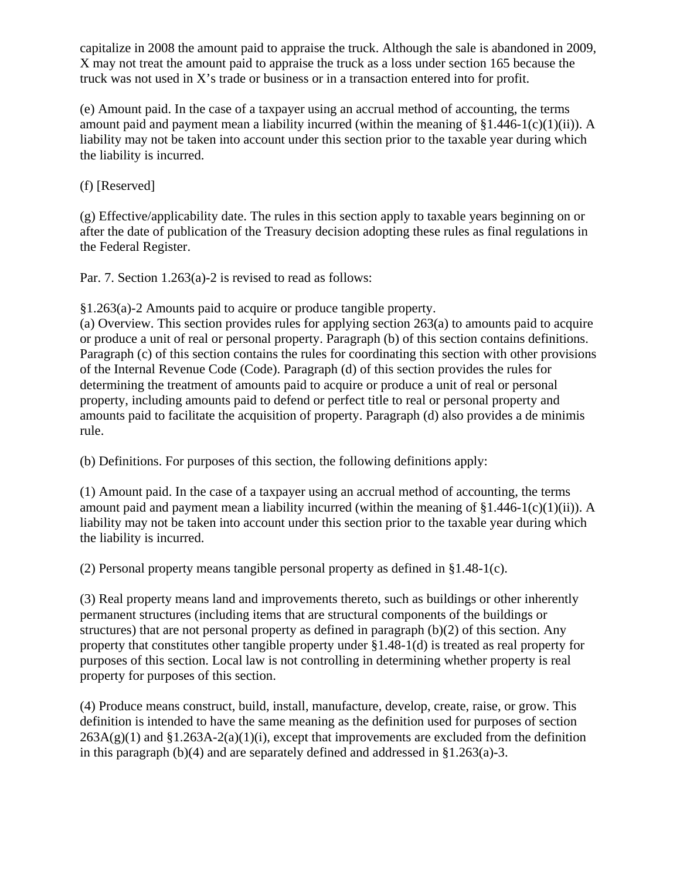capitalize in 2008 the amount paid to appraise the truck. Although the sale is abandoned in 2009, X may not treat the amount paid to appraise the truck as a loss under section 165 because the truck was not used in X's trade or business or in a transaction entered into for profit.

(e) Amount paid. In the case of a taxpayer using an accrual method of accounting, the terms amount paid and payment mean a liability incurred (within the meaning of  $\S1.446-1(c)(1)(ii)$ ). A liability may not be taken into account under this section prior to the taxable year during which the liability is incurred.

(f) [Reserved]

(g) Effective/applicability date. The rules in this section apply to taxable years beginning on or after the date of publication of the Treasury decision adopting these rules as final regulations in the Federal Register.

Par. 7. Section 1.263(a)-2 is revised to read as follows:

§1.263(a)-2 Amounts paid to acquire or produce tangible property.

(a) Overview. This section provides rules for applying section 263(a) to amounts paid to acquire or produce a unit of real or personal property. Paragraph (b) of this section contains definitions. Paragraph (c) of this section contains the rules for coordinating this section with other provisions of the Internal Revenue Code (Code). Paragraph (d) of this section provides the rules for determining the treatment of amounts paid to acquire or produce a unit of real or personal property, including amounts paid to defend or perfect title to real or personal property and amounts paid to facilitate the acquisition of property. Paragraph (d) also provides a de minimis rule.

(b) Definitions. For purposes of this section, the following definitions apply:

(1) Amount paid. In the case of a taxpayer using an accrual method of accounting, the terms amount paid and payment mean a liability incurred (within the meaning of  $\S1.446-1(c)(1)(ii)$ ). A liability may not be taken into account under this section prior to the taxable year during which the liability is incurred.

(2) Personal property means tangible personal property as defined in §1.48-1(c).

(3) Real property means land and improvements thereto, such as buildings or other inherently permanent structures (including items that are structural components of the buildings or structures) that are not personal property as defined in paragraph (b)(2) of this section. Any property that constitutes other tangible property under §1.48-1(d) is treated as real property for purposes of this section. Local law is not controlling in determining whether property is real property for purposes of this section.

(4) Produce means construct, build, install, manufacture, develop, create, raise, or grow. This definition is intended to have the same meaning as the definition used for purposes of section  $263A(g)(1)$  and  $\S1.263A-2(a)(1)(i)$ , except that improvements are excluded from the definition in this paragraph (b)(4) and are separately defined and addressed in §1.263(a)-3.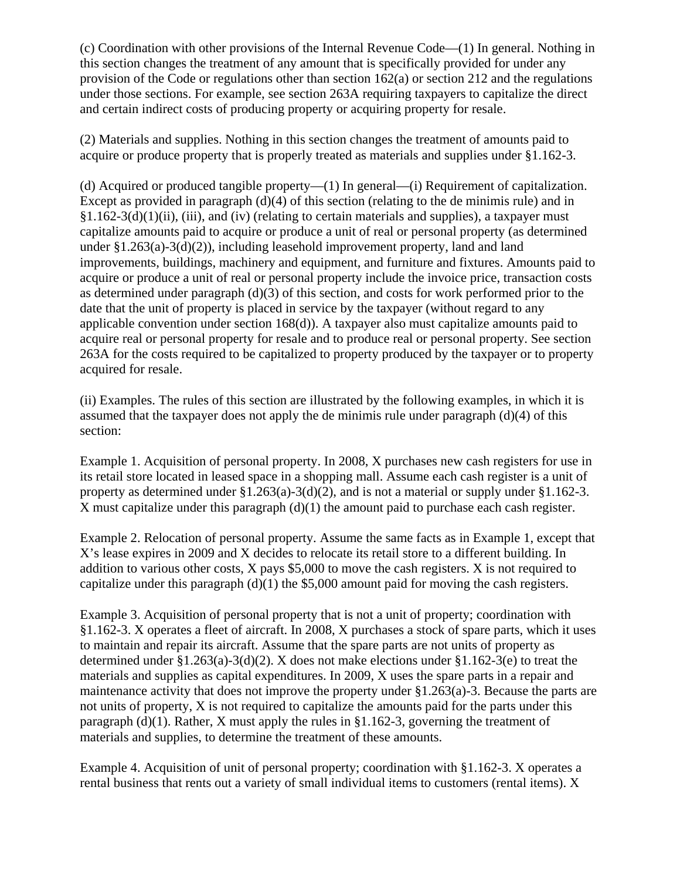(c) Coordination with other provisions of the Internal Revenue Code—(1) In general. Nothing in this section changes the treatment of any amount that is specifically provided for under any provision of the Code or regulations other than section 162(a) or section 212 and the regulations under those sections. For example, see section 263A requiring taxpayers to capitalize the direct and certain indirect costs of producing property or acquiring property for resale.

(2) Materials and supplies. Nothing in this section changes the treatment of amounts paid to acquire or produce property that is properly treated as materials and supplies under §1.162-3.

(d) Acquired or produced tangible property—(1) In general—(i) Requirement of capitalization. Except as provided in paragraph (d)(4) of this section (relating to the de minimis rule) and in  $§1.162-3(d)(1)(ii)$ , (iii), and (iv) (relating to certain materials and supplies), a taxpayer must capitalize amounts paid to acquire or produce a unit of real or personal property (as determined under  $\S 1.263(a)-3(d)(2)$ , including leasehold improvement property, land and land improvements, buildings, machinery and equipment, and furniture and fixtures. Amounts paid to acquire or produce a unit of real or personal property include the invoice price, transaction costs as determined under paragraph (d)(3) of this section, and costs for work performed prior to the date that the unit of property is placed in service by the taxpayer (without regard to any applicable convention under section 168(d)). A taxpayer also must capitalize amounts paid to acquire real or personal property for resale and to produce real or personal property. See section 263A for the costs required to be capitalized to property produced by the taxpayer or to property acquired for resale.

(ii) Examples. The rules of this section are illustrated by the following examples, in which it is assumed that the taxpayer does not apply the de minimis rule under paragraph (d)(4) of this section:

Example 1. Acquisition of personal property. In 2008, X purchases new cash registers for use in its retail store located in leased space in a shopping mall. Assume each cash register is a unit of property as determined under §1.263(a)-3(d)(2), and is not a material or supply under §1.162-3. X must capitalize under this paragraph (d)(1) the amount paid to purchase each cash register.

Example 2. Relocation of personal property. Assume the same facts as in Example 1, except that X's lease expires in 2009 and X decides to relocate its retail store to a different building. In addition to various other costs, X pays \$5,000 to move the cash registers. X is not required to capitalize under this paragraph  $(d)(1)$  the \$5,000 amount paid for moving the cash registers.

Example 3. Acquisition of personal property that is not a unit of property; coordination with §1.162-3. X operates a fleet of aircraft. In 2008, X purchases a stock of spare parts, which it uses to maintain and repair its aircraft. Assume that the spare parts are not units of property as determined under §1.263(a)-3(d)(2). X does not make elections under §1.162-3(e) to treat the materials and supplies as capital expenditures. In 2009, X uses the spare parts in a repair and maintenance activity that does not improve the property under  $\S 1.263(a)$ -3. Because the parts are not units of property, X is not required to capitalize the amounts paid for the parts under this paragraph  $(d)(1)$ . Rather, X must apply the rules in §1.162-3, governing the treatment of materials and supplies, to determine the treatment of these amounts.

Example 4. Acquisition of unit of personal property; coordination with §1.162-3. X operates a rental business that rents out a variety of small individual items to customers (rental items). X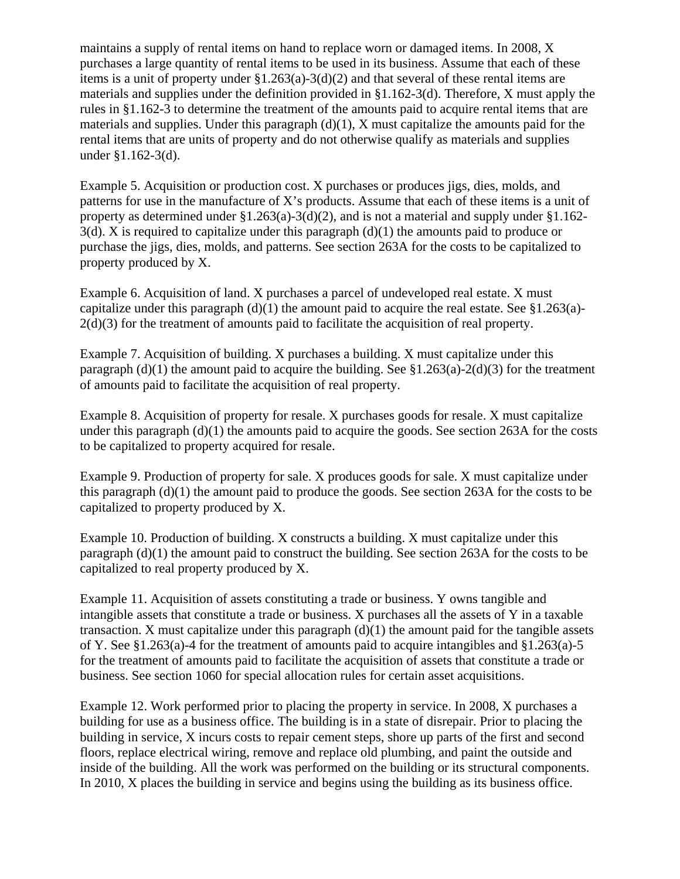maintains a supply of rental items on hand to replace worn or damaged items. In 2008, X purchases a large quantity of rental items to be used in its business. Assume that each of these items is a unit of property under  $\S1.263(a)-3(d)(2)$  and that several of these rental items are materials and supplies under the definition provided in §1.162-3(d). Therefore, X must apply the rules in §1.162-3 to determine the treatment of the amounts paid to acquire rental items that are materials and supplies. Under this paragraph  $(d)(1)$ , X must capitalize the amounts paid for the rental items that are units of property and do not otherwise qualify as materials and supplies under §1.162-3(d).

Example 5. Acquisition or production cost. X purchases or produces jigs, dies, molds, and patterns for use in the manufacture of X's products. Assume that each of these items is a unit of property as determined under  $\S1.263(a)-3(d)(2)$ , and is not a material and supply under  $\S1.162 3(d)$ . X is required to capitalize under this paragraph  $(d)(1)$  the amounts paid to produce or purchase the jigs, dies, molds, and patterns. See section 263A for the costs to be capitalized to property produced by X.

Example 6. Acquisition of land. X purchases a parcel of undeveloped real estate. X must capitalize under this paragraph  $(d)(1)$  the amount paid to acquire the real estate. See §1.263(a)-2(d)(3) for the treatment of amounts paid to facilitate the acquisition of real property.

Example 7. Acquisition of building. X purchases a building. X must capitalize under this paragraph (d)(1) the amount paid to acquire the building. See  $$1.263(a)-2(d)(3)$  for the treatment of amounts paid to facilitate the acquisition of real property.

Example 8. Acquisition of property for resale. X purchases goods for resale. X must capitalize under this paragraph  $(d)(1)$  the amounts paid to acquire the goods. See section 263A for the costs to be capitalized to property acquired for resale.

Example 9. Production of property for sale. X produces goods for sale. X must capitalize under this paragraph (d)(1) the amount paid to produce the goods. See section 263A for the costs to be capitalized to property produced by X.

Example 10. Production of building. X constructs a building. X must capitalize under this paragraph (d)(1) the amount paid to construct the building. See section 263A for the costs to be capitalized to real property produced by X.

Example 11. Acquisition of assets constituting a trade or business. Y owns tangible and intangible assets that constitute a trade or business. X purchases all the assets of Y in a taxable transaction. X must capitalize under this paragraph (d)(1) the amount paid for the tangible assets of Y. See §1.263(a)-4 for the treatment of amounts paid to acquire intangibles and §1.263(a)-5 for the treatment of amounts paid to facilitate the acquisition of assets that constitute a trade or business. See section 1060 for special allocation rules for certain asset acquisitions.

Example 12. Work performed prior to placing the property in service. In 2008, X purchases a building for use as a business office. The building is in a state of disrepair. Prior to placing the building in service, X incurs costs to repair cement steps, shore up parts of the first and second floors, replace electrical wiring, remove and replace old plumbing, and paint the outside and inside of the building. All the work was performed on the building or its structural components. In 2010, X places the building in service and begins using the building as its business office.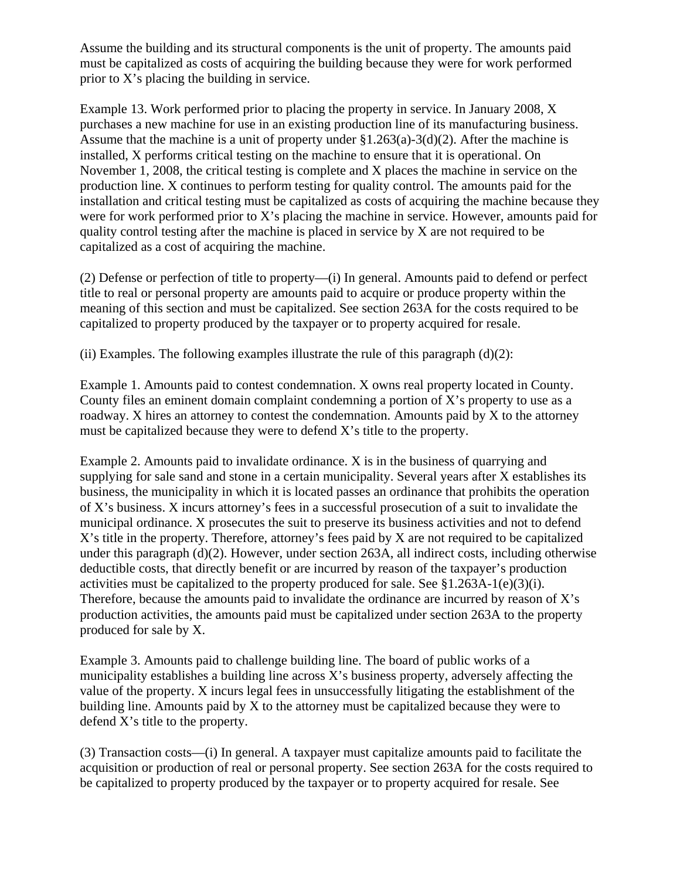Assume the building and its structural components is the unit of property. The amounts paid must be capitalized as costs of acquiring the building because they were for work performed prior to X's placing the building in service.

Example 13. Work performed prior to placing the property in service. In January 2008, X purchases a new machine for use in an existing production line of its manufacturing business. Assume that the machine is a unit of property under §1.263(a)-3(d)(2). After the machine is installed, X performs critical testing on the machine to ensure that it is operational. On November 1, 2008, the critical testing is complete and X places the machine in service on the production line. X continues to perform testing for quality control. The amounts paid for the installation and critical testing must be capitalized as costs of acquiring the machine because they were for work performed prior to X's placing the machine in service. However, amounts paid for quality control testing after the machine is placed in service by X are not required to be capitalized as a cost of acquiring the machine.

(2) Defense or perfection of title to property—(i) In general. Amounts paid to defend or perfect title to real or personal property are amounts paid to acquire or produce property within the meaning of this section and must be capitalized. See section 263A for the costs required to be capitalized to property produced by the taxpayer or to property acquired for resale.

(ii) Examples. The following examples illustrate the rule of this paragraph  $(d)(2)$ :

Example 1. Amounts paid to contest condemnation. X owns real property located in County. County files an eminent domain complaint condemning a portion of X's property to use as a roadway. X hires an attorney to contest the condemnation. Amounts paid by X to the attorney must be capitalized because they were to defend X's title to the property.

Example 2. Amounts paid to invalidate ordinance. X is in the business of quarrying and supplying for sale sand and stone in a certain municipality. Several years after X establishes its business, the municipality in which it is located passes an ordinance that prohibits the operation of X's business. X incurs attorney's fees in a successful prosecution of a suit to invalidate the municipal ordinance. X prosecutes the suit to preserve its business activities and not to defend X's title in the property. Therefore, attorney's fees paid by X are not required to be capitalized under this paragraph (d)(2). However, under section 263A, all indirect costs, including otherwise deductible costs, that directly benefit or are incurred by reason of the taxpayer's production activities must be capitalized to the property produced for sale. See §1.263A-1(e)(3)(i). Therefore, because the amounts paid to invalidate the ordinance are incurred by reason of X's production activities, the amounts paid must be capitalized under section 263A to the property produced for sale by X.

Example 3. Amounts paid to challenge building line. The board of public works of a municipality establishes a building line across X's business property, adversely affecting the value of the property. X incurs legal fees in unsuccessfully litigating the establishment of the building line. Amounts paid by X to the attorney must be capitalized because they were to defend X's title to the property.

(3) Transaction costs—(i) In general. A taxpayer must capitalize amounts paid to facilitate the acquisition or production of real or personal property. See section 263A for the costs required to be capitalized to property produced by the taxpayer or to property acquired for resale. See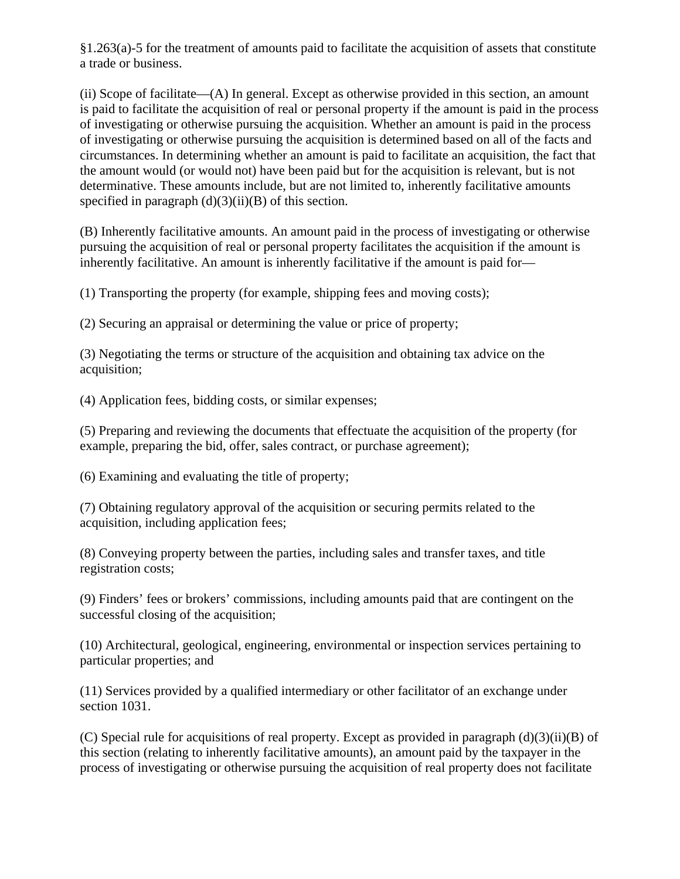§1.263(a)-5 for the treatment of amounts paid to facilitate the acquisition of assets that constitute a trade or business.

(ii) Scope of facilitate—(A) In general. Except as otherwise provided in this section, an amount is paid to facilitate the acquisition of real or personal property if the amount is paid in the process of investigating or otherwise pursuing the acquisition. Whether an amount is paid in the process of investigating or otherwise pursuing the acquisition is determined based on all of the facts and circumstances. In determining whether an amount is paid to facilitate an acquisition, the fact that the amount would (or would not) have been paid but for the acquisition is relevant, but is not determinative. These amounts include, but are not limited to, inherently facilitative amounts specified in paragraph  $(d)(3)(ii)(B)$  of this section.

(B) Inherently facilitative amounts. An amount paid in the process of investigating or otherwise pursuing the acquisition of real or personal property facilitates the acquisition if the amount is inherently facilitative. An amount is inherently facilitative if the amount is paid for—

(1) Transporting the property (for example, shipping fees and moving costs);

(2) Securing an appraisal or determining the value or price of property;

(3) Negotiating the terms or structure of the acquisition and obtaining tax advice on the acquisition;

(4) Application fees, bidding costs, or similar expenses;

(5) Preparing and reviewing the documents that effectuate the acquisition of the property (for example, preparing the bid, offer, sales contract, or purchase agreement);

(6) Examining and evaluating the title of property;

(7) Obtaining regulatory approval of the acquisition or securing permits related to the acquisition, including application fees;

(8) Conveying property between the parties, including sales and transfer taxes, and title registration costs;

(9) Finders' fees or brokers' commissions, including amounts paid that are contingent on the successful closing of the acquisition;

(10) Architectural, geological, engineering, environmental or inspection services pertaining to particular properties; and

(11) Services provided by a qualified intermediary or other facilitator of an exchange under section 1031.

(C) Special rule for acquisitions of real property. Except as provided in paragraph (d)(3)(ii)(B) of this section (relating to inherently facilitative amounts), an amount paid by the taxpayer in the process of investigating or otherwise pursuing the acquisition of real property does not facilitate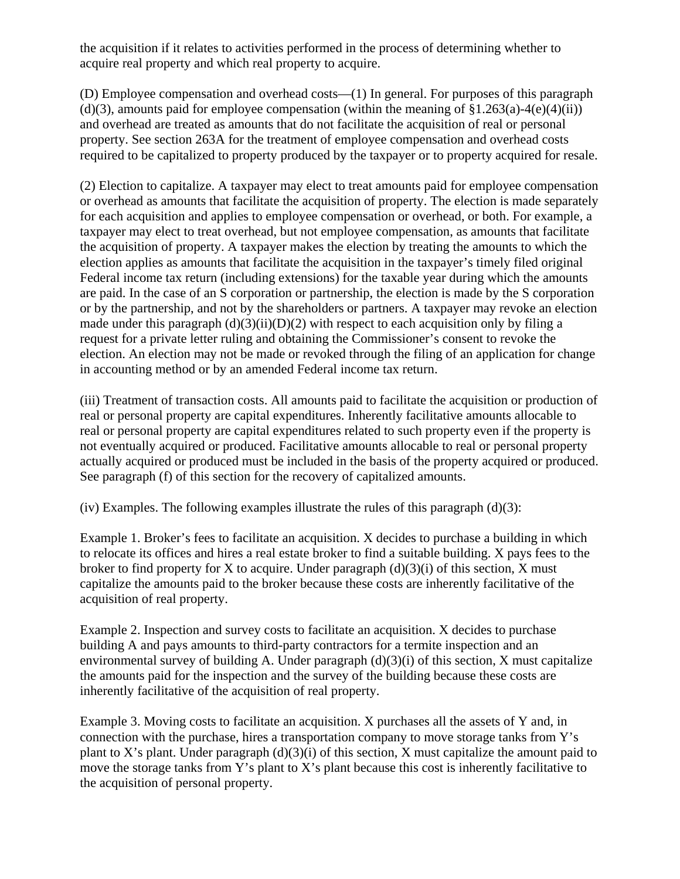the acquisition if it relates to activities performed in the process of determining whether to acquire real property and which real property to acquire.

(D) Employee compensation and overhead costs—(1) In general. For purposes of this paragraph (d)(3), amounts paid for employee compensation (within the meaning of  $\S1.263(a)-4(e)(4)(ii)$ ) and overhead are treated as amounts that do not facilitate the acquisition of real or personal property. See section 263A for the treatment of employee compensation and overhead costs required to be capitalized to property produced by the taxpayer or to property acquired for resale.

(2) Election to capitalize. A taxpayer may elect to treat amounts paid for employee compensation or overhead as amounts that facilitate the acquisition of property. The election is made separately for each acquisition and applies to employee compensation or overhead, or both. For example, a taxpayer may elect to treat overhead, but not employee compensation, as amounts that facilitate the acquisition of property. A taxpayer makes the election by treating the amounts to which the election applies as amounts that facilitate the acquisition in the taxpayer's timely filed original Federal income tax return (including extensions) for the taxable year during which the amounts are paid. In the case of an S corporation or partnership, the election is made by the S corporation or by the partnership, and not by the shareholders or partners. A taxpayer may revoke an election made under this paragraph  $(d)(3)(ii)(D)(2)$  with respect to each acquisition only by filing a request for a private letter ruling and obtaining the Commissioner's consent to revoke the election. An election may not be made or revoked through the filing of an application for change in accounting method or by an amended Federal income tax return.

(iii) Treatment of transaction costs. All amounts paid to facilitate the acquisition or production of real or personal property are capital expenditures. Inherently facilitative amounts allocable to real or personal property are capital expenditures related to such property even if the property is not eventually acquired or produced. Facilitative amounts allocable to real or personal property actually acquired or produced must be included in the basis of the property acquired or produced. See paragraph (f) of this section for the recovery of capitalized amounts.

(iv) Examples. The following examples illustrate the rules of this paragraph  $(d)(3)$ :

Example 1. Broker's fees to facilitate an acquisition. X decides to purchase a building in which to relocate its offices and hires a real estate broker to find a suitable building. X pays fees to the broker to find property for X to acquire. Under paragraph  $(d)(3)(i)$  of this section, X must capitalize the amounts paid to the broker because these costs are inherently facilitative of the acquisition of real property.

Example 2. Inspection and survey costs to facilitate an acquisition. X decides to purchase building A and pays amounts to third-party contractors for a termite inspection and an environmental survey of building A. Under paragraph (d)(3)(i) of this section, X must capitalize the amounts paid for the inspection and the survey of the building because these costs are inherently facilitative of the acquisition of real property.

Example 3. Moving costs to facilitate an acquisition. X purchases all the assets of Y and, in connection with the purchase, hires a transportation company to move storage tanks from Y's plant to X's plant. Under paragraph  $(d)(3)(i)$  of this section, X must capitalize the amount paid to move the storage tanks from Y's plant to X's plant because this cost is inherently facilitative to the acquisition of personal property.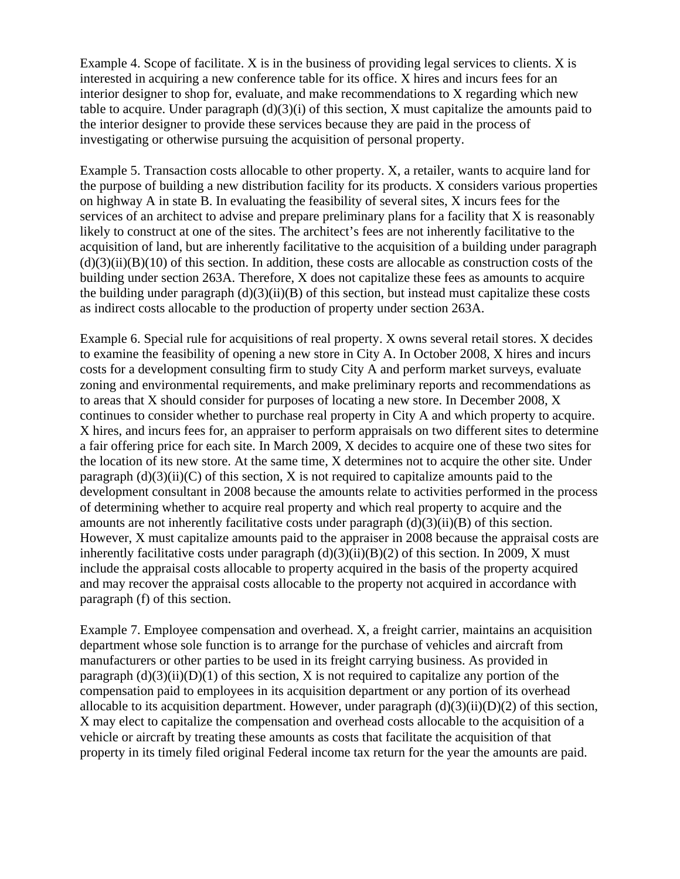Example 4. Scope of facilitate. X is in the business of providing legal services to clients. X is interested in acquiring a new conference table for its office. X hires and incurs fees for an interior designer to shop for, evaluate, and make recommendations to X regarding which new table to acquire. Under paragraph  $(d)(3)(i)$  of this section, X must capitalize the amounts paid to the interior designer to provide these services because they are paid in the process of investigating or otherwise pursuing the acquisition of personal property.

Example 5. Transaction costs allocable to other property. X, a retailer, wants to acquire land for the purpose of building a new distribution facility for its products. X considers various properties on highway A in state B. In evaluating the feasibility of several sites, X incurs fees for the services of an architect to advise and prepare preliminary plans for a facility that X is reasonably likely to construct at one of the sites. The architect's fees are not inherently facilitative to the acquisition of land, but are inherently facilitative to the acquisition of a building under paragraph  $(d)(3)(ii)(B)(10)$  of this section. In addition, these costs are allocable as construction costs of the building under section 263A. Therefore, X does not capitalize these fees as amounts to acquire the building under paragraph  $(d)(3)(ii)(B)$  of this section, but instead must capitalize these costs as indirect costs allocable to the production of property under section 263A.

Example 6. Special rule for acquisitions of real property. X owns several retail stores. X decides to examine the feasibility of opening a new store in City A. In October 2008, X hires and incurs costs for a development consulting firm to study City A and perform market surveys, evaluate zoning and environmental requirements, and make preliminary reports and recommendations as to areas that X should consider for purposes of locating a new store. In December 2008, X continues to consider whether to purchase real property in City A and which property to acquire. X hires, and incurs fees for, an appraiser to perform appraisals on two different sites to determine a fair offering price for each site. In March 2009, X decides to acquire one of these two sites for the location of its new store. At the same time, X determines not to acquire the other site. Under paragraph  $(d)(3)(ii)(C)$  of this section, X is not required to capitalize amounts paid to the development consultant in 2008 because the amounts relate to activities performed in the process of determining whether to acquire real property and which real property to acquire and the amounts are not inherently facilitative costs under paragraph  $(d)(3)(ii)(B)$  of this section. However, X must capitalize amounts paid to the appraiser in 2008 because the appraisal costs are inherently facilitative costs under paragraph  $(d)(3)(ii)(B)(2)$  of this section. In 2009, X must include the appraisal costs allocable to property acquired in the basis of the property acquired and may recover the appraisal costs allocable to the property not acquired in accordance with paragraph (f) of this section.

Example 7. Employee compensation and overhead. X, a freight carrier, maintains an acquisition department whose sole function is to arrange for the purchase of vehicles and aircraft from manufacturers or other parties to be used in its freight carrying business. As provided in paragraph  $(d)(3)(ii)(D)(1)$  of this section, X is not required to capitalize any portion of the compensation paid to employees in its acquisition department or any portion of its overhead allocable to its acquisition department. However, under paragraph  $(d)(3)(ii)(D)(2)$  of this section, X may elect to capitalize the compensation and overhead costs allocable to the acquisition of a vehicle or aircraft by treating these amounts as costs that facilitate the acquisition of that property in its timely filed original Federal income tax return for the year the amounts are paid.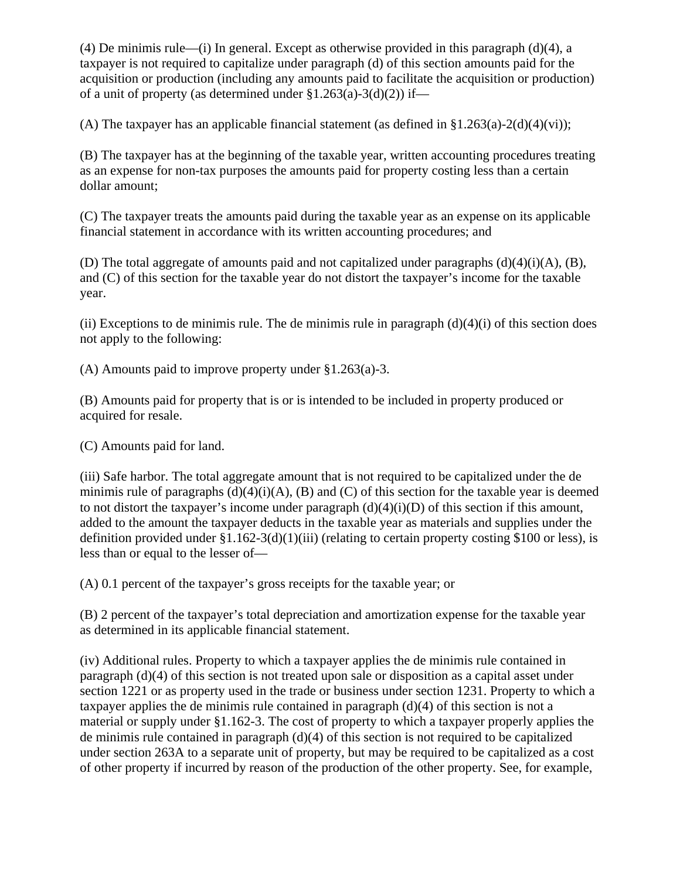(4) De minimis rule—(i) In general. Except as otherwise provided in this paragraph (d)(4), a taxpayer is not required to capitalize under paragraph (d) of this section amounts paid for the acquisition or production (including any amounts paid to facilitate the acquisition or production) of a unit of property (as determined under  $$1.263(a)-3(d)(2)$ ) if—

(A) The taxpayer has an applicable financial statement (as defined in  $\S1.263(a)-2(d)(4)(vi)$ ;

(B) The taxpayer has at the beginning of the taxable year, written accounting procedures treating as an expense for non-tax purposes the amounts paid for property costing less than a certain dollar amount;

(C) The taxpayer treats the amounts paid during the taxable year as an expense on its applicable financial statement in accordance with its written accounting procedures; and

(D) The total aggregate of amounts paid and not capitalized under paragraphs (d)(4)(i)(A), (B), and (C) of this section for the taxable year do not distort the taxpayer's income for the taxable year.

(ii) Exceptions to de minimis rule. The de minimis rule in paragraph  $(d)(4)(i)$  of this section does not apply to the following:

(A) Amounts paid to improve property under §1.263(a)-3.

(B) Amounts paid for property that is or is intended to be included in property produced or acquired for resale.

(C) Amounts paid for land.

(iii) Safe harbor. The total aggregate amount that is not required to be capitalized under the de minimis rule of paragraphs  $(d)(4)(i)(A)$ ,  $(B)$  and  $(C)$  of this section for the taxable year is deemed to not distort the taxpayer's income under paragraph  $(d)(4)(i)(D)$  of this section if this amount, added to the amount the taxpayer deducts in the taxable year as materials and supplies under the definition provided under  $\S1.162-3(d)(1)(iii)$  (relating to certain property costing \$100 or less), is less than or equal to the lesser of—

(A) 0.1 percent of the taxpayer's gross receipts for the taxable year; or

(B) 2 percent of the taxpayer's total depreciation and amortization expense for the taxable year as determined in its applicable financial statement.

(iv) Additional rules. Property to which a taxpayer applies the de minimis rule contained in paragraph (d)(4) of this section is not treated upon sale or disposition as a capital asset under section 1221 or as property used in the trade or business under section 1231. Property to which a taxpayer applies the de minimis rule contained in paragraph  $(d)(4)$  of this section is not a material or supply under §1.162-3. The cost of property to which a taxpayer properly applies the de minimis rule contained in paragraph (d)(4) of this section is not required to be capitalized under section 263A to a separate unit of property, but may be required to be capitalized as a cost of other property if incurred by reason of the production of the other property. See, for example,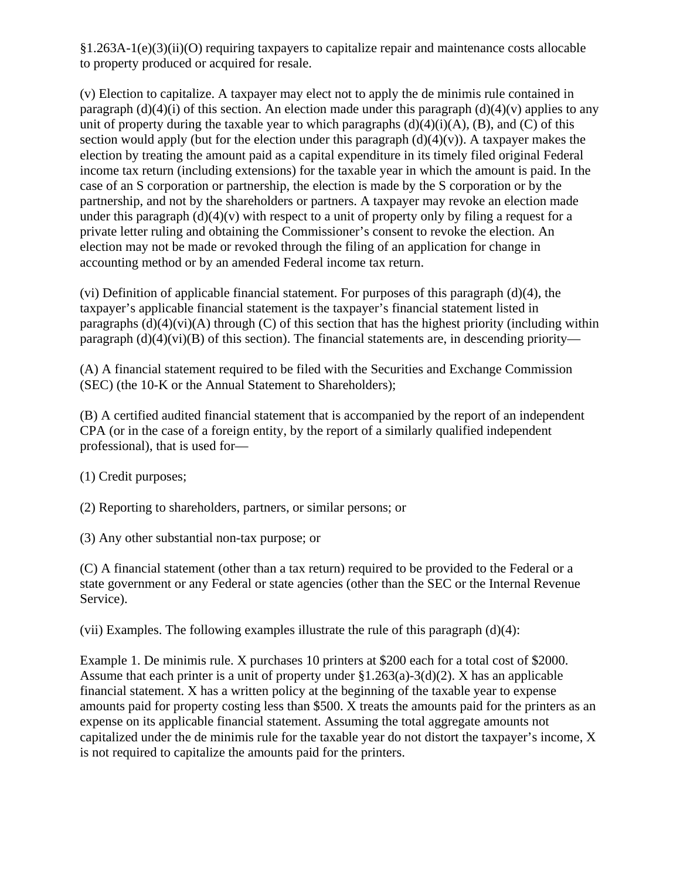§1.263A-1(e)(3)(ii)(O) requiring taxpayers to capitalize repair and maintenance costs allocable to property produced or acquired for resale.

(v) Election to capitalize. A taxpayer may elect not to apply the de minimis rule contained in paragraph (d)(4)(i) of this section. An election made under this paragraph (d)(4)(v) applies to any unit of property during the taxable year to which paragraphs  $(d)(4)(i)(A)$ ,  $(B)$ , and  $(C)$  of this section would apply (but for the election under this paragraph  $(d)(4)(v)$ ). A taxpayer makes the election by treating the amount paid as a capital expenditure in its timely filed original Federal income tax return (including extensions) for the taxable year in which the amount is paid. In the case of an S corporation or partnership, the election is made by the S corporation or by the partnership, and not by the shareholders or partners. A taxpayer may revoke an election made under this paragraph  $(d)(4)(v)$  with respect to a unit of property only by filing a request for a private letter ruling and obtaining the Commissioner's consent to revoke the election. An election may not be made or revoked through the filing of an application for change in accounting method or by an amended Federal income tax return.

(vi) Definition of applicable financial statement. For purposes of this paragraph (d)(4), the taxpayer's applicable financial statement is the taxpayer's financial statement listed in paragraphs  $(d)(4)(vi)(A)$  through  $(C)$  of this section that has the highest priority (including within paragraph  $(d)(4)(vi)(B)$  of this section). The financial statements are, in descending priority—

(A) A financial statement required to be filed with the Securities and Exchange Commission (SEC) (the 10-K or the Annual Statement to Shareholders);

(B) A certified audited financial statement that is accompanied by the report of an independent CPA (or in the case of a foreign entity, by the report of a similarly qualified independent professional), that is used for—

(1) Credit purposes;

(2) Reporting to shareholders, partners, or similar persons; or

(3) Any other substantial non-tax purpose; or

(C) A financial statement (other than a tax return) required to be provided to the Federal or a state government or any Federal or state agencies (other than the SEC or the Internal Revenue Service).

(vii) Examples. The following examples illustrate the rule of this paragraph (d)(4):

Example 1. De minimis rule. X purchases 10 printers at \$200 each for a total cost of \$2000. Assume that each printer is a unit of property under  $\S 1.263(a) - 3(d)(2)$ . X has an applicable financial statement. X has a written policy at the beginning of the taxable year to expense amounts paid for property costing less than \$500. X treats the amounts paid for the printers as an expense on its applicable financial statement. Assuming the total aggregate amounts not capitalized under the de minimis rule for the taxable year do not distort the taxpayer's income, X is not required to capitalize the amounts paid for the printers.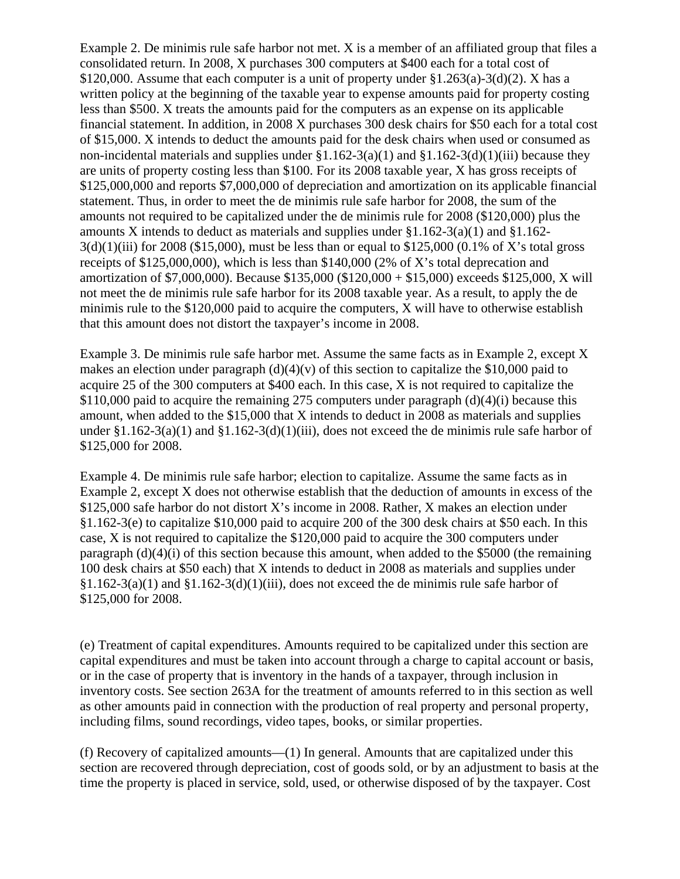Example 2. De minimis rule safe harbor not met. X is a member of an affiliated group that files a consolidated return. In 2008, X purchases 300 computers at \$400 each for a total cost of \$120,000. Assume that each computer is a unit of property under  $$1.263(a)-3(d)(2)$ . X has a written policy at the beginning of the taxable year to expense amounts paid for property costing less than \$500. X treats the amounts paid for the computers as an expense on its applicable financial statement. In addition, in 2008 X purchases 300 desk chairs for \$50 each for a total cost of \$15,000. X intends to deduct the amounts paid for the desk chairs when used or consumed as non-incidental materials and supplies under  $\S1.162-3(a)(1)$  and  $\S1.162-3(d)(1)(iii)$  because they are units of property costing less than \$100. For its 2008 taxable year, X has gross receipts of \$125,000,000 and reports \$7,000,000 of depreciation and amortization on its applicable financial statement. Thus, in order to meet the de minimis rule safe harbor for 2008, the sum of the amounts not required to be capitalized under the de minimis rule for 2008 (\$120,000) plus the amounts X intends to deduct as materials and supplies under §1.162-3(a)(1) and §1.162-  $3(d)(1)(iii)$  for 2008 (\$15,000), must be less than or equal to \$125,000 (0.1% of X's total gross receipts of \$125,000,000), which is less than \$140,000 (2% of X's total deprecation and amortization of \$7,000,000). Because \$135,000 (\$120,000 + \$15,000) exceeds \$125,000, X will not meet the de minimis rule safe harbor for its 2008 taxable year. As a result, to apply the de minimis rule to the \$120,000 paid to acquire the computers, X will have to otherwise establish that this amount does not distort the taxpayer's income in 2008.

Example 3. De minimis rule safe harbor met. Assume the same facts as in Example 2, except X makes an election under paragraph  $(d)(4)(v)$  of this section to capitalize the \$10,000 paid to acquire 25 of the 300 computers at \$400 each. In this case, X is not required to capitalize the  $$110,000$  paid to acquire the remaining 275 computers under paragraph (d)(4)(i) because this amount, when added to the \$15,000 that X intends to deduct in 2008 as materials and supplies under  $\S1.162-3(a)(1)$  and  $\S1.162-3(d)(1)(iii)$ , does not exceed the de minimis rule safe harbor of \$125,000 for 2008.

Example 4. De minimis rule safe harbor; election to capitalize. Assume the same facts as in Example 2, except X does not otherwise establish that the deduction of amounts in excess of the \$125,000 safe harbor do not distort X's income in 2008. Rather, X makes an election under §1.162-3(e) to capitalize \$10,000 paid to acquire 200 of the 300 desk chairs at \$50 each. In this case, X is not required to capitalize the \$120,000 paid to acquire the 300 computers under paragraph  $(d)(4)(i)$  of this section because this amount, when added to the \$5000 (the remaining 100 desk chairs at \$50 each) that X intends to deduct in 2008 as materials and supplies under  $\S1.162-3(a)(1)$  and  $\S1.162-3(d)(1)(iii)$ , does not exceed the de minimis rule safe harbor of \$125,000 for 2008.

(e) Treatment of capital expenditures. Amounts required to be capitalized under this section are capital expenditures and must be taken into account through a charge to capital account or basis, or in the case of property that is inventory in the hands of a taxpayer, through inclusion in inventory costs. See section 263A for the treatment of amounts referred to in this section as well as other amounts paid in connection with the production of real property and personal property, including films, sound recordings, video tapes, books, or similar properties.

(f) Recovery of capitalized amounts—(1) In general. Amounts that are capitalized under this section are recovered through depreciation, cost of goods sold, or by an adjustment to basis at the time the property is placed in service, sold, used, or otherwise disposed of by the taxpayer. Cost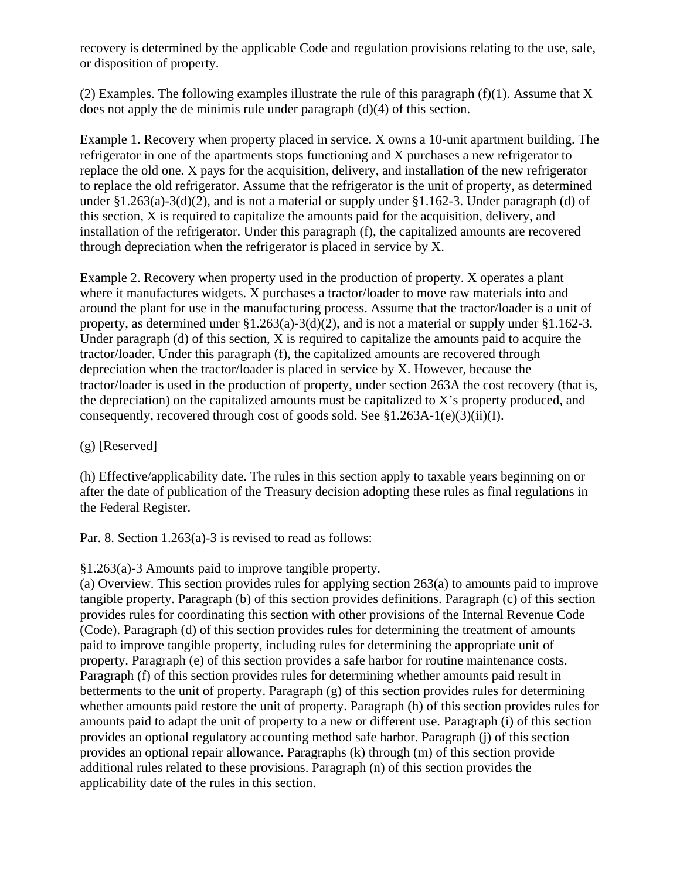recovery is determined by the applicable Code and regulation provisions relating to the use, sale, or disposition of property.

(2) Examples. The following examples illustrate the rule of this paragraph ( $f$ )(1). Assume that X does not apply the de minimis rule under paragraph (d)(4) of this section.

Example 1. Recovery when property placed in service. X owns a 10-unit apartment building. The refrigerator in one of the apartments stops functioning and X purchases a new refrigerator to replace the old one. X pays for the acquisition, delivery, and installation of the new refrigerator to replace the old refrigerator. Assume that the refrigerator is the unit of property, as determined under §1.263(a)-3(d)(2), and is not a material or supply under §1.162-3. Under paragraph (d) of this section, X is required to capitalize the amounts paid for the acquisition, delivery, and installation of the refrigerator. Under this paragraph (f), the capitalized amounts are recovered through depreciation when the refrigerator is placed in service by X.

Example 2. Recovery when property used in the production of property. X operates a plant where it manufactures widgets. X purchases a tractor/loader to move raw materials into and around the plant for use in the manufacturing process. Assume that the tractor/loader is a unit of property, as determined under §1.263(a)-3(d)(2), and is not a material or supply under §1.162-3. Under paragraph (d) of this section, X is required to capitalize the amounts paid to acquire the tractor/loader. Under this paragraph (f), the capitalized amounts are recovered through depreciation when the tractor/loader is placed in service by X. However, because the tractor/loader is used in the production of property, under section 263A the cost recovery (that is, the depreciation) on the capitalized amounts must be capitalized to  $X$ 's property produced, and consequently, recovered through cost of goods sold. See §1.263A-1(e)(3)(ii)(I).

(g) [Reserved]

(h) Effective/applicability date. The rules in this section apply to taxable years beginning on or after the date of publication of the Treasury decision adopting these rules as final regulations in the Federal Register.

Par. 8. Section 1.263(a)-3 is revised to read as follows:

§1.263(a)-3 Amounts paid to improve tangible property.

(a) Overview. This section provides rules for applying section 263(a) to amounts paid to improve tangible property. Paragraph (b) of this section provides definitions. Paragraph (c) of this section provides rules for coordinating this section with other provisions of the Internal Revenue Code (Code). Paragraph (d) of this section provides rules for determining the treatment of amounts paid to improve tangible property, including rules for determining the appropriate unit of property. Paragraph (e) of this section provides a safe harbor for routine maintenance costs. Paragraph (f) of this section provides rules for determining whether amounts paid result in betterments to the unit of property. Paragraph (g) of this section provides rules for determining whether amounts paid restore the unit of property. Paragraph (h) of this section provides rules for amounts paid to adapt the unit of property to a new or different use. Paragraph (i) of this section provides an optional regulatory accounting method safe harbor. Paragraph (j) of this section provides an optional repair allowance. Paragraphs (k) through (m) of this section provide additional rules related to these provisions. Paragraph (n) of this section provides the applicability date of the rules in this section.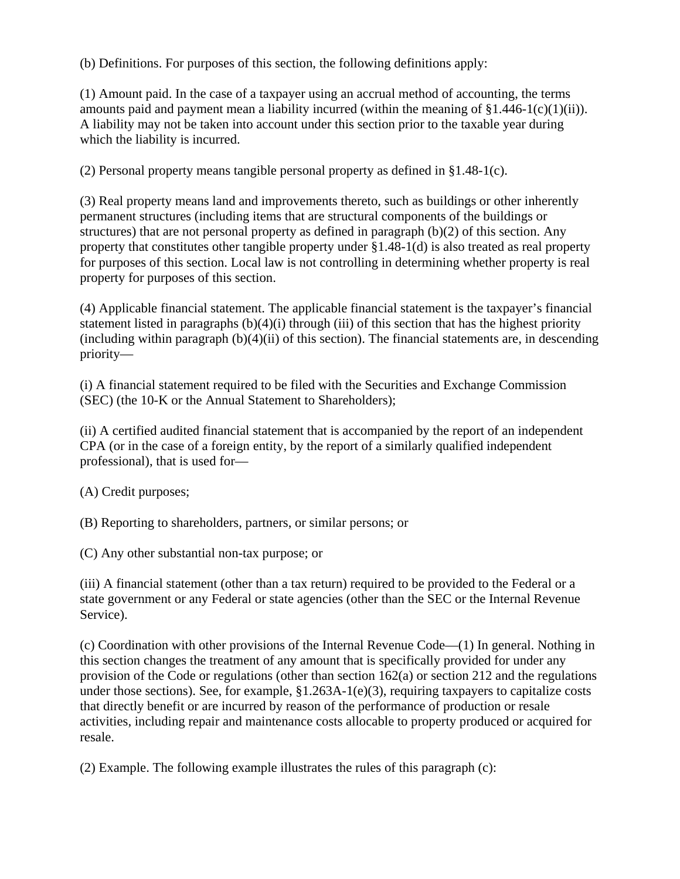(b) Definitions. For purposes of this section, the following definitions apply:

(1) Amount paid. In the case of a taxpayer using an accrual method of accounting, the terms amounts paid and payment mean a liability incurred (within the meaning of  $\S1.446-1(c)(1)(ii)$ ). A liability may not be taken into account under this section prior to the taxable year during which the liability is incurred.

(2) Personal property means tangible personal property as defined in §1.48-1(c).

(3) Real property means land and improvements thereto, such as buildings or other inherently permanent structures (including items that are structural components of the buildings or structures) that are not personal property as defined in paragraph (b)(2) of this section. Any property that constitutes other tangible property under §1.48-1(d) is also treated as real property for purposes of this section. Local law is not controlling in determining whether property is real property for purposes of this section.

(4) Applicable financial statement. The applicable financial statement is the taxpayer's financial statement listed in paragraphs  $(b)(4)(i)$  through (iii) of this section that has the highest priority (including within paragraph  $(b)(4)(ii)$  of this section). The financial statements are, in descending priority—

(i) A financial statement required to be filed with the Securities and Exchange Commission (SEC) (the 10-K or the Annual Statement to Shareholders);

(ii) A certified audited financial statement that is accompanied by the report of an independent CPA (or in the case of a foreign entity, by the report of a similarly qualified independent professional), that is used for—

(A) Credit purposes;

(B) Reporting to shareholders, partners, or similar persons; or

(C) Any other substantial non-tax purpose; or

(iii) A financial statement (other than a tax return) required to be provided to the Federal or a state government or any Federal or state agencies (other than the SEC or the Internal Revenue Service).

(c) Coordination with other provisions of the Internal Revenue Code—(1) In general. Nothing in this section changes the treatment of any amount that is specifically provided for under any provision of the Code or regulations (other than section 162(a) or section 212 and the regulations under those sections). See, for example, §1.263A-1(e)(3), requiring taxpayers to capitalize costs that directly benefit or are incurred by reason of the performance of production or resale activities, including repair and maintenance costs allocable to property produced or acquired for resale.

(2) Example. The following example illustrates the rules of this paragraph (c):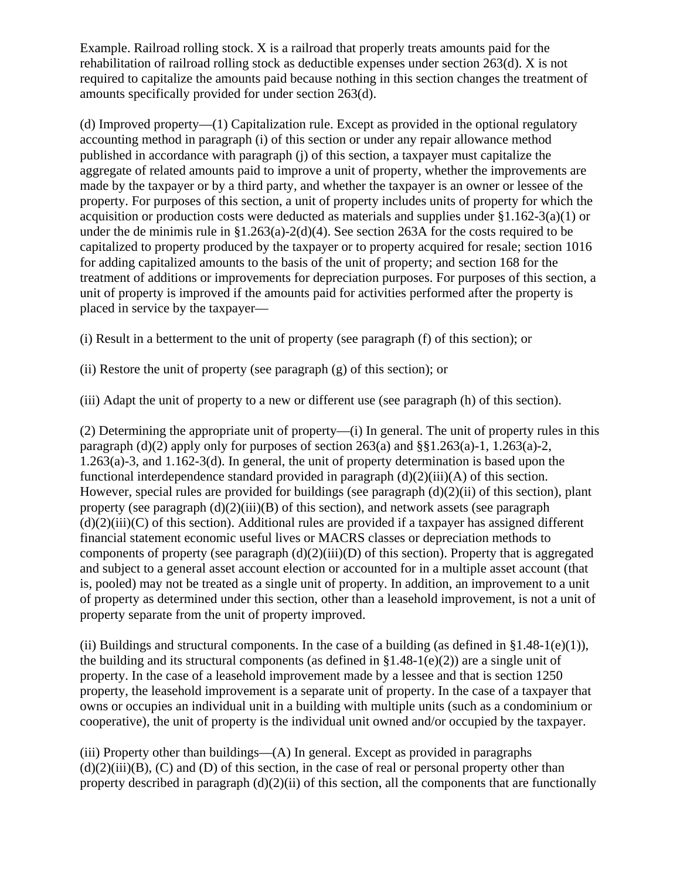Example. Railroad rolling stock. X is a railroad that properly treats amounts paid for the rehabilitation of railroad rolling stock as deductible expenses under section 263(d). X is not required to capitalize the amounts paid because nothing in this section changes the treatment of amounts specifically provided for under section 263(d).

(d) Improved property—(1) Capitalization rule. Except as provided in the optional regulatory accounting method in paragraph (i) of this section or under any repair allowance method published in accordance with paragraph (j) of this section, a taxpayer must capitalize the aggregate of related amounts paid to improve a unit of property, whether the improvements are made by the taxpayer or by a third party, and whether the taxpayer is an owner or lessee of the property. For purposes of this section, a unit of property includes units of property for which the acquisition or production costs were deducted as materials and supplies under §1.162-3(a)(1) or under the de minimis rule in §1.263(a)-2(d)(4). See section 263A for the costs required to be capitalized to property produced by the taxpayer or to property acquired for resale; section 1016 for adding capitalized amounts to the basis of the unit of property; and section 168 for the treatment of additions or improvements for depreciation purposes. For purposes of this section, a unit of property is improved if the amounts paid for activities performed after the property is placed in service by the taxpayer—

(i) Result in a betterment to the unit of property (see paragraph (f) of this section); or

(ii) Restore the unit of property (see paragraph (g) of this section); or

(iii) Adapt the unit of property to a new or different use (see paragraph (h) of this section).

(2) Determining the appropriate unit of property—(i) In general. The unit of property rules in this paragraph (d)(2) apply only for purposes of section  $263(a)$  and  $\S$  $I.263(a)$ -1, 1.263(a)-2, 1.263(a)-3, and 1.162-3(d). In general, the unit of property determination is based upon the functional interdependence standard provided in paragraph  $(d)(2)(iii)(A)$  of this section. However, special rules are provided for buildings (see paragraph (d)(2)(ii) of this section), plant property (see paragraph  $(d)(2)(iii)(B)$  of this section), and network assets (see paragraph  $(d)(2)(iii)(C)$  of this section). Additional rules are provided if a taxpayer has assigned different financial statement economic useful lives or MACRS classes or depreciation methods to components of property (see paragraph  $(d)(2)(iii)(D)$  of this section). Property that is aggregated and subject to a general asset account election or accounted for in a multiple asset account (that is, pooled) may not be treated as a single unit of property. In addition, an improvement to a unit of property as determined under this section, other than a leasehold improvement, is not a unit of property separate from the unit of property improved.

(ii) Buildings and structural components. In the case of a building (as defined in  $\S 1.48-1(e)(1)$ ), the building and its structural components (as defined in  $\S1.48-1(e)(2)$ ) are a single unit of property. In the case of a leasehold improvement made by a lessee and that is section 1250 property, the leasehold improvement is a separate unit of property. In the case of a taxpayer that owns or occupies an individual unit in a building with multiple units (such as a condominium or cooperative), the unit of property is the individual unit owned and/or occupied by the taxpayer.

 $(iii)$  Property other than buildings— $(A)$  In general. Except as provided in paragraphs  $(d)(2)(iii)(B)$ ,  $(C)$  and  $(D)$  of this section, in the case of real or personal property other than property described in paragraph  $(d)(2)(ii)$  of this section, all the components that are functionally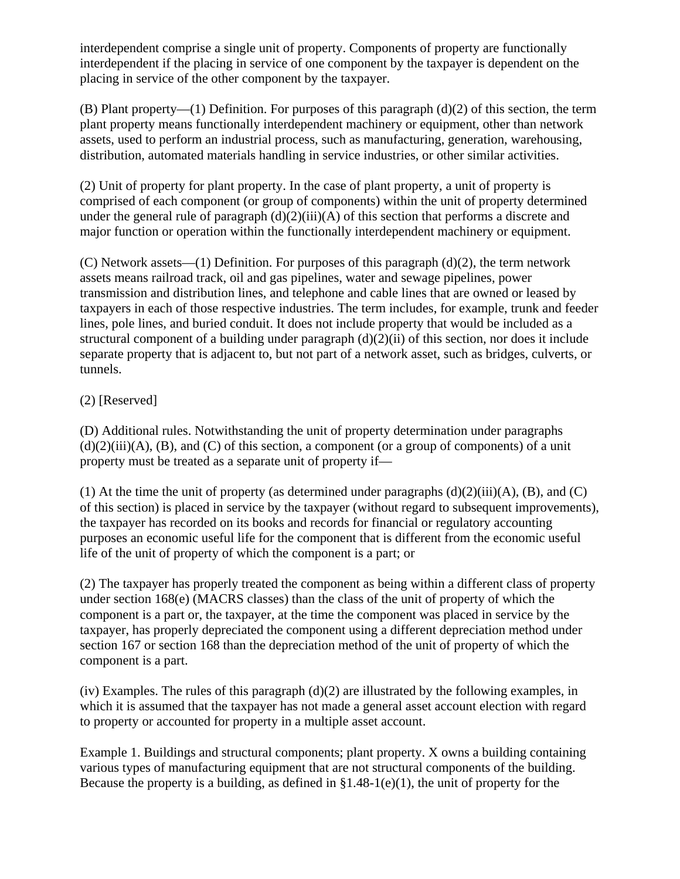interdependent comprise a single unit of property. Components of property are functionally interdependent if the placing in service of one component by the taxpayer is dependent on the placing in service of the other component by the taxpayer.

(B) Plant property—(1) Definition. For purposes of this paragraph (d)(2) of this section, the term plant property means functionally interdependent machinery or equipment, other than network assets, used to perform an industrial process, such as manufacturing, generation, warehousing, distribution, automated materials handling in service industries, or other similar activities.

(2) Unit of property for plant property. In the case of plant property, a unit of property is comprised of each component (or group of components) within the unit of property determined under the general rule of paragraph  $(d)(2)(iii)(A)$  of this section that performs a discrete and major function or operation within the functionally interdependent machinery or equipment.

(C) Network assets—(1) Definition. For purposes of this paragraph  $(d)(2)$ , the term network assets means railroad track, oil and gas pipelines, water and sewage pipelines, power transmission and distribution lines, and telephone and cable lines that are owned or leased by taxpayers in each of those respective industries. The term includes, for example, trunk and feeder lines, pole lines, and buried conduit. It does not include property that would be included as a structural component of a building under paragraph  $(d)(2)(ii)$  of this section, nor does it include separate property that is adjacent to, but not part of a network asset, such as bridges, culverts, or tunnels.

# (2) [Reserved]

(D) Additional rules. Notwithstanding the unit of property determination under paragraphs  $(d)(2)(iii)(A)$ ,  $(B)$ , and  $(C)$  of this section, a component (or a group of components) of a unit property must be treated as a separate unit of property if—

(1) At the time the unit of property (as determined under paragraphs  $(d)(2)(iii)(A)$ ,  $(B)$ , and  $(C)$ of this section) is placed in service by the taxpayer (without regard to subsequent improvements), the taxpayer has recorded on its books and records for financial or regulatory accounting purposes an economic useful life for the component that is different from the economic useful life of the unit of property of which the component is a part; or

(2) The taxpayer has properly treated the component as being within a different class of property under section 168(e) (MACRS classes) than the class of the unit of property of which the component is a part or, the taxpayer, at the time the component was placed in service by the taxpayer, has properly depreciated the component using a different depreciation method under section 167 or section 168 than the depreciation method of the unit of property of which the component is a part.

(iv) Examples. The rules of this paragraph (d)(2) are illustrated by the following examples, in which it is assumed that the taxpayer has not made a general asset account election with regard to property or accounted for property in a multiple asset account.

Example 1. Buildings and structural components; plant property. X owns a building containing various types of manufacturing equipment that are not structural components of the building. Because the property is a building, as defined in  $\S1.48-1(e)(1)$ , the unit of property for the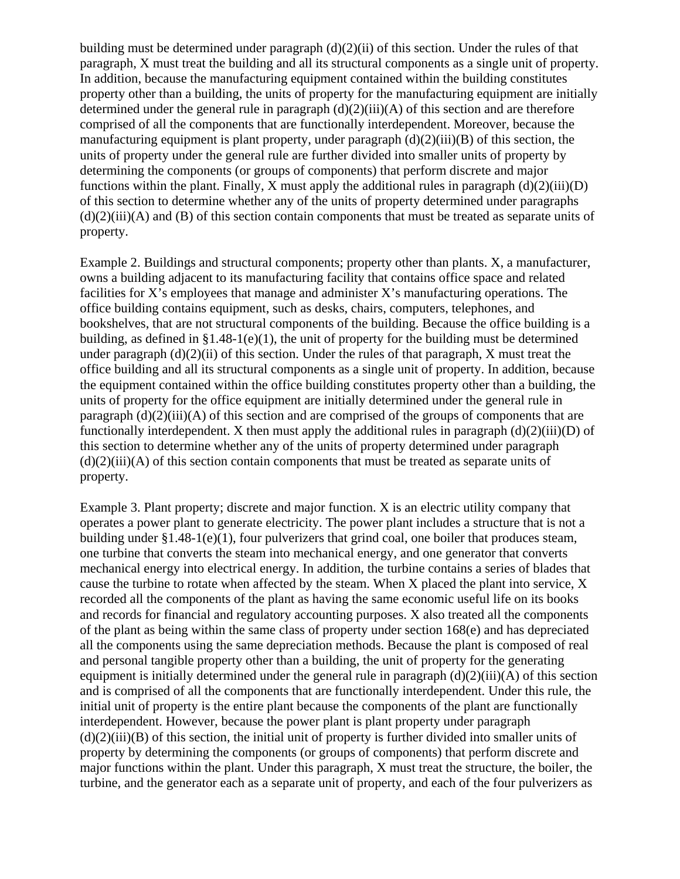building must be determined under paragraph (d)(2)(ii) of this section. Under the rules of that paragraph, X must treat the building and all its structural components as a single unit of property. In addition, because the manufacturing equipment contained within the building constitutes property other than a building, the units of property for the manufacturing equipment are initially determined under the general rule in paragraph  $(d)(2)(iii)(A)$  of this section and are therefore comprised of all the components that are functionally interdependent. Moreover, because the manufacturing equipment is plant property, under paragraph  $(d)(2)(iii)(B)$  of this section, the units of property under the general rule are further divided into smaller units of property by determining the components (or groups of components) that perform discrete and major functions within the plant. Finally, X must apply the additional rules in paragraph  $(d)(2)(iii)(D)$ of this section to determine whether any of the units of property determined under paragraphs  $(d)(2)(iii)(A)$  and  $(B)$  of this section contain components that must be treated as separate units of property.

Example 2. Buildings and structural components; property other than plants. X, a manufacturer, owns a building adjacent to its manufacturing facility that contains office space and related facilities for X's employees that manage and administer X's manufacturing operations. The office building contains equipment, such as desks, chairs, computers, telephones, and bookshelves, that are not structural components of the building. Because the office building is a building, as defined in  $\S 1.48-1(e)(1)$ , the unit of property for the building must be determined under paragraph  $(d)(2)(ii)$  of this section. Under the rules of that paragraph, X must treat the office building and all its structural components as a single unit of property. In addition, because the equipment contained within the office building constitutes property other than a building, the units of property for the office equipment are initially determined under the general rule in paragraph  $(d)(2)(iii)$ (A) of this section and are comprised of the groups of components that are functionally interdependent. X then must apply the additional rules in paragraph  $(d)(2)(iii)(D)$  of this section to determine whether any of the units of property determined under paragraph  $(d)(2)(iii)$ (A) of this section contain components that must be treated as separate units of property.

Example 3. Plant property; discrete and major function. X is an electric utility company that operates a power plant to generate electricity. The power plant includes a structure that is not a building under §1.48-1(e)(1), four pulverizers that grind coal, one boiler that produces steam, one turbine that converts the steam into mechanical energy, and one generator that converts mechanical energy into electrical energy. In addition, the turbine contains a series of blades that cause the turbine to rotate when affected by the steam. When X placed the plant into service, X recorded all the components of the plant as having the same economic useful life on its books and records for financial and regulatory accounting purposes. X also treated all the components of the plant as being within the same class of property under section 168(e) and has depreciated all the components using the same depreciation methods. Because the plant is composed of real and personal tangible property other than a building, the unit of property for the generating equipment is initially determined under the general rule in paragraph  $(d)(2)(iii)(A)$  of this section and is comprised of all the components that are functionally interdependent. Under this rule, the initial unit of property is the entire plant because the components of the plant are functionally interdependent. However, because the power plant is plant property under paragraph  $(d)(2)(iii)(B)$  of this section, the initial unit of property is further divided into smaller units of property by determining the components (or groups of components) that perform discrete and major functions within the plant. Under this paragraph, X must treat the structure, the boiler, the turbine, and the generator each as a separate unit of property, and each of the four pulverizers as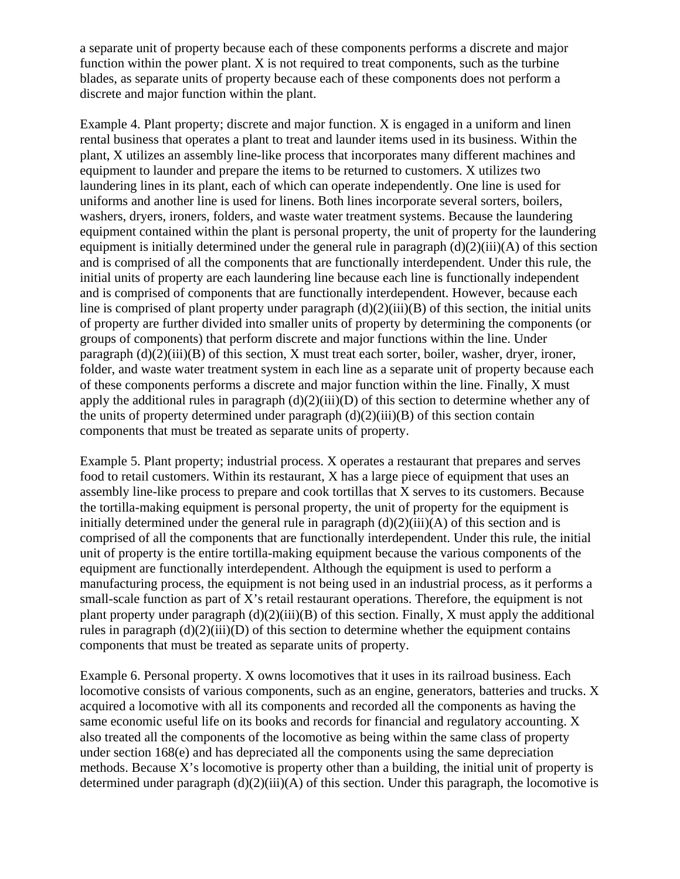a separate unit of property because each of these components performs a discrete and major function within the power plant. X is not required to treat components, such as the turbine blades, as separate units of property because each of these components does not perform a discrete and major function within the plant.

Example 4. Plant property; discrete and major function. X is engaged in a uniform and linen rental business that operates a plant to treat and launder items used in its business. Within the plant, X utilizes an assembly line-like process that incorporates many different machines and equipment to launder and prepare the items to be returned to customers. X utilizes two laundering lines in its plant, each of which can operate independently. One line is used for uniforms and another line is used for linens. Both lines incorporate several sorters, boilers, washers, dryers, ironers, folders, and waste water treatment systems. Because the laundering equipment contained within the plant is personal property, the unit of property for the laundering equipment is initially determined under the general rule in paragraph  $(d)(2)(iii)(A)$  of this section and is comprised of all the components that are functionally interdependent. Under this rule, the initial units of property are each laundering line because each line is functionally independent and is comprised of components that are functionally interdependent. However, because each line is comprised of plant property under paragraph  $(d)(2)(iii)(B)$  of this section, the initial units of property are further divided into smaller units of property by determining the components (or groups of components) that perform discrete and major functions within the line. Under paragraph  $(d)(2)(iii)$  of this section, X must treat each sorter, boiler, washer, dryer, ironer, folder, and waste water treatment system in each line as a separate unit of property because each of these components performs a discrete and major function within the line. Finally, X must apply the additional rules in paragraph  $(d)(2)(iii)(D)$  of this section to determine whether any of the units of property determined under paragraph  $(d)(2)(iii)(B)$  of this section contain components that must be treated as separate units of property.

Example 5. Plant property; industrial process. X operates a restaurant that prepares and serves food to retail customers. Within its restaurant, X has a large piece of equipment that uses an assembly line-like process to prepare and cook tortillas that X serves to its customers. Because the tortilla-making equipment is personal property, the unit of property for the equipment is initially determined under the general rule in paragraph  $(d)(2)(iii)(A)$  of this section and is comprised of all the components that are functionally interdependent. Under this rule, the initial unit of property is the entire tortilla-making equipment because the various components of the equipment are functionally interdependent. Although the equipment is used to perform a manufacturing process, the equipment is not being used in an industrial process, as it performs a small-scale function as part of X's retail restaurant operations. Therefore, the equipment is not plant property under paragraph  $(d)(2)(iii)(B)$  of this section. Finally, X must apply the additional rules in paragraph  $(d)(2)(iii)(D)$  of this section to determine whether the equipment contains components that must be treated as separate units of property.

Example 6. Personal property. X owns locomotives that it uses in its railroad business. Each locomotive consists of various components, such as an engine, generators, batteries and trucks. X acquired a locomotive with all its components and recorded all the components as having the same economic useful life on its books and records for financial and regulatory accounting. X also treated all the components of the locomotive as being within the same class of property under section 168(e) and has depreciated all the components using the same depreciation methods. Because X's locomotive is property other than a building, the initial unit of property is determined under paragraph  $(d)(2)(iii)(A)$  of this section. Under this paragraph, the locomotive is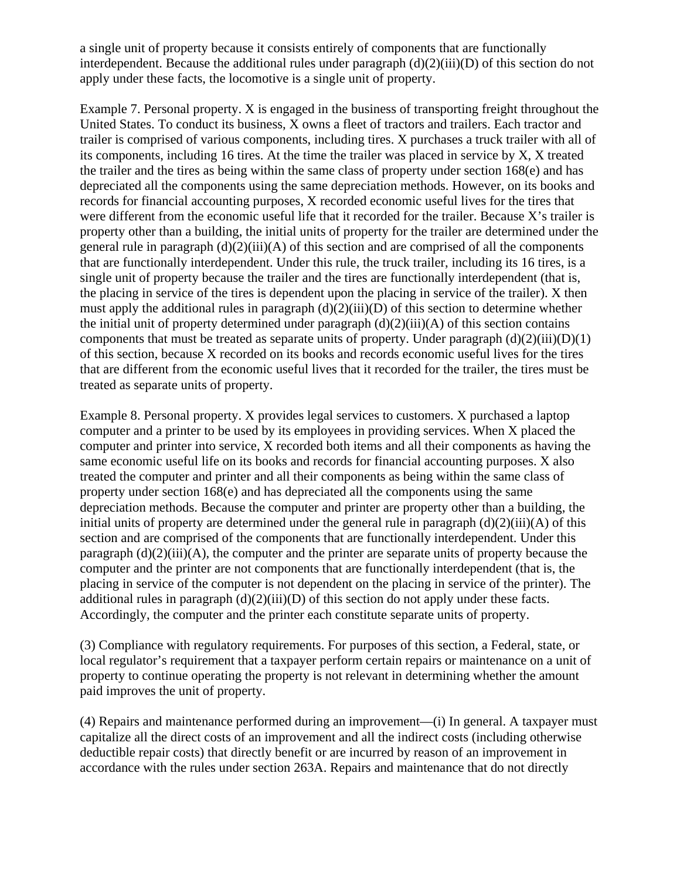a single unit of property because it consists entirely of components that are functionally interdependent. Because the additional rules under paragraph  $(d)(2)(iii)(D)$  of this section do not apply under these facts, the locomotive is a single unit of property.

Example 7. Personal property. X is engaged in the business of transporting freight throughout the United States. To conduct its business, X owns a fleet of tractors and trailers. Each tractor and trailer is comprised of various components, including tires. X purchases a truck trailer with all of its components, including 16 tires. At the time the trailer was placed in service by X, X treated the trailer and the tires as being within the same class of property under section 168(e) and has depreciated all the components using the same depreciation methods. However, on its books and records for financial accounting purposes, X recorded economic useful lives for the tires that were different from the economic useful life that it recorded for the trailer. Because X's trailer is property other than a building, the initial units of property for the trailer are determined under the general rule in paragraph  $(d)(2)(iii)(A)$  of this section and are comprised of all the components that are functionally interdependent. Under this rule, the truck trailer, including its 16 tires, is a single unit of property because the trailer and the tires are functionally interdependent (that is, the placing in service of the tires is dependent upon the placing in service of the trailer). X then must apply the additional rules in paragraph  $(d)(2)(iii)(D)$  of this section to determine whether the initial unit of property determined under paragraph  $(d)(2)(iii)(A)$  of this section contains components that must be treated as separate units of property. Under paragraph  $(d)(2)(iii)(D)(1)$ of this section, because X recorded on its books and records economic useful lives for the tires that are different from the economic useful lives that it recorded for the trailer, the tires must be treated as separate units of property.

Example 8. Personal property. X provides legal services to customers. X purchased a laptop computer and a printer to be used by its employees in providing services. When X placed the computer and printer into service, X recorded both items and all their components as having the same economic useful life on its books and records for financial accounting purposes. X also treated the computer and printer and all their components as being within the same class of property under section 168(e) and has depreciated all the components using the same depreciation methods. Because the computer and printer are property other than a building, the initial units of property are determined under the general rule in paragraph  $(d)(2)(iii)(A)$  of this section and are comprised of the components that are functionally interdependent. Under this paragraph  $(d)(2)(iii)$ (A), the computer and the printer are separate units of property because the computer and the printer are not components that are functionally interdependent (that is, the placing in service of the computer is not dependent on the placing in service of the printer). The additional rules in paragraph  $(d)(2)(iii)(D)$  of this section do not apply under these facts. Accordingly, the computer and the printer each constitute separate units of property.

(3) Compliance with regulatory requirements. For purposes of this section, a Federal, state, or local regulator's requirement that a taxpayer perform certain repairs or maintenance on a unit of property to continue operating the property is not relevant in determining whether the amount paid improves the unit of property.

(4) Repairs and maintenance performed during an improvement—(i) In general. A taxpayer must capitalize all the direct costs of an improvement and all the indirect costs (including otherwise deductible repair costs) that directly benefit or are incurred by reason of an improvement in accordance with the rules under section 263A. Repairs and maintenance that do not directly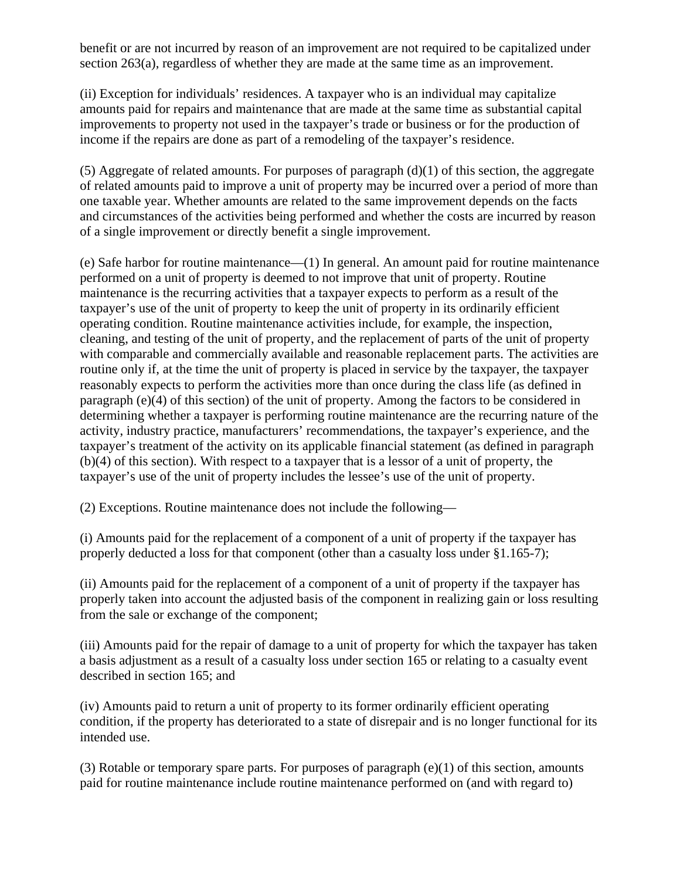benefit or are not incurred by reason of an improvement are not required to be capitalized under section 263(a), regardless of whether they are made at the same time as an improvement.

(ii) Exception for individuals' residences. A taxpayer who is an individual may capitalize amounts paid for repairs and maintenance that are made at the same time as substantial capital improvements to property not used in the taxpayer's trade or business or for the production of income if the repairs are done as part of a remodeling of the taxpayer's residence.

(5) Aggregate of related amounts. For purposes of paragraph  $(d)(1)$  of this section, the aggregate of related amounts paid to improve a unit of property may be incurred over a period of more than one taxable year. Whether amounts are related to the same improvement depends on the facts and circumstances of the activities being performed and whether the costs are incurred by reason of a single improvement or directly benefit a single improvement.

(e) Safe harbor for routine maintenance—(1) In general. An amount paid for routine maintenance performed on a unit of property is deemed to not improve that unit of property. Routine maintenance is the recurring activities that a taxpayer expects to perform as a result of the taxpayer's use of the unit of property to keep the unit of property in its ordinarily efficient operating condition. Routine maintenance activities include, for example, the inspection, cleaning, and testing of the unit of property, and the replacement of parts of the unit of property with comparable and commercially available and reasonable replacement parts. The activities are routine only if, at the time the unit of property is placed in service by the taxpayer, the taxpayer reasonably expects to perform the activities more than once during the class life (as defined in paragraph (e)(4) of this section) of the unit of property. Among the factors to be considered in determining whether a taxpayer is performing routine maintenance are the recurring nature of the activity, industry practice, manufacturers' recommendations, the taxpayer's experience, and the taxpayer's treatment of the activity on its applicable financial statement (as defined in paragraph (b)(4) of this section). With respect to a taxpayer that is a lessor of a unit of property, the taxpayer's use of the unit of property includes the lessee's use of the unit of property.

(2) Exceptions. Routine maintenance does not include the following—

(i) Amounts paid for the replacement of a component of a unit of property if the taxpayer has properly deducted a loss for that component (other than a casualty loss under §1.165-7);

(ii) Amounts paid for the replacement of a component of a unit of property if the taxpayer has properly taken into account the adjusted basis of the component in realizing gain or loss resulting from the sale or exchange of the component;

(iii) Amounts paid for the repair of damage to a unit of property for which the taxpayer has taken a basis adjustment as a result of a casualty loss under section 165 or relating to a casualty event described in section 165; and

(iv) Amounts paid to return a unit of property to its former ordinarily efficient operating condition, if the property has deteriorated to a state of disrepair and is no longer functional for its intended use.

(3) Rotable or temporary spare parts. For purposes of paragraph (e)(1) of this section, amounts paid for routine maintenance include routine maintenance performed on (and with regard to)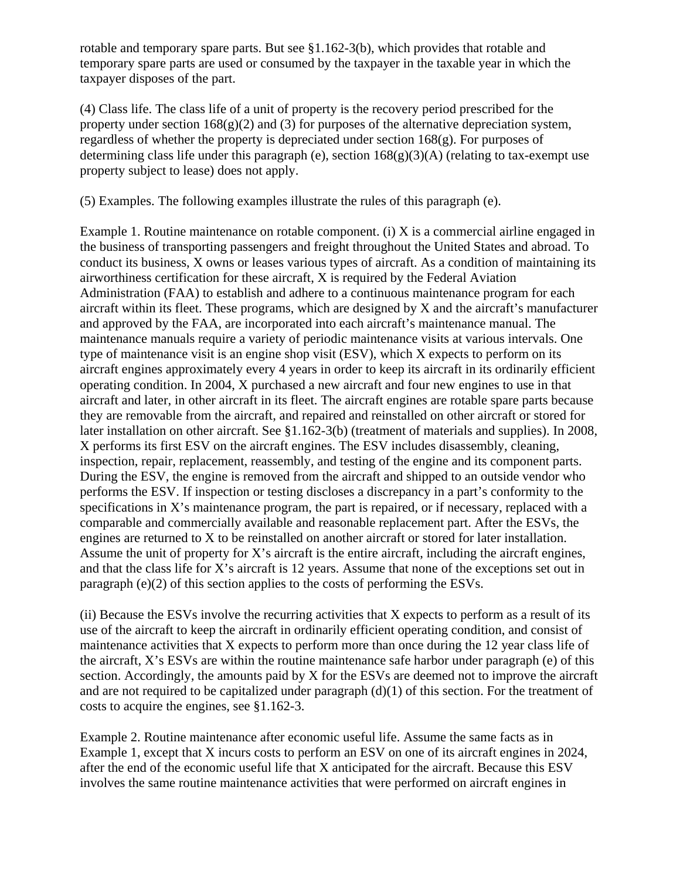rotable and temporary spare parts. But see §1.162-3(b), which provides that rotable and temporary spare parts are used or consumed by the taxpayer in the taxable year in which the taxpayer disposes of the part.

(4) Class life. The class life of a unit of property is the recovery period prescribed for the property under section  $168(g)(2)$  and (3) for purposes of the alternative depreciation system, regardless of whether the property is depreciated under section 168(g). For purposes of determining class life under this paragraph (e), section  $168(g)(3)(A)$  (relating to tax-exempt use property subject to lease) does not apply.

(5) Examples. The following examples illustrate the rules of this paragraph (e).

Example 1. Routine maintenance on rotable component. (i) X is a commercial airline engaged in the business of transporting passengers and freight throughout the United States and abroad. To conduct its business, X owns or leases various types of aircraft. As a condition of maintaining its airworthiness certification for these aircraft, X is required by the Federal Aviation Administration (FAA) to establish and adhere to a continuous maintenance program for each aircraft within its fleet. These programs, which are designed by X and the aircraft's manufacturer and approved by the FAA, are incorporated into each aircraft's maintenance manual. The maintenance manuals require a variety of periodic maintenance visits at various intervals. One type of maintenance visit is an engine shop visit (ESV), which X expects to perform on its aircraft engines approximately every 4 years in order to keep its aircraft in its ordinarily efficient operating condition. In 2004, X purchased a new aircraft and four new engines to use in that aircraft and later, in other aircraft in its fleet. The aircraft engines are rotable spare parts because they are removable from the aircraft, and repaired and reinstalled on other aircraft or stored for later installation on other aircraft. See §1.162-3(b) (treatment of materials and supplies). In 2008, X performs its first ESV on the aircraft engines. The ESV includes disassembly, cleaning, inspection, repair, replacement, reassembly, and testing of the engine and its component parts. During the ESV, the engine is removed from the aircraft and shipped to an outside vendor who performs the ESV. If inspection or testing discloses a discrepancy in a part's conformity to the specifications in X's maintenance program, the part is repaired, or if necessary, replaced with a comparable and commercially available and reasonable replacement part. After the ESVs, the engines are returned to X to be reinstalled on another aircraft or stored for later installation. Assume the unit of property for X's aircraft is the entire aircraft, including the aircraft engines, and that the class life for X's aircraft is 12 years. Assume that none of the exceptions set out in paragraph (e)(2) of this section applies to the costs of performing the ESVs.

(ii) Because the ESVs involve the recurring activities that X expects to perform as a result of its use of the aircraft to keep the aircraft in ordinarily efficient operating condition, and consist of maintenance activities that X expects to perform more than once during the 12 year class life of the aircraft, X's ESVs are within the routine maintenance safe harbor under paragraph (e) of this section. Accordingly, the amounts paid by X for the ESVs are deemed not to improve the aircraft and are not required to be capitalized under paragraph (d)(1) of this section. For the treatment of costs to acquire the engines, see §1.162-3.

Example 2. Routine maintenance after economic useful life. Assume the same facts as in Example 1, except that X incurs costs to perform an ESV on one of its aircraft engines in 2024, after the end of the economic useful life that X anticipated for the aircraft. Because this ESV involves the same routine maintenance activities that were performed on aircraft engines in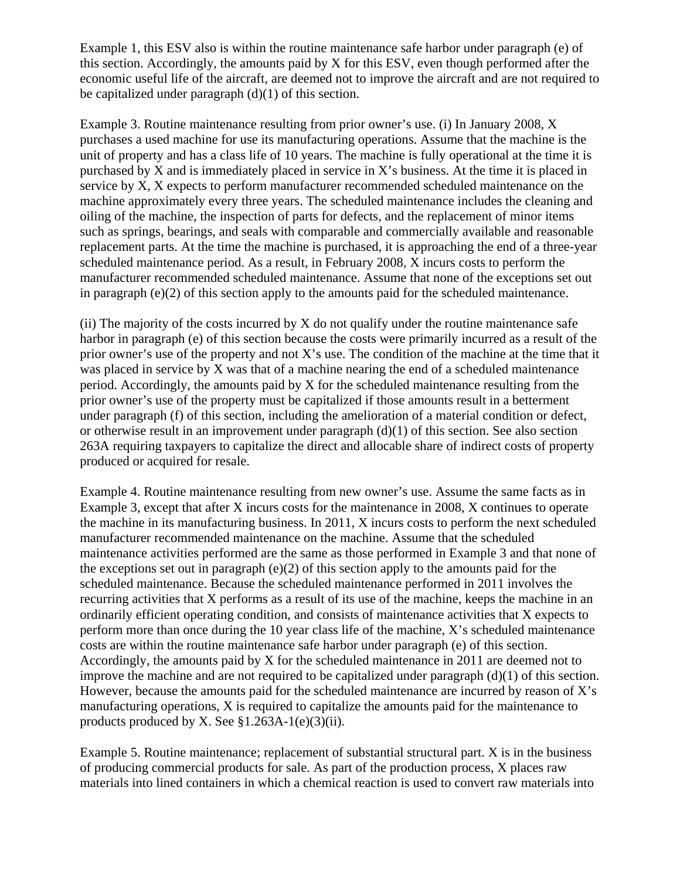Example 1, this ESV also is within the routine maintenance safe harbor under paragraph (e) of this section. Accordingly, the amounts paid by X for this ESV, even though performed after the economic useful life of the aircraft, are deemed not to improve the aircraft and are not required to be capitalized under paragraph  $(d)(1)$  of this section.

Example 3. Routine maintenance resulting from prior owner's use. (i) In January 2008, X purchases a used machine for use its manufacturing operations. Assume that the machine is the unit of property and has a class life of 10 years. The machine is fully operational at the time it is purchased by X and is immediately placed in service in X's business. At the time it is placed in service by X, X expects to perform manufacturer recommended scheduled maintenance on the machine approximately every three years. The scheduled maintenance includes the cleaning and oiling of the machine, the inspection of parts for defects, and the replacement of minor items such as springs, bearings, and seals with comparable and commercially available and reasonable replacement parts. At the time the machine is purchased, it is approaching the end of a three-year scheduled maintenance period. As a result, in February 2008, X incurs costs to perform the manufacturer recommended scheduled maintenance. Assume that none of the exceptions set out in paragraph (e)(2) of this section apply to the amounts paid for the scheduled maintenance.

(ii) The majority of the costs incurred by X do not qualify under the routine maintenance safe harbor in paragraph (e) of this section because the costs were primarily incurred as a result of the prior owner's use of the property and not  $X$ 's use. The condition of the machine at the time that it was placed in service by X was that of a machine nearing the end of a scheduled maintenance period. Accordingly, the amounts paid by X for the scheduled maintenance resulting from the prior owner's use of the property must be capitalized if those amounts result in a betterment under paragraph (f) of this section, including the amelioration of a material condition or defect, or otherwise result in an improvement under paragraph  $(d)(1)$  of this section. See also section 263A requiring taxpayers to capitalize the direct and allocable share of indirect costs of property produced or acquired for resale.

Example 4. Routine maintenance resulting from new owner's use. Assume the same facts as in Example 3, except that after X incurs costs for the maintenance in 2008, X continues to operate the machine in its manufacturing business. In 2011, X incurs costs to perform the next scheduled manufacturer recommended maintenance on the machine. Assume that the scheduled maintenance activities performed are the same as those performed in Example 3 and that none of the exceptions set out in paragraph (e)(2) of this section apply to the amounts paid for the scheduled maintenance. Because the scheduled maintenance performed in 2011 involves the recurring activities that X performs as a result of its use of the machine, keeps the machine in an ordinarily efficient operating condition, and consists of maintenance activities that X expects to perform more than once during the 10 year class life of the machine, X's scheduled maintenance costs are within the routine maintenance safe harbor under paragraph (e) of this section. Accordingly, the amounts paid by X for the scheduled maintenance in 2011 are deemed not to improve the machine and are not required to be capitalized under paragraph  $(d)(1)$  of this section. However, because the amounts paid for the scheduled maintenance are incurred by reason of  $X$ 's manufacturing operations, X is required to capitalize the amounts paid for the maintenance to products produced by X. See  $$1.263A-1(e)(3)(ii)$ .

Example 5. Routine maintenance; replacement of substantial structural part. X is in the business of producing commercial products for sale. As part of the production process, X places raw materials into lined containers in which a chemical reaction is used to convert raw materials into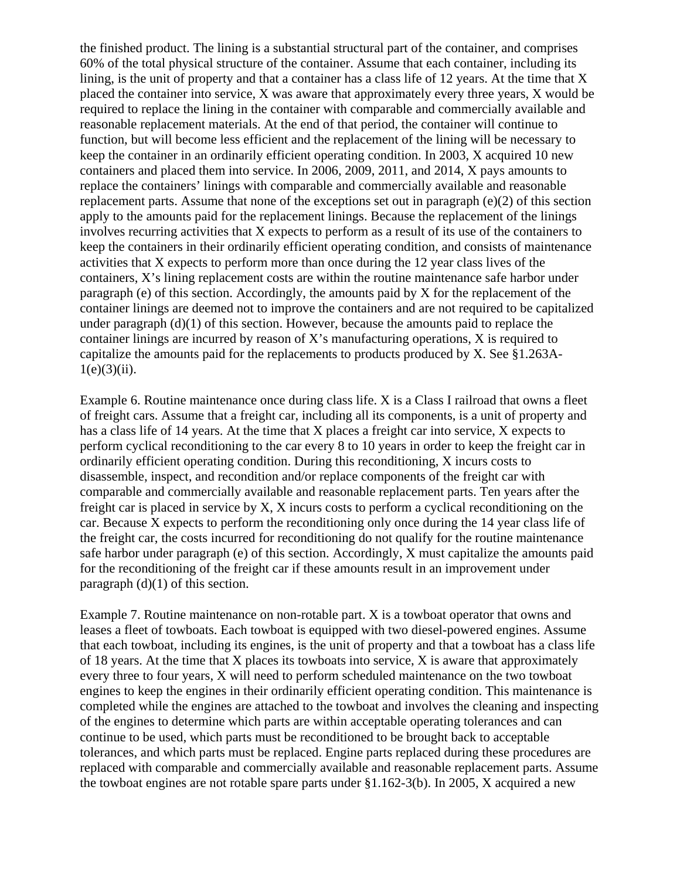the finished product. The lining is a substantial structural part of the container, and comprises 60% of the total physical structure of the container. Assume that each container, including its lining, is the unit of property and that a container has a class life of 12 years. At the time that X placed the container into service, X was aware that approximately every three years, X would be required to replace the lining in the container with comparable and commercially available and reasonable replacement materials. At the end of that period, the container will continue to function, but will become less efficient and the replacement of the lining will be necessary to keep the container in an ordinarily efficient operating condition. In 2003, X acquired 10 new containers and placed them into service. In 2006, 2009, 2011, and 2014, X pays amounts to replace the containers' linings with comparable and commercially available and reasonable replacement parts. Assume that none of the exceptions set out in paragraph (e)(2) of this section apply to the amounts paid for the replacement linings. Because the replacement of the linings involves recurring activities that X expects to perform as a result of its use of the containers to keep the containers in their ordinarily efficient operating condition, and consists of maintenance activities that X expects to perform more than once during the 12 year class lives of the containers, X's lining replacement costs are within the routine maintenance safe harbor under paragraph (e) of this section. Accordingly, the amounts paid by X for the replacement of the container linings are deemed not to improve the containers and are not required to be capitalized under paragraph (d)(1) of this section. However, because the amounts paid to replace the container linings are incurred by reason of X's manufacturing operations, X is required to capitalize the amounts paid for the replacements to products produced by X. See §1.263A- $1(e)(3)(ii)$ .

Example 6. Routine maintenance once during class life. X is a Class I railroad that owns a fleet of freight cars. Assume that a freight car, including all its components, is a unit of property and has a class life of 14 years. At the time that X places a freight car into service, X expects to perform cyclical reconditioning to the car every 8 to 10 years in order to keep the freight car in ordinarily efficient operating condition. During this reconditioning, X incurs costs to disassemble, inspect, and recondition and/or replace components of the freight car with comparable and commercially available and reasonable replacement parts. Ten years after the freight car is placed in service by X, X incurs costs to perform a cyclical reconditioning on the car. Because X expects to perform the reconditioning only once during the 14 year class life of the freight car, the costs incurred for reconditioning do not qualify for the routine maintenance safe harbor under paragraph (e) of this section. Accordingly, X must capitalize the amounts paid for the reconditioning of the freight car if these amounts result in an improvement under paragraph  $(d)(1)$  of this section.

Example 7. Routine maintenance on non-rotable part. X is a towboat operator that owns and leases a fleet of towboats. Each towboat is equipped with two diesel-powered engines. Assume that each towboat, including its engines, is the unit of property and that a towboat has a class life of 18 years. At the time that  $X$  places its towboats into service,  $X$  is aware that approximately every three to four years, X will need to perform scheduled maintenance on the two towboat engines to keep the engines in their ordinarily efficient operating condition. This maintenance is completed while the engines are attached to the towboat and involves the cleaning and inspecting of the engines to determine which parts are within acceptable operating tolerances and can continue to be used, which parts must be reconditioned to be brought back to acceptable tolerances, and which parts must be replaced. Engine parts replaced during these procedures are replaced with comparable and commercially available and reasonable replacement parts. Assume the towboat engines are not rotable spare parts under §1.162-3(b). In 2005, X acquired a new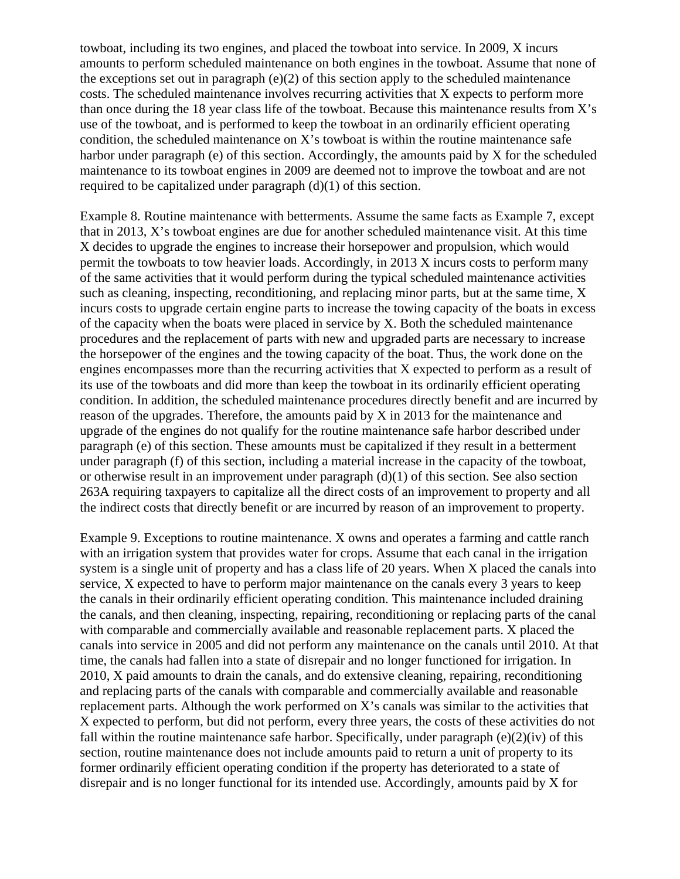towboat, including its two engines, and placed the towboat into service. In 2009, X incurs amounts to perform scheduled maintenance on both engines in the towboat. Assume that none of the exceptions set out in paragraph  $(e)(2)$  of this section apply to the scheduled maintenance costs. The scheduled maintenance involves recurring activities that X expects to perform more than once during the 18 year class life of the towboat. Because this maintenance results from X's use of the towboat, and is performed to keep the towboat in an ordinarily efficient operating condition, the scheduled maintenance on X's towboat is within the routine maintenance safe harbor under paragraph (e) of this section. Accordingly, the amounts paid by X for the scheduled maintenance to its towboat engines in 2009 are deemed not to improve the towboat and are not required to be capitalized under paragraph  $(d)(1)$  of this section.

Example 8. Routine maintenance with betterments. Assume the same facts as Example 7, except that in 2013, X's towboat engines are due for another scheduled maintenance visit. At this time X decides to upgrade the engines to increase their horsepower and propulsion, which would permit the towboats to tow heavier loads. Accordingly, in 2013 X incurs costs to perform many of the same activities that it would perform during the typical scheduled maintenance activities such as cleaning, inspecting, reconditioning, and replacing minor parts, but at the same time, X incurs costs to upgrade certain engine parts to increase the towing capacity of the boats in excess of the capacity when the boats were placed in service by X. Both the scheduled maintenance procedures and the replacement of parts with new and upgraded parts are necessary to increase the horsepower of the engines and the towing capacity of the boat. Thus, the work done on the engines encompasses more than the recurring activities that X expected to perform as a result of its use of the towboats and did more than keep the towboat in its ordinarily efficient operating condition. In addition, the scheduled maintenance procedures directly benefit and are incurred by reason of the upgrades. Therefore, the amounts paid by X in 2013 for the maintenance and upgrade of the engines do not qualify for the routine maintenance safe harbor described under paragraph (e) of this section. These amounts must be capitalized if they result in a betterment under paragraph (f) of this section, including a material increase in the capacity of the towboat, or otherwise result in an improvement under paragraph (d)(1) of this section. See also section 263A requiring taxpayers to capitalize all the direct costs of an improvement to property and all the indirect costs that directly benefit or are incurred by reason of an improvement to property.

Example 9. Exceptions to routine maintenance. X owns and operates a farming and cattle ranch with an irrigation system that provides water for crops. Assume that each canal in the irrigation system is a single unit of property and has a class life of 20 years. When X placed the canals into service, X expected to have to perform major maintenance on the canals every 3 years to keep the canals in their ordinarily efficient operating condition. This maintenance included draining the canals, and then cleaning, inspecting, repairing, reconditioning or replacing parts of the canal with comparable and commercially available and reasonable replacement parts. X placed the canals into service in 2005 and did not perform any maintenance on the canals until 2010. At that time, the canals had fallen into a state of disrepair and no longer functioned for irrigation. In 2010, X paid amounts to drain the canals, and do extensive cleaning, repairing, reconditioning and replacing parts of the canals with comparable and commercially available and reasonable replacement parts. Although the work performed on X's canals was similar to the activities that X expected to perform, but did not perform, every three years, the costs of these activities do not fall within the routine maintenance safe harbor. Specifically, under paragraph  $(e)(2)(iv)$  of this section, routine maintenance does not include amounts paid to return a unit of property to its former ordinarily efficient operating condition if the property has deteriorated to a state of disrepair and is no longer functional for its intended use. Accordingly, amounts paid by X for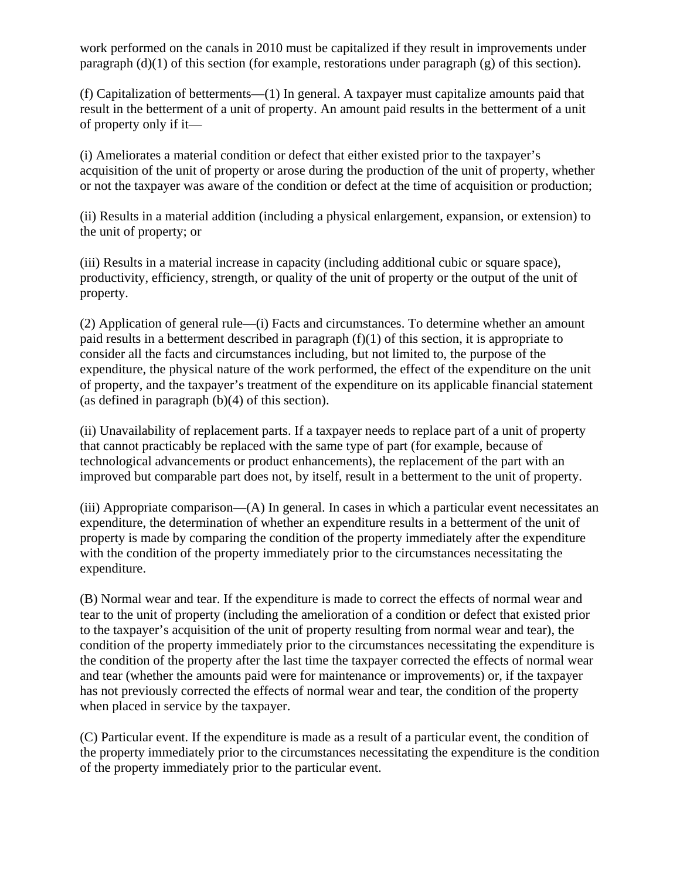work performed on the canals in 2010 must be capitalized if they result in improvements under paragraph (d)(1) of this section (for example, restorations under paragraph (g) of this section).

(f) Capitalization of betterments—(1) In general. A taxpayer must capitalize amounts paid that result in the betterment of a unit of property. An amount paid results in the betterment of a unit of property only if it—

(i) Ameliorates a material condition or defect that either existed prior to the taxpayer's acquisition of the unit of property or arose during the production of the unit of property, whether or not the taxpayer was aware of the condition or defect at the time of acquisition or production;

(ii) Results in a material addition (including a physical enlargement, expansion, or extension) to the unit of property; or

(iii) Results in a material increase in capacity (including additional cubic or square space), productivity, efficiency, strength, or quality of the unit of property or the output of the unit of property.

(2) Application of general rule—(i) Facts and circumstances. To determine whether an amount paid results in a betterment described in paragraph  $(f)(1)$  of this section, it is appropriate to consider all the facts and circumstances including, but not limited to, the purpose of the expenditure, the physical nature of the work performed, the effect of the expenditure on the unit of property, and the taxpayer's treatment of the expenditure on its applicable financial statement (as defined in paragraph (b)(4) of this section).

(ii) Unavailability of replacement parts. If a taxpayer needs to replace part of a unit of property that cannot practicably be replaced with the same type of part (for example, because of technological advancements or product enhancements), the replacement of the part with an improved but comparable part does not, by itself, result in a betterment to the unit of property.

(iii) Appropriate comparison—(A) In general. In cases in which a particular event necessitates an expenditure, the determination of whether an expenditure results in a betterment of the unit of property is made by comparing the condition of the property immediately after the expenditure with the condition of the property immediately prior to the circumstances necessitating the expenditure.

(B) Normal wear and tear. If the expenditure is made to correct the effects of normal wear and tear to the unit of property (including the amelioration of a condition or defect that existed prior to the taxpayer's acquisition of the unit of property resulting from normal wear and tear), the condition of the property immediately prior to the circumstances necessitating the expenditure is the condition of the property after the last time the taxpayer corrected the effects of normal wear and tear (whether the amounts paid were for maintenance or improvements) or, if the taxpayer has not previously corrected the effects of normal wear and tear, the condition of the property when placed in service by the taxpayer.

(C) Particular event. If the expenditure is made as a result of a particular event, the condition of the property immediately prior to the circumstances necessitating the expenditure is the condition of the property immediately prior to the particular event.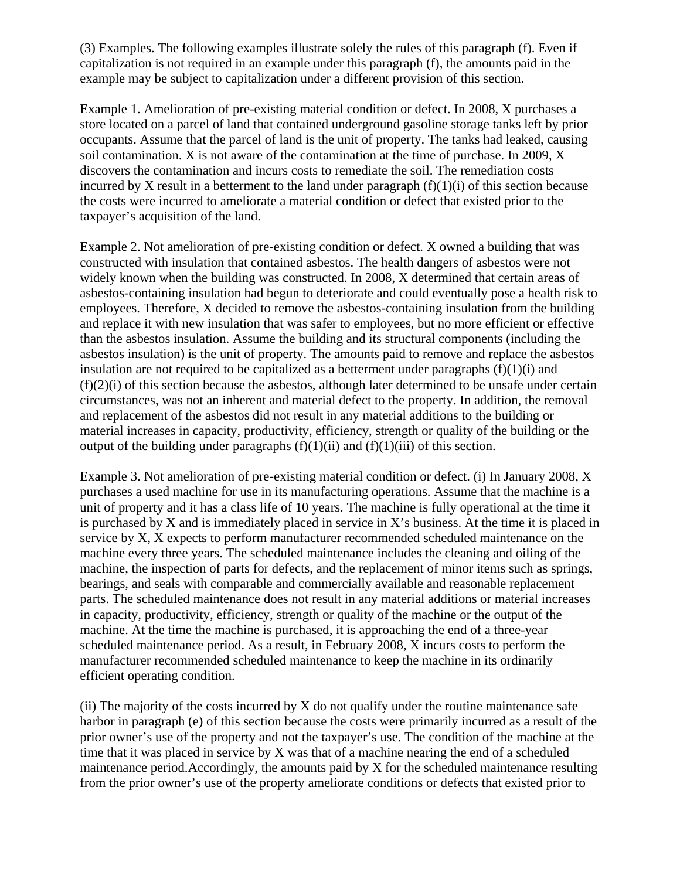(3) Examples. The following examples illustrate solely the rules of this paragraph (f). Even if capitalization is not required in an example under this paragraph (f), the amounts paid in the example may be subject to capitalization under a different provision of this section.

Example 1. Amelioration of pre-existing material condition or defect. In 2008, X purchases a store located on a parcel of land that contained underground gasoline storage tanks left by prior occupants. Assume that the parcel of land is the unit of property. The tanks had leaked, causing soil contamination. X is not aware of the contamination at the time of purchase. In 2009, X discovers the contamination and incurs costs to remediate the soil. The remediation costs incurred by X result in a betterment to the land under paragraph  $(f)(1)(i)$  of this section because the costs were incurred to ameliorate a material condition or defect that existed prior to the taxpayer's acquisition of the land.

Example 2. Not amelioration of pre-existing condition or defect. X owned a building that was constructed with insulation that contained asbestos. The health dangers of asbestos were not widely known when the building was constructed. In 2008, X determined that certain areas of asbestos-containing insulation had begun to deteriorate and could eventually pose a health risk to employees. Therefore, X decided to remove the asbestos-containing insulation from the building and replace it with new insulation that was safer to employees, but no more efficient or effective than the asbestos insulation. Assume the building and its structural components (including the asbestos insulation) is the unit of property. The amounts paid to remove and replace the asbestos insulation are not required to be capitalized as a betterment under paragraphs  $(f)(1)(i)$  and  $(f)(2)(i)$  of this section because the asbestos, although later determined to be unsafe under certain circumstances, was not an inherent and material defect to the property. In addition, the removal and replacement of the asbestos did not result in any material additions to the building or material increases in capacity, productivity, efficiency, strength or quality of the building or the output of the building under paragraphs  $(f)(1)(ii)$  and  $(f)(1)(iii)$  of this section.

Example 3. Not amelioration of pre-existing material condition or defect. (i) In January 2008, X purchases a used machine for use in its manufacturing operations. Assume that the machine is a unit of property and it has a class life of 10 years. The machine is fully operational at the time it is purchased by X and is immediately placed in service in X's business. At the time it is placed in service by X, X expects to perform manufacturer recommended scheduled maintenance on the machine every three years. The scheduled maintenance includes the cleaning and oiling of the machine, the inspection of parts for defects, and the replacement of minor items such as springs, bearings, and seals with comparable and commercially available and reasonable replacement parts. The scheduled maintenance does not result in any material additions or material increases in capacity, productivity, efficiency, strength or quality of the machine or the output of the machine. At the time the machine is purchased, it is approaching the end of a three-year scheduled maintenance period. As a result, in February 2008, X incurs costs to perform the manufacturer recommended scheduled maintenance to keep the machine in its ordinarily efficient operating condition.

(ii) The majority of the costs incurred by  $X$  do not qualify under the routine maintenance safe harbor in paragraph (e) of this section because the costs were primarily incurred as a result of the prior owner's use of the property and not the taxpayer's use. The condition of the machine at the time that it was placed in service by X was that of a machine nearing the end of a scheduled maintenance period.Accordingly, the amounts paid by X for the scheduled maintenance resulting from the prior owner's use of the property ameliorate conditions or defects that existed prior to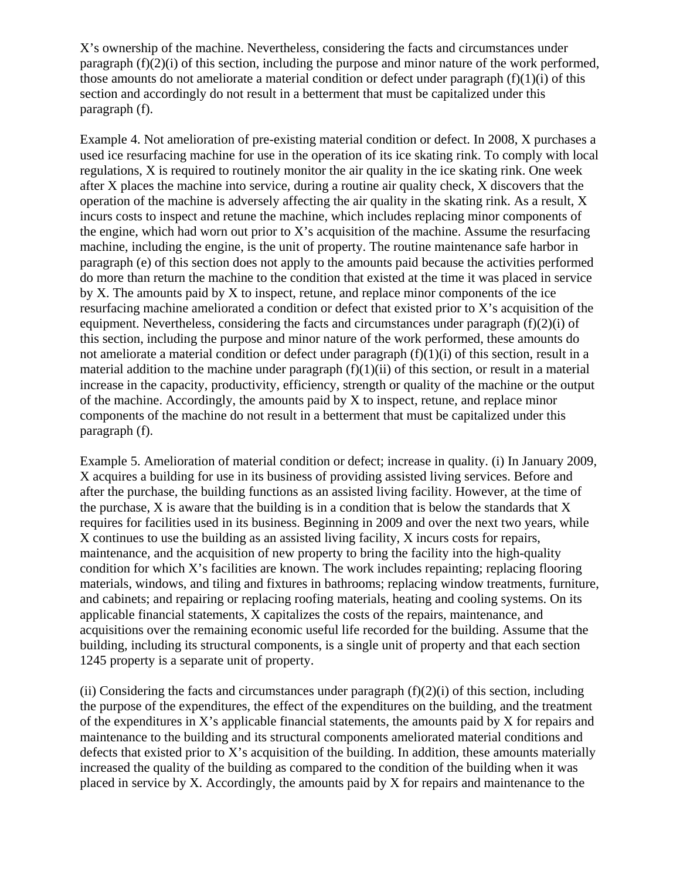X's ownership of the machine. Nevertheless, considering the facts and circumstances under paragraph (f)(2)(i) of this section, including the purpose and minor nature of the work performed, those amounts do not ameliorate a material condition or defect under paragraph  $(f)(1)(i)$  of this section and accordingly do not result in a betterment that must be capitalized under this paragraph (f).

Example 4. Not amelioration of pre-existing material condition or defect. In 2008, X purchases a used ice resurfacing machine for use in the operation of its ice skating rink. To comply with local regulations, X is required to routinely monitor the air quality in the ice skating rink. One week after X places the machine into service, during a routine air quality check, X discovers that the operation of the machine is adversely affecting the air quality in the skating rink. As a result, X incurs costs to inspect and retune the machine, which includes replacing minor components of the engine, which had worn out prior to X's acquisition of the machine. Assume the resurfacing machine, including the engine, is the unit of property. The routine maintenance safe harbor in paragraph (e) of this section does not apply to the amounts paid because the activities performed do more than return the machine to the condition that existed at the time it was placed in service by X. The amounts paid by X to inspect, retune, and replace minor components of the ice resurfacing machine ameliorated a condition or defect that existed prior to X's acquisition of the equipment. Nevertheless, considering the facts and circumstances under paragraph (f)(2)(i) of this section, including the purpose and minor nature of the work performed, these amounts do not ameliorate a material condition or defect under paragraph  $(f)(1)(i)$  of this section, result in a material addition to the machine under paragraph  $(f)(1)(ii)$  of this section, or result in a material increase in the capacity, productivity, efficiency, strength or quality of the machine or the output of the machine. Accordingly, the amounts paid by X to inspect, retune, and replace minor components of the machine do not result in a betterment that must be capitalized under this paragraph (f).

Example 5. Amelioration of material condition or defect; increase in quality. (i) In January 2009, X acquires a building for use in its business of providing assisted living services. Before and after the purchase, the building functions as an assisted living facility. However, at the time of the purchase,  $X$  is aware that the building is in a condition that is below the standards that  $X$ requires for facilities used in its business. Beginning in 2009 and over the next two years, while X continues to use the building as an assisted living facility, X incurs costs for repairs, maintenance, and the acquisition of new property to bring the facility into the high-quality condition for which X's facilities are known. The work includes repainting; replacing flooring materials, windows, and tiling and fixtures in bathrooms; replacing window treatments, furniture, and cabinets; and repairing or replacing roofing materials, heating and cooling systems. On its applicable financial statements, X capitalizes the costs of the repairs, maintenance, and acquisitions over the remaining economic useful life recorded for the building. Assume that the building, including its structural components, is a single unit of property and that each section 1245 property is a separate unit of property.

(ii) Considering the facts and circumstances under paragraph  $(f)(2)(i)$  of this section, including the purpose of the expenditures, the effect of the expenditures on the building, and the treatment of the expenditures in X's applicable financial statements, the amounts paid by X for repairs and maintenance to the building and its structural components ameliorated material conditions and defects that existed prior to X's acquisition of the building. In addition, these amounts materially increased the quality of the building as compared to the condition of the building when it was placed in service by X. Accordingly, the amounts paid by X for repairs and maintenance to the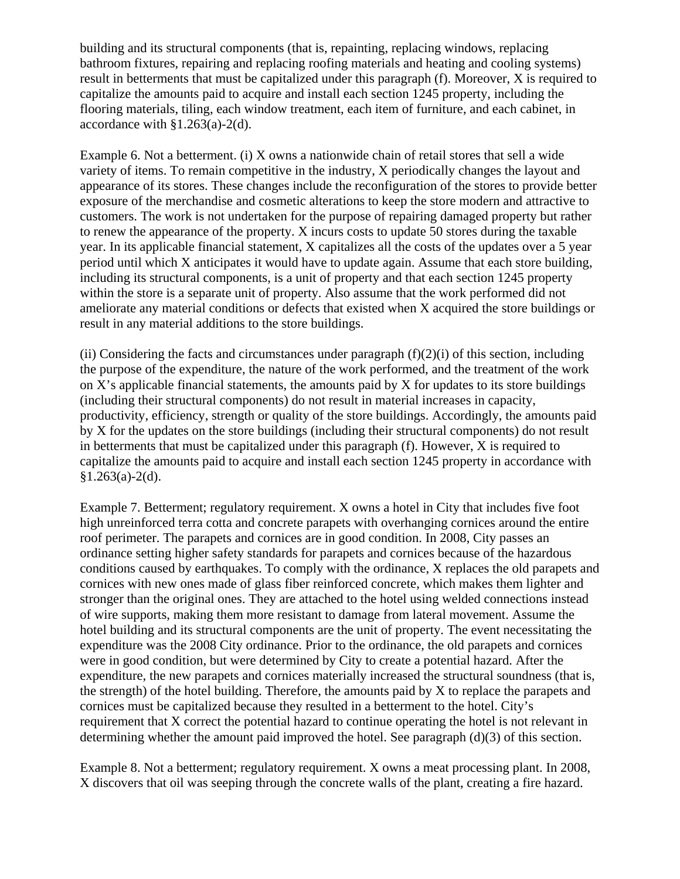building and its structural components (that is, repainting, replacing windows, replacing bathroom fixtures, repairing and replacing roofing materials and heating and cooling systems) result in betterments that must be capitalized under this paragraph (f). Moreover, X is required to capitalize the amounts paid to acquire and install each section 1245 property, including the flooring materials, tiling, each window treatment, each item of furniture, and each cabinet, in accordance with §1.263(a)-2(d).

Example 6. Not a betterment. (i) X owns a nationwide chain of retail stores that sell a wide variety of items. To remain competitive in the industry, X periodically changes the layout and appearance of its stores. These changes include the reconfiguration of the stores to provide better exposure of the merchandise and cosmetic alterations to keep the store modern and attractive to customers. The work is not undertaken for the purpose of repairing damaged property but rather to renew the appearance of the property. X incurs costs to update 50 stores during the taxable year. In its applicable financial statement, X capitalizes all the costs of the updates over a 5 year period until which X anticipates it would have to update again. Assume that each store building, including its structural components, is a unit of property and that each section 1245 property within the store is a separate unit of property. Also assume that the work performed did not ameliorate any material conditions or defects that existed when X acquired the store buildings or result in any material additions to the store buildings.

(ii) Considering the facts and circumstances under paragraph  $(f)(2)(i)$  of this section, including the purpose of the expenditure, the nature of the work performed, and the treatment of the work on X's applicable financial statements, the amounts paid by X for updates to its store buildings (including their structural components) do not result in material increases in capacity, productivity, efficiency, strength or quality of the store buildings. Accordingly, the amounts paid by X for the updates on the store buildings (including their structural components) do not result in betterments that must be capitalized under this paragraph (f). However, X is required to capitalize the amounts paid to acquire and install each section 1245 property in accordance with  $§1.263(a)-2(d).$ 

Example 7. Betterment; regulatory requirement. X owns a hotel in City that includes five foot high unreinforced terra cotta and concrete parapets with overhanging cornices around the entire roof perimeter. The parapets and cornices are in good condition. In 2008, City passes an ordinance setting higher safety standards for parapets and cornices because of the hazardous conditions caused by earthquakes. To comply with the ordinance, X replaces the old parapets and cornices with new ones made of glass fiber reinforced concrete, which makes them lighter and stronger than the original ones. They are attached to the hotel using welded connections instead of wire supports, making them more resistant to damage from lateral movement. Assume the hotel building and its structural components are the unit of property. The event necessitating the expenditure was the 2008 City ordinance. Prior to the ordinance, the old parapets and cornices were in good condition, but were determined by City to create a potential hazard. After the expenditure, the new parapets and cornices materially increased the structural soundness (that is, the strength) of the hotel building. Therefore, the amounts paid by X to replace the parapets and cornices must be capitalized because they resulted in a betterment to the hotel. City's requirement that X correct the potential hazard to continue operating the hotel is not relevant in determining whether the amount paid improved the hotel. See paragraph (d)(3) of this section.

Example 8. Not a betterment; regulatory requirement. X owns a meat processing plant. In 2008, X discovers that oil was seeping through the concrete walls of the plant, creating a fire hazard.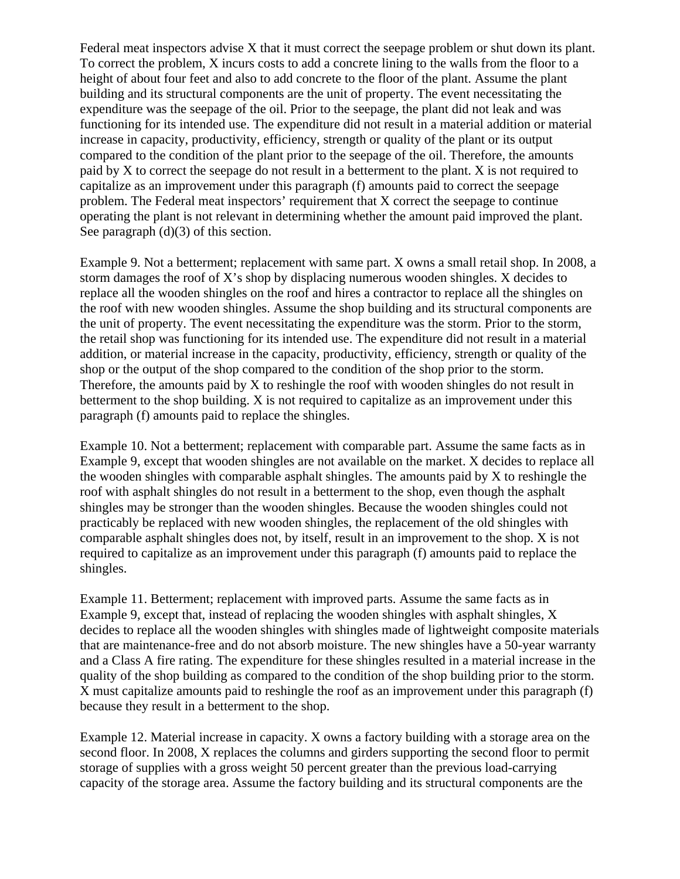Federal meat inspectors advise X that it must correct the seepage problem or shut down its plant. To correct the problem, X incurs costs to add a concrete lining to the walls from the floor to a height of about four feet and also to add concrete to the floor of the plant. Assume the plant building and its structural components are the unit of property. The event necessitating the expenditure was the seepage of the oil. Prior to the seepage, the plant did not leak and was functioning for its intended use. The expenditure did not result in a material addition or material increase in capacity, productivity, efficiency, strength or quality of the plant or its output compared to the condition of the plant prior to the seepage of the oil. Therefore, the amounts paid by X to correct the seepage do not result in a betterment to the plant. X is not required to capitalize as an improvement under this paragraph (f) amounts paid to correct the seepage problem. The Federal meat inspectors' requirement that X correct the seepage to continue operating the plant is not relevant in determining whether the amount paid improved the plant. See paragraph (d)(3) of this section.

Example 9. Not a betterment; replacement with same part. X owns a small retail shop. In 2008, a storm damages the roof of X's shop by displacing numerous wooden shingles. X decides to replace all the wooden shingles on the roof and hires a contractor to replace all the shingles on the roof with new wooden shingles. Assume the shop building and its structural components are the unit of property. The event necessitating the expenditure was the storm. Prior to the storm, the retail shop was functioning for its intended use. The expenditure did not result in a material addition, or material increase in the capacity, productivity, efficiency, strength or quality of the shop or the output of the shop compared to the condition of the shop prior to the storm. Therefore, the amounts paid by X to reshingle the roof with wooden shingles do not result in betterment to the shop building. X is not required to capitalize as an improvement under this paragraph (f) amounts paid to replace the shingles.

Example 10. Not a betterment; replacement with comparable part. Assume the same facts as in Example 9, except that wooden shingles are not available on the market. X decides to replace all the wooden shingles with comparable asphalt shingles. The amounts paid by X to reshingle the roof with asphalt shingles do not result in a betterment to the shop, even though the asphalt shingles may be stronger than the wooden shingles. Because the wooden shingles could not practicably be replaced with new wooden shingles, the replacement of the old shingles with comparable asphalt shingles does not, by itself, result in an improvement to the shop. X is not required to capitalize as an improvement under this paragraph (f) amounts paid to replace the shingles.

Example 11. Betterment; replacement with improved parts. Assume the same facts as in Example 9, except that, instead of replacing the wooden shingles with asphalt shingles, X decides to replace all the wooden shingles with shingles made of lightweight composite materials that are maintenance-free and do not absorb moisture. The new shingles have a 50-year warranty and a Class A fire rating. The expenditure for these shingles resulted in a material increase in the quality of the shop building as compared to the condition of the shop building prior to the storm. X must capitalize amounts paid to reshingle the roof as an improvement under this paragraph (f) because they result in a betterment to the shop.

Example 12. Material increase in capacity. X owns a factory building with a storage area on the second floor. In 2008, X replaces the columns and girders supporting the second floor to permit storage of supplies with a gross weight 50 percent greater than the previous load-carrying capacity of the storage area. Assume the factory building and its structural components are the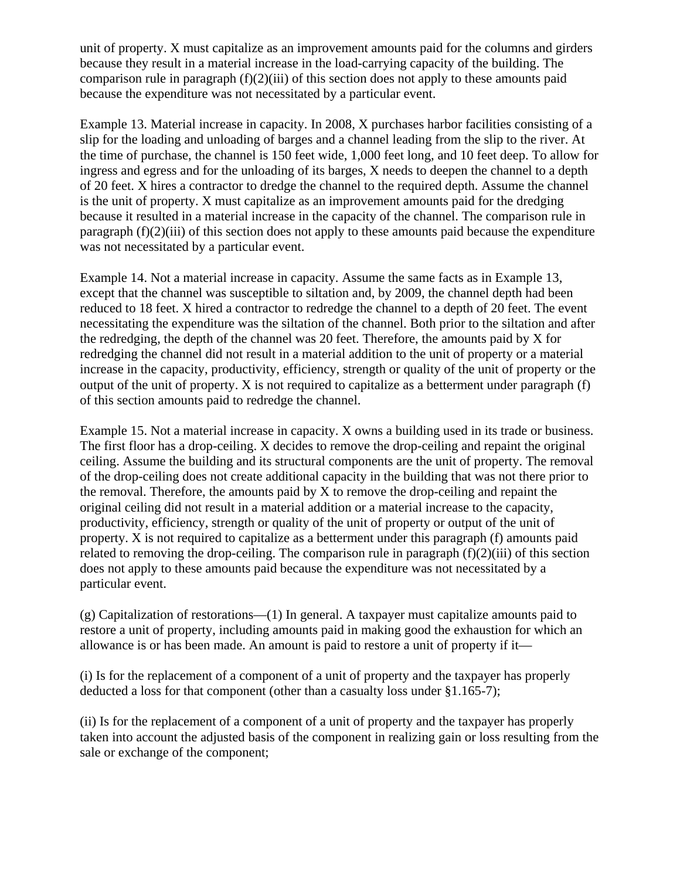unit of property. X must capitalize as an improvement amounts paid for the columns and girders because they result in a material increase in the load-carrying capacity of the building. The comparison rule in paragraph  $(f)(2)(iii)$  of this section does not apply to these amounts paid because the expenditure was not necessitated by a particular event.

Example 13. Material increase in capacity. In 2008, X purchases harbor facilities consisting of a slip for the loading and unloading of barges and a channel leading from the slip to the river. At the time of purchase, the channel is 150 feet wide, 1,000 feet long, and 10 feet deep. To allow for ingress and egress and for the unloading of its barges, X needs to deepen the channel to a depth of 20 feet. X hires a contractor to dredge the channel to the required depth. Assume the channel is the unit of property. X must capitalize as an improvement amounts paid for the dredging because it resulted in a material increase in the capacity of the channel. The comparison rule in paragraph (f)(2)(iii) of this section does not apply to these amounts paid because the expenditure was not necessitated by a particular event.

Example 14. Not a material increase in capacity. Assume the same facts as in Example 13, except that the channel was susceptible to siltation and, by 2009, the channel depth had been reduced to 18 feet. X hired a contractor to redredge the channel to a depth of 20 feet. The event necessitating the expenditure was the siltation of the channel. Both prior to the siltation and after the redredging, the depth of the channel was 20 feet. Therefore, the amounts paid by X for redredging the channel did not result in a material addition to the unit of property or a material increase in the capacity, productivity, efficiency, strength or quality of the unit of property or the output of the unit of property. X is not required to capitalize as a betterment under paragraph (f) of this section amounts paid to redredge the channel.

Example 15. Not a material increase in capacity. X owns a building used in its trade or business. The first floor has a drop-ceiling. X decides to remove the drop-ceiling and repaint the original ceiling. Assume the building and its structural components are the unit of property. The removal of the drop-ceiling does not create additional capacity in the building that was not there prior to the removal. Therefore, the amounts paid by X to remove the drop-ceiling and repaint the original ceiling did not result in a material addition or a material increase to the capacity, productivity, efficiency, strength or quality of the unit of property or output of the unit of property. X is not required to capitalize as a betterment under this paragraph (f) amounts paid related to removing the drop-ceiling. The comparison rule in paragraph  $(f)(2)(iii)$  of this section does not apply to these amounts paid because the expenditure was not necessitated by a particular event.

(g) Capitalization of restorations—(1) In general. A taxpayer must capitalize amounts paid to restore a unit of property, including amounts paid in making good the exhaustion for which an allowance is or has been made. An amount is paid to restore a unit of property if it—

(i) Is for the replacement of a component of a unit of property and the taxpayer has properly deducted a loss for that component (other than a casualty loss under §1.165-7);

(ii) Is for the replacement of a component of a unit of property and the taxpayer has properly taken into account the adjusted basis of the component in realizing gain or loss resulting from the sale or exchange of the component;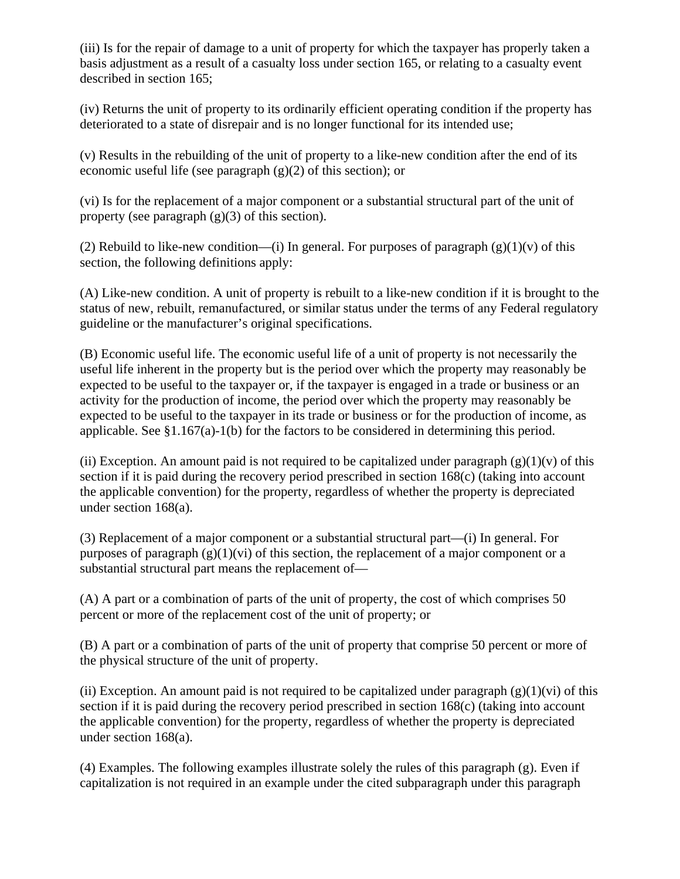(iii) Is for the repair of damage to a unit of property for which the taxpayer has properly taken a basis adjustment as a result of a casualty loss under section 165, or relating to a casualty event described in section 165;

(iv) Returns the unit of property to its ordinarily efficient operating condition if the property has deteriorated to a state of disrepair and is no longer functional for its intended use;

(v) Results in the rebuilding of the unit of property to a like-new condition after the end of its economic useful life (see paragraph (g)(2) of this section); or

(vi) Is for the replacement of a major component or a substantial structural part of the unit of property (see paragraph  $(g)(3)$  of this section).

(2) Rebuild to like-new condition—(i) In general. For purposes of paragraph  $(g)(1)(v)$  of this section, the following definitions apply:

(A) Like-new condition. A unit of property is rebuilt to a like-new condition if it is brought to the status of new, rebuilt, remanufactured, or similar status under the terms of any Federal regulatory guideline or the manufacturer's original specifications.

(B) Economic useful life. The economic useful life of a unit of property is not necessarily the useful life inherent in the property but is the period over which the property may reasonably be expected to be useful to the taxpayer or, if the taxpayer is engaged in a trade or business or an activity for the production of income, the period over which the property may reasonably be expected to be useful to the taxpayer in its trade or business or for the production of income, as applicable. See §1.167(a)-1(b) for the factors to be considered in determining this period.

(ii) Exception. An amount paid is not required to be capitalized under paragraph  $(g)(1)(v)$  of this section if it is paid during the recovery period prescribed in section 168(c) (taking into account the applicable convention) for the property, regardless of whether the property is depreciated under section 168(a).

(3) Replacement of a major component or a substantial structural part—(i) In general. For purposes of paragraph  $(g)(1)(vi)$  of this section, the replacement of a major component or a substantial structural part means the replacement of—

(A) A part or a combination of parts of the unit of property, the cost of which comprises 50 percent or more of the replacement cost of the unit of property; or

(B) A part or a combination of parts of the unit of property that comprise 50 percent or more of the physical structure of the unit of property.

(ii) Exception. An amount paid is not required to be capitalized under paragraph  $(g)(1)(vi)$  of this section if it is paid during the recovery period prescribed in section 168(c) (taking into account the applicable convention) for the property, regardless of whether the property is depreciated under section 168(a).

(4) Examples. The following examples illustrate solely the rules of this paragraph (g). Even if capitalization is not required in an example under the cited subparagraph under this paragraph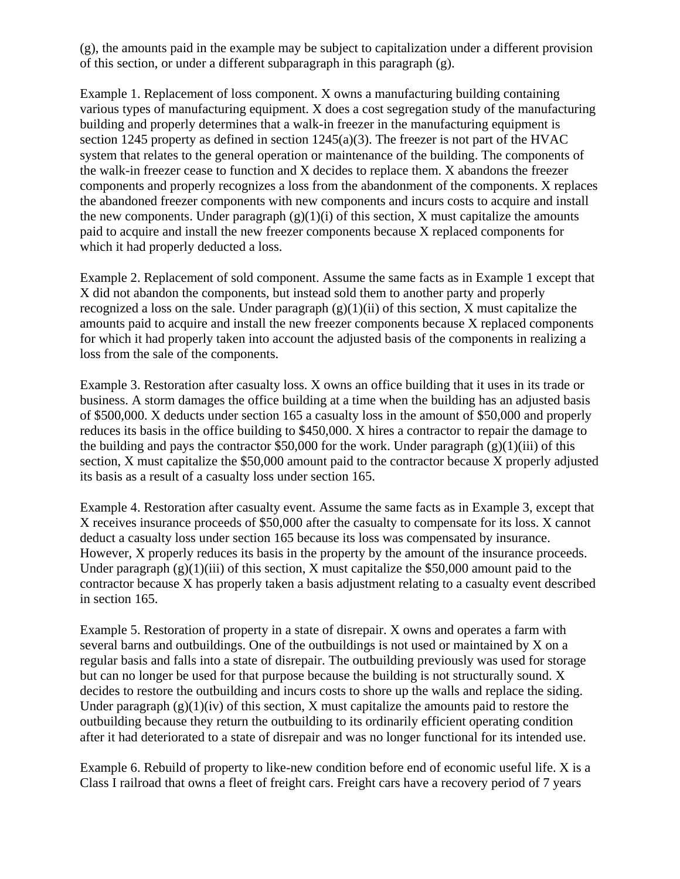(g), the amounts paid in the example may be subject to capitalization under a different provision of this section, or under a different subparagraph in this paragraph (g).

Example 1. Replacement of loss component. X owns a manufacturing building containing various types of manufacturing equipment. X does a cost segregation study of the manufacturing building and properly determines that a walk-in freezer in the manufacturing equipment is section 1245 property as defined in section  $1245(a)(3)$ . The freezer is not part of the HVAC system that relates to the general operation or maintenance of the building. The components of the walk-in freezer cease to function and X decides to replace them. X abandons the freezer components and properly recognizes a loss from the abandonment of the components. X replaces the abandoned freezer components with new components and incurs costs to acquire and install the new components. Under paragraph  $(g)(1)(i)$  of this section, X must capitalize the amounts paid to acquire and install the new freezer components because X replaced components for which it had properly deducted a loss.

Example 2. Replacement of sold component. Assume the same facts as in Example 1 except that X did not abandon the components, but instead sold them to another party and properly recognized a loss on the sale. Under paragraph  $(g)(1)(ii)$  of this section, X must capitalize the amounts paid to acquire and install the new freezer components because X replaced components for which it had properly taken into account the adjusted basis of the components in realizing a loss from the sale of the components.

Example 3. Restoration after casualty loss. X owns an office building that it uses in its trade or business. A storm damages the office building at a time when the building has an adjusted basis of \$500,000. X deducts under section 165 a casualty loss in the amount of \$50,000 and properly reduces its basis in the office building to \$450,000. X hires a contractor to repair the damage to the building and pays the contractor \$50,000 for the work. Under paragraph  $(g)(1)(iii)$  of this section, X must capitalize the \$50,000 amount paid to the contractor because X properly adjusted its basis as a result of a casualty loss under section 165.

Example 4. Restoration after casualty event. Assume the same facts as in Example 3, except that X receives insurance proceeds of \$50,000 after the casualty to compensate for its loss. X cannot deduct a casualty loss under section 165 because its loss was compensated by insurance. However, X properly reduces its basis in the property by the amount of the insurance proceeds. Under paragraph  $(g)(1)(iii)$  of this section, X must capitalize the \$50,000 amount paid to the contractor because X has properly taken a basis adjustment relating to a casualty event described in section 165.

Example 5. Restoration of property in a state of disrepair. X owns and operates a farm with several barns and outbuildings. One of the outbuildings is not used or maintained by X on a regular basis and falls into a state of disrepair. The outbuilding previously was used for storage but can no longer be used for that purpose because the building is not structurally sound. X decides to restore the outbuilding and incurs costs to shore up the walls and replace the siding. Under paragraph  $(g)(1)(iv)$  of this section, X must capitalize the amounts paid to restore the outbuilding because they return the outbuilding to its ordinarily efficient operating condition after it had deteriorated to a state of disrepair and was no longer functional for its intended use.

Example 6. Rebuild of property to like-new condition before end of economic useful life. X is a Class I railroad that owns a fleet of freight cars. Freight cars have a recovery period of 7 years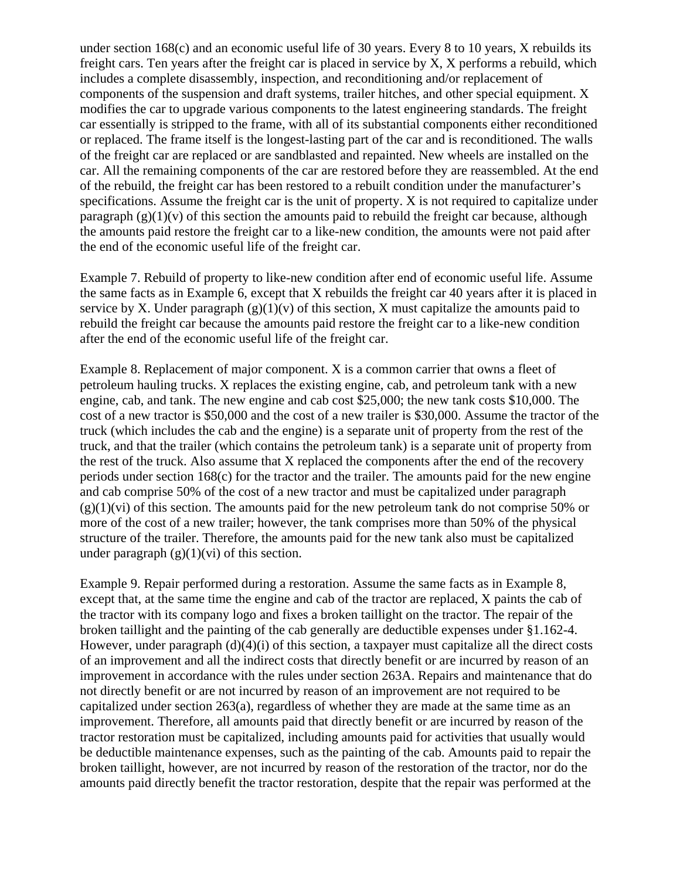under section 168(c) and an economic useful life of 30 years. Every 8 to 10 years, X rebuilds its freight cars. Ten years after the freight car is placed in service by X, X performs a rebuild, which includes a complete disassembly, inspection, and reconditioning and/or replacement of components of the suspension and draft systems, trailer hitches, and other special equipment. X modifies the car to upgrade various components to the latest engineering standards. The freight car essentially is stripped to the frame, with all of its substantial components either reconditioned or replaced. The frame itself is the longest-lasting part of the car and is reconditioned. The walls of the freight car are replaced or are sandblasted and repainted. New wheels are installed on the car. All the remaining components of the car are restored before they are reassembled. At the end of the rebuild, the freight car has been restored to a rebuilt condition under the manufacturer's specifications. Assume the freight car is the unit of property. X is not required to capitalize under paragraph  $(g)(1)(v)$  of this section the amounts paid to rebuild the freight car because, although the amounts paid restore the freight car to a like-new condition, the amounts were not paid after the end of the economic useful life of the freight car.

Example 7. Rebuild of property to like-new condition after end of economic useful life. Assume the same facts as in Example 6, except that X rebuilds the freight car 40 years after it is placed in service by X. Under paragraph  $(g)(1)(v)$  of this section, X must capitalize the amounts paid to rebuild the freight car because the amounts paid restore the freight car to a like-new condition after the end of the economic useful life of the freight car.

Example 8. Replacement of major component. X is a common carrier that owns a fleet of petroleum hauling trucks. X replaces the existing engine, cab, and petroleum tank with a new engine, cab, and tank. The new engine and cab cost \$25,000; the new tank costs \$10,000. The cost of a new tractor is \$50,000 and the cost of a new trailer is \$30,000. Assume the tractor of the truck (which includes the cab and the engine) is a separate unit of property from the rest of the truck, and that the trailer (which contains the petroleum tank) is a separate unit of property from the rest of the truck. Also assume that X replaced the components after the end of the recovery periods under section 168(c) for the tractor and the trailer. The amounts paid for the new engine and cab comprise 50% of the cost of a new tractor and must be capitalized under paragraph  $(g)(1)(vi)$  of this section. The amounts paid for the new petroleum tank do not comprise 50% or more of the cost of a new trailer; however, the tank comprises more than 50% of the physical structure of the trailer. Therefore, the amounts paid for the new tank also must be capitalized under paragraph  $(g)(1)(vi)$  of this section.

Example 9. Repair performed during a restoration. Assume the same facts as in Example 8, except that, at the same time the engine and cab of the tractor are replaced, X paints the cab of the tractor with its company logo and fixes a broken taillight on the tractor. The repair of the broken taillight and the painting of the cab generally are deductible expenses under §1.162-4. However, under paragraph (d)(4)(i) of this section, a taxpayer must capitalize all the direct costs of an improvement and all the indirect costs that directly benefit or are incurred by reason of an improvement in accordance with the rules under section 263A. Repairs and maintenance that do not directly benefit or are not incurred by reason of an improvement are not required to be capitalized under section 263(a), regardless of whether they are made at the same time as an improvement. Therefore, all amounts paid that directly benefit or are incurred by reason of the tractor restoration must be capitalized, including amounts paid for activities that usually would be deductible maintenance expenses, such as the painting of the cab. Amounts paid to repair the broken taillight, however, are not incurred by reason of the restoration of the tractor, nor do the amounts paid directly benefit the tractor restoration, despite that the repair was performed at the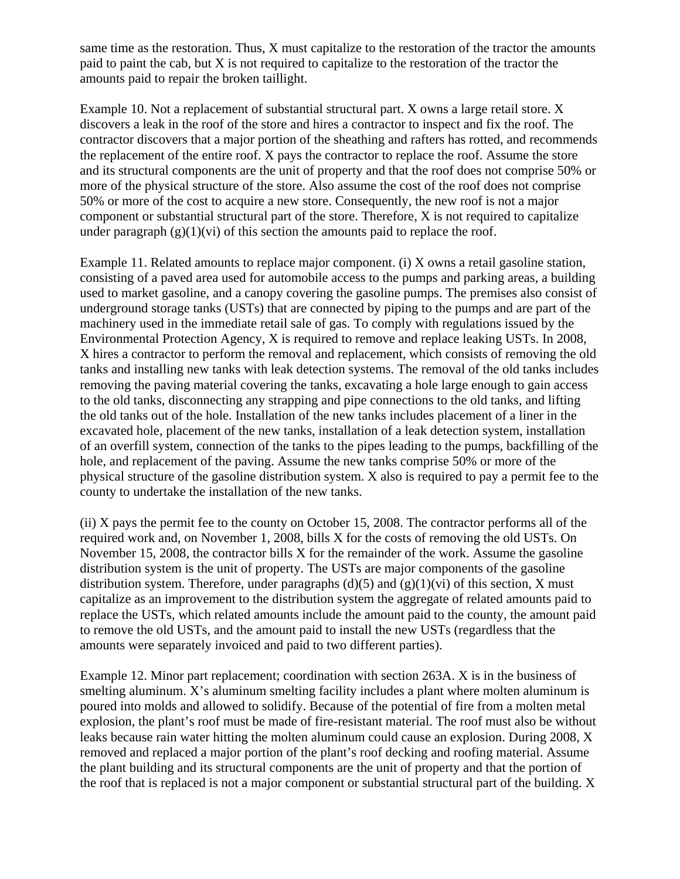same time as the restoration. Thus, X must capitalize to the restoration of the tractor the amounts paid to paint the cab, but X is not required to capitalize to the restoration of the tractor the amounts paid to repair the broken taillight.

Example 10. Not a replacement of substantial structural part. X owns a large retail store. X discovers a leak in the roof of the store and hires a contractor to inspect and fix the roof. The contractor discovers that a major portion of the sheathing and rafters has rotted, and recommends the replacement of the entire roof. X pays the contractor to replace the roof. Assume the store and its structural components are the unit of property and that the roof does not comprise 50% or more of the physical structure of the store. Also assume the cost of the roof does not comprise 50% or more of the cost to acquire a new store. Consequently, the new roof is not a major component or substantial structural part of the store. Therefore, X is not required to capitalize under paragraph  $(g)(1)(vi)$  of this section the amounts paid to replace the roof.

Example 11. Related amounts to replace major component. (i) X owns a retail gasoline station, consisting of a paved area used for automobile access to the pumps and parking areas, a building used to market gasoline, and a canopy covering the gasoline pumps. The premises also consist of underground storage tanks (USTs) that are connected by piping to the pumps and are part of the machinery used in the immediate retail sale of gas. To comply with regulations issued by the Environmental Protection Agency, X is required to remove and replace leaking USTs. In 2008, X hires a contractor to perform the removal and replacement, which consists of removing the old tanks and installing new tanks with leak detection systems. The removal of the old tanks includes removing the paving material covering the tanks, excavating a hole large enough to gain access to the old tanks, disconnecting any strapping and pipe connections to the old tanks, and lifting the old tanks out of the hole. Installation of the new tanks includes placement of a liner in the excavated hole, placement of the new tanks, installation of a leak detection system, installation of an overfill system, connection of the tanks to the pipes leading to the pumps, backfilling of the hole, and replacement of the paving. Assume the new tanks comprise 50% or more of the physical structure of the gasoline distribution system. X also is required to pay a permit fee to the county to undertake the installation of the new tanks.

(ii) X pays the permit fee to the county on October 15, 2008. The contractor performs all of the required work and, on November 1, 2008, bills X for the costs of removing the old USTs. On November 15, 2008, the contractor bills X for the remainder of the work. Assume the gasoline distribution system is the unit of property. The USTs are major components of the gasoline distribution system. Therefore, under paragraphs (d)(5) and (g)(1)(vi) of this section, X must capitalize as an improvement to the distribution system the aggregate of related amounts paid to replace the USTs, which related amounts include the amount paid to the county, the amount paid to remove the old USTs, and the amount paid to install the new USTs (regardless that the amounts were separately invoiced and paid to two different parties).

Example 12. Minor part replacement; coordination with section 263A. X is in the business of smelting aluminum. X's aluminum smelting facility includes a plant where molten aluminum is poured into molds and allowed to solidify. Because of the potential of fire from a molten metal explosion, the plant's roof must be made of fire-resistant material. The roof must also be without leaks because rain water hitting the molten aluminum could cause an explosion. During 2008, X removed and replaced a major portion of the plant's roof decking and roofing material. Assume the plant building and its structural components are the unit of property and that the portion of the roof that is replaced is not a major component or substantial structural part of the building. X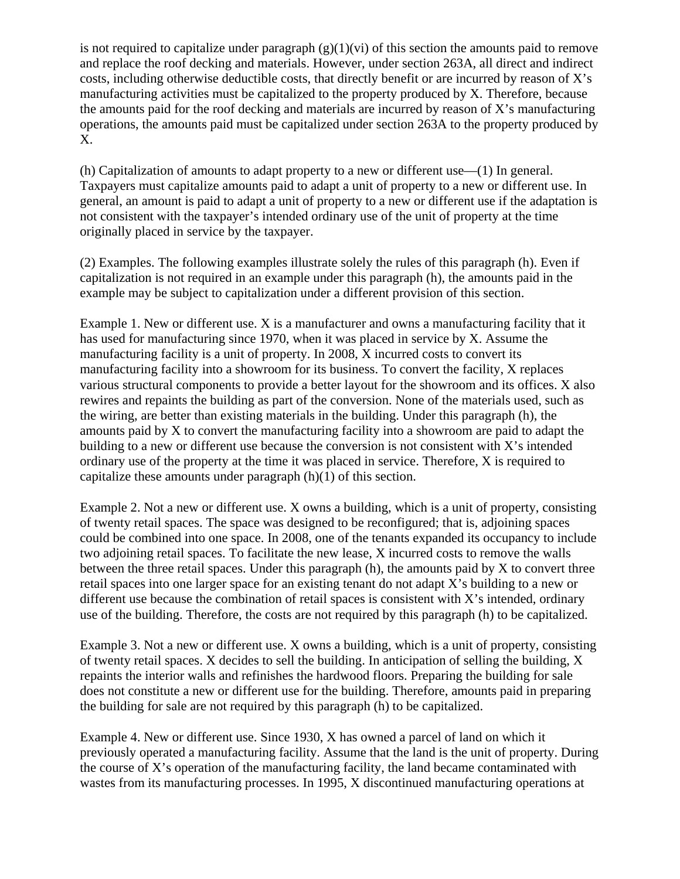is not required to capitalize under paragraph  $(g)(1)(vi)$  of this section the amounts paid to remove and replace the roof decking and materials. However, under section 263A, all direct and indirect costs, including otherwise deductible costs, that directly benefit or are incurred by reason of X's manufacturing activities must be capitalized to the property produced by X. Therefore, because the amounts paid for the roof decking and materials are incurred by reason of X's manufacturing operations, the amounts paid must be capitalized under section 263A to the property produced by X.

(h) Capitalization of amounts to adapt property to a new or different use—(1) In general. Taxpayers must capitalize amounts paid to adapt a unit of property to a new or different use. In general, an amount is paid to adapt a unit of property to a new or different use if the adaptation is not consistent with the taxpayer's intended ordinary use of the unit of property at the time originally placed in service by the taxpayer.

(2) Examples. The following examples illustrate solely the rules of this paragraph (h). Even if capitalization is not required in an example under this paragraph (h), the amounts paid in the example may be subject to capitalization under a different provision of this section.

Example 1. New or different use. X is a manufacturer and owns a manufacturing facility that it has used for manufacturing since 1970, when it was placed in service by X. Assume the manufacturing facility is a unit of property. In 2008, X incurred costs to convert its manufacturing facility into a showroom for its business. To convert the facility, X replaces various structural components to provide a better layout for the showroom and its offices. X also rewires and repaints the building as part of the conversion. None of the materials used, such as the wiring, are better than existing materials in the building. Under this paragraph (h), the amounts paid by X to convert the manufacturing facility into a showroom are paid to adapt the building to a new or different use because the conversion is not consistent with X's intended ordinary use of the property at the time it was placed in service. Therefore, X is required to capitalize these amounts under paragraph (h)(1) of this section.

Example 2. Not a new or different use. X owns a building, which is a unit of property, consisting of twenty retail spaces. The space was designed to be reconfigured; that is, adjoining spaces could be combined into one space. In 2008, one of the tenants expanded its occupancy to include two adjoining retail spaces. To facilitate the new lease, X incurred costs to remove the walls between the three retail spaces. Under this paragraph (h), the amounts paid by X to convert three retail spaces into one larger space for an existing tenant do not adapt X's building to a new or different use because the combination of retail spaces is consistent with X's intended, ordinary use of the building. Therefore, the costs are not required by this paragraph (h) to be capitalized.

Example 3. Not a new or different use. X owns a building, which is a unit of property, consisting of twenty retail spaces. X decides to sell the building. In anticipation of selling the building, X repaints the interior walls and refinishes the hardwood floors. Preparing the building for sale does not constitute a new or different use for the building. Therefore, amounts paid in preparing the building for sale are not required by this paragraph (h) to be capitalized.

Example 4. New or different use. Since 1930, X has owned a parcel of land on which it previously operated a manufacturing facility. Assume that the land is the unit of property. During the course of X's operation of the manufacturing facility, the land became contaminated with wastes from its manufacturing processes. In 1995, X discontinued manufacturing operations at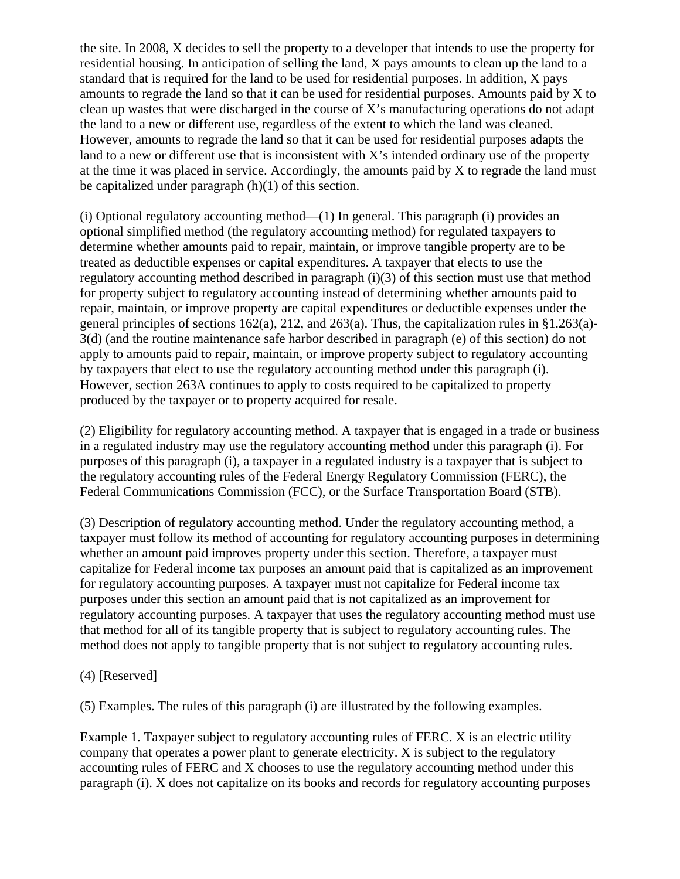the site. In 2008, X decides to sell the property to a developer that intends to use the property for residential housing. In anticipation of selling the land, X pays amounts to clean up the land to a standard that is required for the land to be used for residential purposes. In addition, X pays amounts to regrade the land so that it can be used for residential purposes. Amounts paid by X to clean up wastes that were discharged in the course of X's manufacturing operations do not adapt the land to a new or different use, regardless of the extent to which the land was cleaned. However, amounts to regrade the land so that it can be used for residential purposes adapts the land to a new or different use that is inconsistent with X's intended ordinary use of the property at the time it was placed in service. Accordingly, the amounts paid by X to regrade the land must be capitalized under paragraph (h)(1) of this section.

(i) Optional regulatory accounting method—(1) In general. This paragraph (i) provides an optional simplified method (the regulatory accounting method) for regulated taxpayers to determine whether amounts paid to repair, maintain, or improve tangible property are to be treated as deductible expenses or capital expenditures. A taxpayer that elects to use the regulatory accounting method described in paragraph (i)(3) of this section must use that method for property subject to regulatory accounting instead of determining whether amounts paid to repair, maintain, or improve property are capital expenditures or deductible expenses under the general principles of sections 162(a), 212, and 263(a). Thus, the capitalization rules in §1.263(a)- 3(d) (and the routine maintenance safe harbor described in paragraph (e) of this section) do not apply to amounts paid to repair, maintain, or improve property subject to regulatory accounting by taxpayers that elect to use the regulatory accounting method under this paragraph (i). However, section 263A continues to apply to costs required to be capitalized to property produced by the taxpayer or to property acquired for resale.

(2) Eligibility for regulatory accounting method. A taxpayer that is engaged in a trade or business in a regulated industry may use the regulatory accounting method under this paragraph (i). For purposes of this paragraph (i), a taxpayer in a regulated industry is a taxpayer that is subject to the regulatory accounting rules of the Federal Energy Regulatory Commission (FERC), the Federal Communications Commission (FCC), or the Surface Transportation Board (STB).

(3) Description of regulatory accounting method. Under the regulatory accounting method, a taxpayer must follow its method of accounting for regulatory accounting purposes in determining whether an amount paid improves property under this section. Therefore, a taxpayer must capitalize for Federal income tax purposes an amount paid that is capitalized as an improvement for regulatory accounting purposes. A taxpayer must not capitalize for Federal income tax purposes under this section an amount paid that is not capitalized as an improvement for regulatory accounting purposes. A taxpayer that uses the regulatory accounting method must use that method for all of its tangible property that is subject to regulatory accounting rules. The method does not apply to tangible property that is not subject to regulatory accounting rules.

(4) [Reserved]

(5) Examples. The rules of this paragraph (i) are illustrated by the following examples.

Example 1. Taxpayer subject to regulatory accounting rules of FERC. X is an electric utility company that operates a power plant to generate electricity. X is subject to the regulatory accounting rules of FERC and X chooses to use the regulatory accounting method under this paragraph (i). X does not capitalize on its books and records for regulatory accounting purposes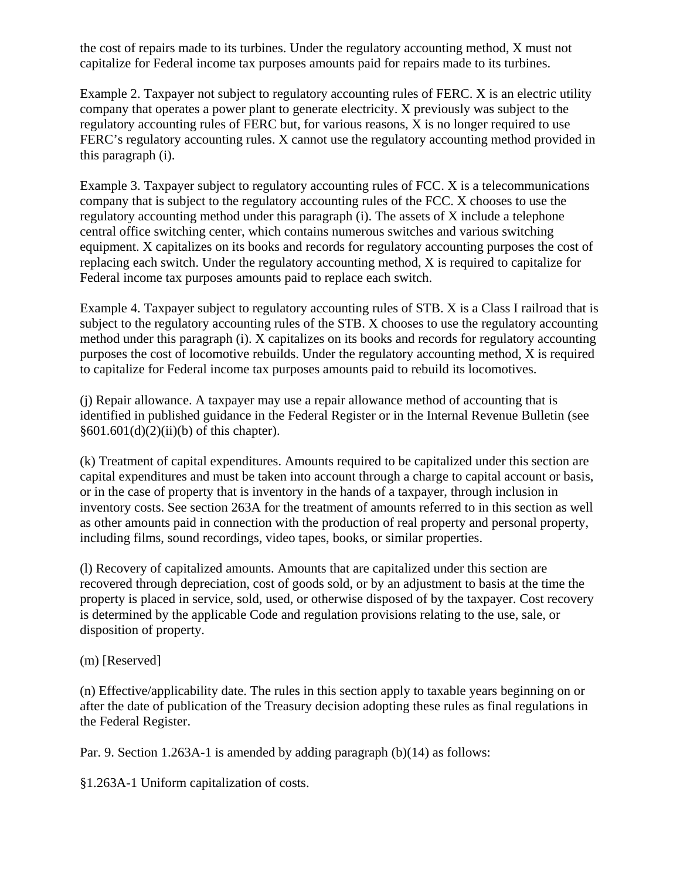the cost of repairs made to its turbines. Under the regulatory accounting method, X must not capitalize for Federal income tax purposes amounts paid for repairs made to its turbines.

Example 2. Taxpayer not subject to regulatory accounting rules of FERC. X is an electric utility company that operates a power plant to generate electricity. X previously was subject to the regulatory accounting rules of FERC but, for various reasons, X is no longer required to use FERC's regulatory accounting rules. X cannot use the regulatory accounting method provided in this paragraph (i).

Example 3. Taxpayer subject to regulatory accounting rules of FCC. X is a telecommunications company that is subject to the regulatory accounting rules of the FCC. X chooses to use the regulatory accounting method under this paragraph (i). The assets of X include a telephone central office switching center, which contains numerous switches and various switching equipment. X capitalizes on its books and records for regulatory accounting purposes the cost of replacing each switch. Under the regulatory accounting method, X is required to capitalize for Federal income tax purposes amounts paid to replace each switch.

Example 4. Taxpayer subject to regulatory accounting rules of STB. X is a Class I railroad that is subject to the regulatory accounting rules of the STB. X chooses to use the regulatory accounting method under this paragraph (i). X capitalizes on its books and records for regulatory accounting purposes the cost of locomotive rebuilds. Under the regulatory accounting method, X is required to capitalize for Federal income tax purposes amounts paid to rebuild its locomotives.

(j) Repair allowance. A taxpayer may use a repair allowance method of accounting that is identified in published guidance in the Federal Register or in the Internal Revenue Bulletin (see §601.601(d)(2)(ii)(b) of this chapter).

(k) Treatment of capital expenditures. Amounts required to be capitalized under this section are capital expenditures and must be taken into account through a charge to capital account or basis, or in the case of property that is inventory in the hands of a taxpayer, through inclusion in inventory costs. See section 263A for the treatment of amounts referred to in this section as well as other amounts paid in connection with the production of real property and personal property, including films, sound recordings, video tapes, books, or similar properties.

(l) Recovery of capitalized amounts. Amounts that are capitalized under this section are recovered through depreciation, cost of goods sold, or by an adjustment to basis at the time the property is placed in service, sold, used, or otherwise disposed of by the taxpayer. Cost recovery is determined by the applicable Code and regulation provisions relating to the use, sale, or disposition of property.

(m) [Reserved]

(n) Effective/applicability date. The rules in this section apply to taxable years beginning on or after the date of publication of the Treasury decision adopting these rules as final regulations in the Federal Register.

Par. 9. Section 1.263A-1 is amended by adding paragraph (b)(14) as follows:

§1.263A-1 Uniform capitalization of costs.